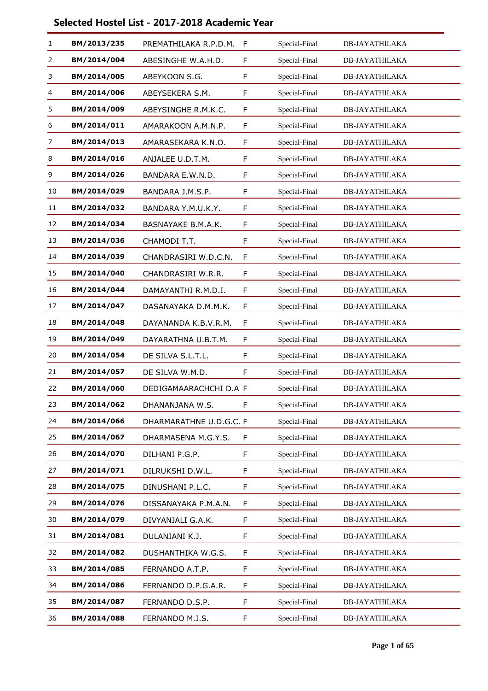| 1  | BM/2013/235 | PREMATHILAKA R.P.D.M.   | $\mathsf{F}$ | Special-Final | <b>DB-JAYATHILAKA</b> |
|----|-------------|-------------------------|--------------|---------------|-----------------------|
| 2  | BM/2014/004 | ABESINGHE W.A.H.D.      | F            | Special-Final | <b>DB-JAYATHILAKA</b> |
| 3  | BM/2014/005 | ABEYKOON S.G.           | F            | Special-Final | <b>DB-JAYATHILAKA</b> |
| 4  | BM/2014/006 | ABEYSEKERA S.M.         | F            | Special-Final | <b>DB-JAYATHILAKA</b> |
| 5  | BM/2014/009 | ABEYSINGHE R.M.K.C.     | F            | Special-Final | <b>DB-JAYATHILAKA</b> |
| 6  | BM/2014/011 | AMARAKOON A.M.N.P.      | F            | Special-Final | <b>DB-JAYATHILAKA</b> |
| 7  | BM/2014/013 | AMARASEKARA K.N.O.      | F            | Special-Final | <b>DB-JAYATHILAKA</b> |
| 8  | BM/2014/016 | ANJALEE U.D.T.M.        | F            | Special-Final | <b>DB-JAYATHILAKA</b> |
| 9  | BM/2014/026 | BANDARA E.W.N.D.        | F            | Special-Final | <b>DB-JAYATHILAKA</b> |
| 10 | BM/2014/029 | BANDARA J.M.S.P.        | F            | Special-Final | <b>DB-JAYATHILAKA</b> |
| 11 | BM/2014/032 | BANDARA Y.M.U.K.Y.      | F            | Special-Final | <b>DB-JAYATHILAKA</b> |
| 12 | BM/2014/034 | BASNAYAKE B.M.A.K.      | F            | Special-Final | <b>DB-JAYATHILAKA</b> |
| 13 | BM/2014/036 | CHAMODI T.T.            | F            | Special-Final | <b>DB-JAYATHILAKA</b> |
| 14 | BM/2014/039 | CHANDRASIRI W.D.C.N.    | F            | Special-Final | <b>DB-JAYATHILAKA</b> |
| 15 | BM/2014/040 | CHANDRASIRI W.R.R.      | F            | Special-Final | <b>DB-JAYATHILAKA</b> |
| 16 | BM/2014/044 | DAMAYANTHI R.M.D.I.     | F            | Special-Final | <b>DB-JAYATHILAKA</b> |
| 17 | BM/2014/047 | DASANAYAKA D.M.M.K.     | F            | Special-Final | <b>DB-JAYATHILAKA</b> |
| 18 | BM/2014/048 | DAYANANDA K.B.V.R.M.    | F            | Special-Final | <b>DB-JAYATHILAKA</b> |
| 19 | BM/2014/049 | DAYARATHNA U.B.T.M.     | F            | Special-Final | DB-JAYATHILAKA        |
| 20 | BM/2014/054 | DE SILVA S.L.T.L.       | F            | Special-Final | <b>DB-JAYATHILAKA</b> |
| 21 | BM/2014/057 | DE SILVA W.M.D.         | F            | Special-Final | <b>DB-JAYATHILAKA</b> |
| 22 | BM/2014/060 | DEDIGAMAARACHCHI D.A F  |              | Special-Final | DB-JAYATHILAKA        |
| 23 | BM/2014/062 | DHANANJANA W.S.         | F            | Special-Final | DB-JAYATHILAKA        |
| 24 | BM/2014/066 | DHARMARATHNE U.D.G.C. F |              | Special-Final | DB-JAYATHILAKA        |
| 25 | BM/2014/067 | DHARMASENA M.G.Y.S.     | F            | Special-Final | <b>DB-JAYATHILAKA</b> |
| 26 | BM/2014/070 | DILHANI P.G.P.          | F            | Special-Final | <b>DB-JAYATHILAKA</b> |
| 27 | BM/2014/071 | DILRUKSHI D.W.L.        | F            | Special-Final | DB-JAYATHILAKA        |
| 28 | BM/2014/075 | DINUSHANI P.L.C.        | F            | Special-Final | DB-JAYATHILAKA        |
| 29 | BM/2014/076 | DISSANAYAKA P.M.A.N.    | F            | Special-Final | <b>DB-JAYATHILAKA</b> |
| 30 | BM/2014/079 | DIVYANJALI G.A.K.       | F            | Special-Final | <b>DB-JAYATHILAKA</b> |
| 31 | BM/2014/081 | DULANJANI K.J.          | F            | Special-Final | DB-JAYATHILAKA        |
| 32 | BM/2014/082 | DUSHANTHIKA W.G.S.      | F            | Special-Final | <b>DB-JAYATHILAKA</b> |
| 33 | BM/2014/085 | FERNANDO A.T.P.         | F            | Special-Final | <b>DB-JAYATHILAKA</b> |
| 34 | BM/2014/086 | FERNANDO D.P.G.A.R.     | F            | Special-Final | <b>DB-JAYATHILAKA</b> |
| 35 | BM/2014/087 | FERNANDO D.S.P.         | F            | Special-Final | <b>DB-JAYATHILAKA</b> |
| 36 | BM/2014/088 | FERNANDO M.I.S.         | F            | Special-Final | <b>DB-JAYATHILAKA</b> |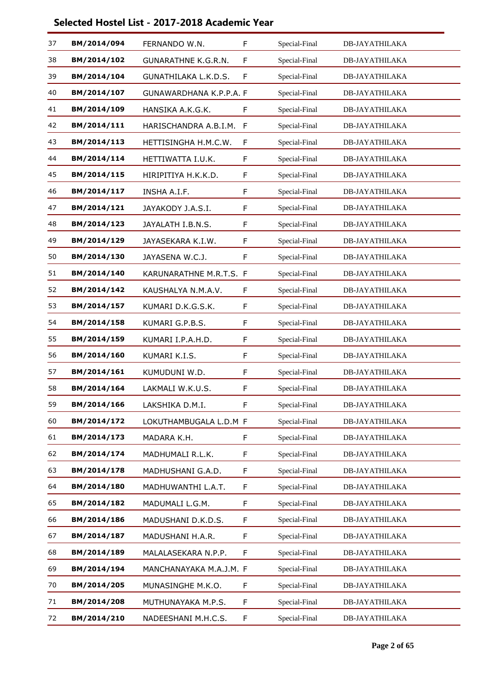| 37 | BM/2014/094 | FERNANDO W.N.              | F | Special-Final | <b>DB-JAYATHILAKA</b> |
|----|-------------|----------------------------|---|---------------|-----------------------|
| 38 | BM/2014/102 | <b>GUNARATHNE K.G.R.N.</b> | F | Special-Final | <b>DB-JAYATHILAKA</b> |
| 39 | BM/2014/104 | GUNATHILAKA L.K.D.S.       | F | Special-Final | <b>DB-JAYATHILAKA</b> |
| 40 | BM/2014/107 | GUNAWARDHANA K.P.P.A. F    |   | Special-Final | <b>DB-JAYATHILAKA</b> |
| 41 | BM/2014/109 | HANSIKA A.K.G.K.           | F | Special-Final | <b>DB-JAYATHILAKA</b> |
| 42 | BM/2014/111 | HARISCHANDRA A.B.I.M.      | F | Special-Final | <b>DB-JAYATHILAKA</b> |
| 43 | BM/2014/113 | HETTISINGHA H.M.C.W.       | F | Special-Final | <b>DB-JAYATHILAKA</b> |
| 44 | BM/2014/114 | HETTIWATTA I.U.K.          | F | Special-Final | <b>DB-JAYATHILAKA</b> |
| 45 | BM/2014/115 | HIRIPITIYA H.K.K.D.        | F | Special-Final | <b>DB-JAYATHILAKA</b> |
| 46 | BM/2014/117 | INSHA A.I.F.               | F | Special-Final | <b>DB-JAYATHILAKA</b> |
| 47 | BM/2014/121 | JAYAKODY J.A.S.I.          | F | Special-Final | <b>DB-JAYATHILAKA</b> |
| 48 | BM/2014/123 | JAYALATH I.B.N.S.          | F | Special-Final | <b>DB-JAYATHILAKA</b> |
| 49 | BM/2014/129 | JAYASEKARA K.I.W.          | F | Special-Final | <b>DB-JAYATHILAKA</b> |
| 50 | BM/2014/130 | JAYASENA W.C.J.            | F | Special-Final | <b>DB-JAYATHILAKA</b> |
| 51 | BM/2014/140 | KARUNARATHNE M.R.T.S. F    |   | Special-Final | <b>DB-JAYATHILAKA</b> |
| 52 | BM/2014/142 | KAUSHALYA N.M.A.V.         | F | Special-Final | <b>DB-JAYATHILAKA</b> |
| 53 | BM/2014/157 | KUMARI D.K.G.S.K.          | F | Special-Final | <b>DB-JAYATHILAKA</b> |
| 54 | BM/2014/158 | KUMARI G.P.B.S.            | F | Special-Final | <b>DB-JAYATHILAKA</b> |
| 55 | BM/2014/159 | KUMARI I.P.A.H.D.          | F | Special-Final | DB-JAYATHILAKA        |
| 56 | BM/2014/160 | KUMARI K.I.S.              | F | Special-Final | <b>DB-JAYATHILAKA</b> |
| 57 | BM/2014/161 | KUMUDUNI W.D.              | F | Special-Final | <b>DB-JAYATHILAKA</b> |
| 58 | BM/2014/164 | LAKMALI W.K.U.S.           | F | Special-Final | DB-JAYATHILAKA        |
| 59 | BM/2014/166 | LAKSHIKA D.M.I.            | F | Special-Final | DB-JAYATHILAKA        |
| 60 | BM/2014/172 | LOKUTHAMBUGALA L.D.M F     |   | Special-Final | DB-JAYATHILAKA        |
| 61 | BM/2014/173 | MADARA K.H.                | F | Special-Final | <b>DB-JAYATHILAKA</b> |
| 62 | BM/2014/174 | MADHUMALI R.L.K.           | F | Special-Final | <b>DB-JAYATHILAKA</b> |
| 63 | BM/2014/178 | MADHUSHANI G.A.D.          | F | Special-Final | DB-JAYATHILAKA        |
| 64 | BM/2014/180 | MADHUWANTHI L.A.T.         | F | Special-Final | <b>DB-JAYATHILAKA</b> |
| 65 | BM/2014/182 | MADUMALI L.G.M.            | F | Special-Final | <b>DB-JAYATHILAKA</b> |
| 66 | BM/2014/186 | MADUSHANI D.K.D.S.         | F | Special-Final | <b>DB-JAYATHILAKA</b> |
| 67 | BM/2014/187 | MADUSHANI H.A.R.           | F | Special-Final | <b>DB-JAYATHILAKA</b> |
| 68 | BM/2014/189 | MALALASEKARA N.P.P.        | F | Special-Final | <b>DB-JAYATHILAKA</b> |
| 69 | BM/2014/194 | MANCHANAYAKA M.A.J.M. F    |   | Special-Final | DB-JAYATHILAKA        |
| 70 | BM/2014/205 | MUNASINGHE M.K.O.          | F | Special-Final | <b>DB-JAYATHILAKA</b> |
| 71 | BM/2014/208 | MUTHUNAYAKA M.P.S.         | F | Special-Final | <b>DB-JAYATHILAKA</b> |
| 72 | BM/2014/210 | NADEESHANI M.H.C.S.        | F | Special-Final | <b>DB-JAYATHILAKA</b> |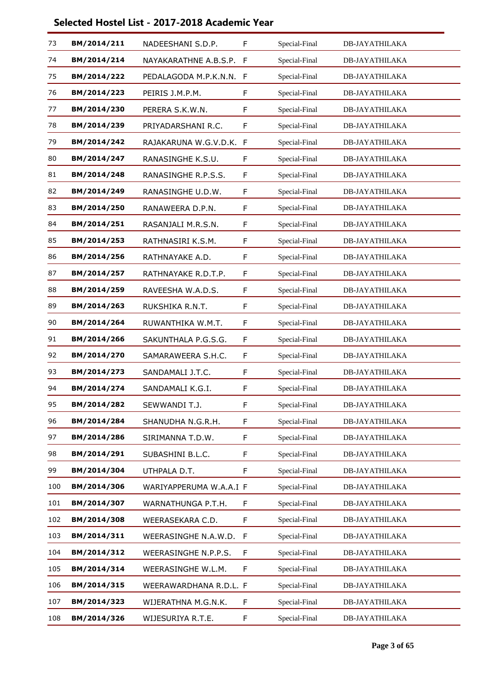| 73  | BM/2014/211 | NADEESHANI S.D.P.       | F  | Special-Final | <b>DB-JAYATHILAKA</b> |
|-----|-------------|-------------------------|----|---------------|-----------------------|
| 74  | BM/2014/214 | NAYAKARATHNE A.B.S.P.   | F  | Special-Final | <b>DB-JAYATHILAKA</b> |
| 75  | BM/2014/222 | PEDALAGODA M.P.K.N.N.   | F  | Special-Final | <b>DB-JAYATHILAKA</b> |
| 76  | BM/2014/223 | PEIRIS J.M.P.M.         | F  | Special-Final | <b>DB-JAYATHILAKA</b> |
| 77  | BM/2014/230 | PERERA S.K.W.N.         | F  | Special-Final | <b>DB-JAYATHILAKA</b> |
| 78  | BM/2014/239 | PRIYADARSHANI R.C.      | F  | Special-Final | <b>DB-JAYATHILAKA</b> |
| 79  | BM/2014/242 | RAJAKARUNA W.G.V.D.K. F |    | Special-Final | <b>DB-JAYATHILAKA</b> |
| 80  | BM/2014/247 | RANASINGHE K.S.U.       | F  | Special-Final | <b>DB-JAYATHILAKA</b> |
| 81  | BM/2014/248 | RANASINGHE R.P.S.S.     | F  | Special-Final | <b>DB-JAYATHILAKA</b> |
| 82  | BM/2014/249 | RANASINGHE U.D.W.       | F  | Special-Final | <b>DB-JAYATHILAKA</b> |
| 83  | BM/2014/250 | RANAWEERA D.P.N.        | F  | Special-Final | <b>DB-JAYATHILAKA</b> |
| 84  | BM/2014/251 | RASANJALI M.R.S.N.      | F  | Special-Final | <b>DB-JAYATHILAKA</b> |
| 85  | BM/2014/253 | RATHNASIRI K.S.M.       | F  | Special-Final | <b>DB-JAYATHILAKA</b> |
| 86  | BM/2014/256 | RATHNAYAKE A.D.         | F  | Special-Final | <b>DB-JAYATHILAKA</b> |
| 87  | BM/2014/257 | RATHNAYAKE R.D.T.P.     | F  | Special-Final | <b>DB-JAYATHILAKA</b> |
| 88  | BM/2014/259 | RAVEESHA W.A.D.S.       | F  | Special-Final | <b>DB-JAYATHILAKA</b> |
| 89  | BM/2014/263 | RUKSHIKA R.N.T.         | F  | Special-Final | <b>DB-JAYATHILAKA</b> |
| 90  | BM/2014/264 | RUWANTHIKA W.M.T.       | F  | Special-Final | <b>DB-JAYATHILAKA</b> |
| 91  | BM/2014/266 | SAKUNTHALA P.G.S.G.     | F  | Special-Final | DB-JAYATHILAKA        |
| 92  | BM/2014/270 | SAMARAWEERA S.H.C.      | F  | Special-Final | <b>DB-JAYATHILAKA</b> |
| 93  | BM/2014/273 | SANDAMALI J.T.C.        | F  | Special-Final | <b>DB-JAYATHILAKA</b> |
| 94  | BM/2014/274 | SANDAMALI K.G.I.        | F  | Special-Final | DB-JAYATHILAKA        |
| 95  | BM/2014/282 | SEWWANDI T.J.           | F  | Special-Final | DB-JAYATHILAKA        |
| 96  | BM/2014/284 | SHANUDHA N.G.R.H.       | F  | Special-Final | DB-JAYATHILAKA        |
| 97  | BM/2014/286 | SIRIMANNA T.D.W.        | F  | Special-Final | <b>DB-JAYATHILAKA</b> |
| 98  | BM/2014/291 | SUBASHINI B.L.C.        | F  | Special-Final | <b>DB-JAYATHILAKA</b> |
| 99  | BM/2014/304 | UTHPALA D.T.            | F  | Special-Final | DB-JAYATHILAKA        |
| 100 | BM/2014/306 | WARIYAPPERUMA W.A.A.I F |    | Special-Final | DB-JAYATHILAKA        |
| 101 | BM/2014/307 | WARNATHUNGA P.T.H.      | F. | Special-Final | <b>DB-JAYATHILAKA</b> |
| 102 | BM/2014/308 | WEERASEKARA C.D.        | F  | Special-Final | <b>DB-JAYATHILAKA</b> |
| 103 | BM/2014/311 | WEERASINGHE N.A.W.D.    | F  | Special-Final | <b>DB-JAYATHILAKA</b> |
| 104 | BM/2014/312 | WEERASINGHE N.P.P.S.    | F  | Special-Final | <b>DB-JAYATHILAKA</b> |
| 105 | BM/2014/314 | WEERASINGHE W.L.M.      | F  | Special-Final | DB-JAYATHILAKA        |
| 106 | BM/2014/315 | WEERAWARDHANA R.D.L. F  |    | Special-Final | <b>DB-JAYATHILAKA</b> |
| 107 | BM/2014/323 | WIJERATHNA M.G.N.K.     | F  | Special-Final | <b>DB-JAYATHILAKA</b> |
| 108 | BM/2014/326 | WIJESURIYA R.T.E.       | F  | Special-Final | DB-JAYATHILAKA        |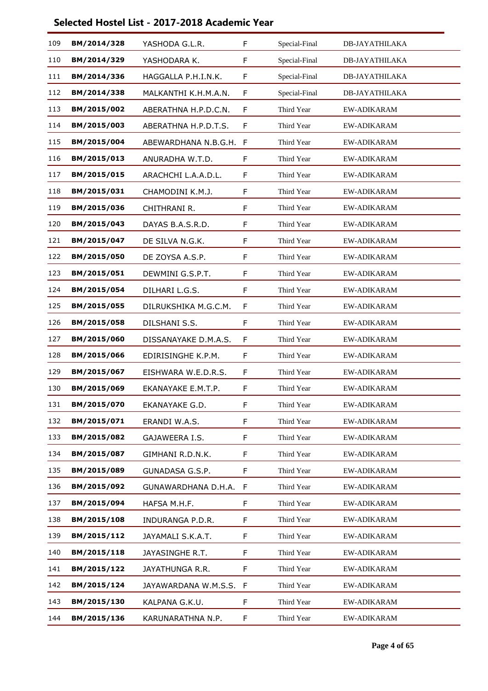| 109 | BM/2014/328 | YASHODA G.L.R.         | F  | Special-Final | <b>DB-JAYATHILAKA</b> |
|-----|-------------|------------------------|----|---------------|-----------------------|
| 110 | BM/2014/329 | YASHODARA K.           | F  | Special-Final | DB-JAYATHILAKA        |
| 111 | BM/2014/336 | HAGGALLA P.H.I.N.K.    | F  | Special-Final | DB-JAYATHILAKA        |
| 112 | BM/2014/338 | MALKANTHI K.H.M.A.N.   | F  | Special-Final | <b>DB-JAYATHILAKA</b> |
| 113 | BM/2015/002 | ABERATHNA H.P.D.C.N.   | F  | Third Year    | EW-ADIKARAM           |
| 114 | BM/2015/003 | ABERATHNA H.P.D.T.S.   | F  | Third Year    | <b>EW-ADIKARAM</b>    |
| 115 | BM/2015/004 | ABEWARDHANA N.B.G.H. F |    | Third Year    | EW-ADIKARAM           |
| 116 | BM/2015/013 | ANURADHA W.T.D.        | F  | Third Year    | EW-ADIKARAM           |
| 117 | BM/2015/015 | ARACHCHI L.A.A.D.L.    | F  | Third Year    | <b>EW-ADIKARAM</b>    |
| 118 | BM/2015/031 | CHAMODINI K.M.J.       | F  | Third Year    | EW-ADIKARAM           |
| 119 | BM/2015/036 | CHITHRANI R.           | F  | Third Year    | EW-ADIKARAM           |
| 120 | BM/2015/043 | DAYAS B.A.S.R.D.       | F  | Third Year    | <b>EW-ADIKARAM</b>    |
| 121 | BM/2015/047 | DE SILVA N.G.K.        | F  | Third Year    | <b>EW-ADIKARAM</b>    |
| 122 | BM/2015/050 | DE ZOYSA A.S.P.        | F  | Third Year    | EW-ADIKARAM           |
| 123 | BM/2015/051 | DEWMINI G.S.P.T.       | F  | Third Year    | <b>EW-ADIKARAM</b>    |
| 124 | BM/2015/054 | DILHARI L.G.S.         | F  | Third Year    | <b>EW-ADIKARAM</b>    |
| 125 | BM/2015/055 | DILRUKSHIKA M.G.C.M.   | F  | Third Year    | EW-ADIKARAM           |
| 126 | BM/2015/058 | DILSHANI S.S.          | F  | Third Year    | EW-ADIKARAM           |
| 127 | BM/2015/060 | DISSANAYAKE D.M.A.S.   | F  | Third Year    | EW-ADIKARAM           |
| 128 | BM/2015/066 | EDIRISINGHE K.P.M.     | F  | Third Year    | EW-ADIKARAM           |
| 129 | BM/2015/067 | EISHWARA W.E.D.R.S.    | F  | Third Year    | <b>EW-ADIKARAM</b>    |
| 130 | BM/2015/069 | EKANAYAKE E.M.T.P.     | F  | Third Year    | EW-ADIKARAM           |
| 131 | BM/2015/070 | EKANAYAKE G.D.         | F  | Third Year    | EW-ADIKARAM           |
| 132 | BM/2015/071 | ERANDI W.A.S.          | F  | Third Year    | <b>EW-ADIKARAM</b>    |
| 133 | BM/2015/082 | GAJAWEERA I.S.         | F. | Third Year    | EW-ADIKARAM           |
| 134 | BM/2015/087 | GIMHANI R.D.N.K.       | F  | Third Year    | EW-ADIKARAM           |
| 135 | BM/2015/089 | GUNADASA G.S.P.        | F  | Third Year    | <b>EW-ADIKARAM</b>    |
| 136 | BM/2015/092 | GUNAWARDHANA D.H.A.    | F  | Third Year    | <b>EW-ADIKARAM</b>    |
| 137 | BM/2015/094 | HAFSA M.H.F.           | F  | Third Year    | EW-ADIKARAM           |
| 138 | BM/2015/108 | INDURANGA P.D.R.       | F  | Third Year    | EW-ADIKARAM           |
| 139 | BM/2015/112 | JAYAMALI S.K.A.T.      | F. | Third Year    | <b>EW-ADIKARAM</b>    |
| 140 | BM/2015/118 | JAYASINGHE R.T.        | F  | Third Year    | EW-ADIKARAM           |
| 141 | BM/2015/122 | JAYATHUNGA R.R.        | F  | Third Year    | EW-ADIKARAM           |
| 142 | BM/2015/124 | JAYAWARDANA W.M.S.S.   | -F | Third Year    | <b>EW-ADIKARAM</b>    |
| 143 | BM/2015/130 | KALPANA G.K.U.         | F  | Third Year    | EW-ADIKARAM           |
| 144 | BM/2015/136 | KARUNARATHNA N.P.      | F  | Third Year    | EW-ADIKARAM           |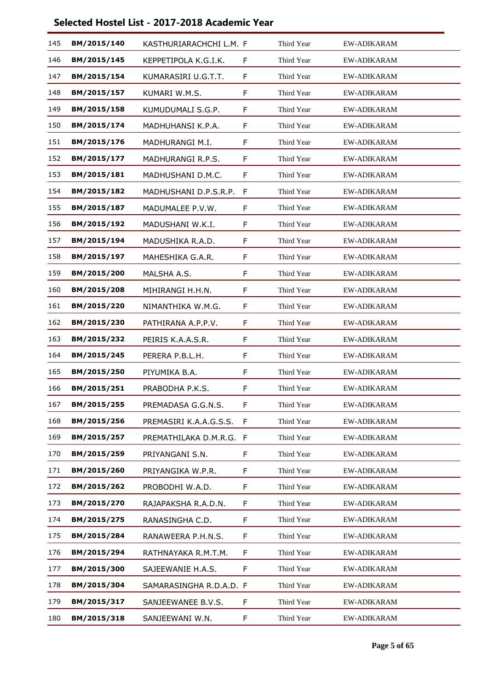| 145 | BM/2015/140 | KASTHURIARACHCHI L.M. F |    | Third Year | <b>EW-ADIKARAM</b> |
|-----|-------------|-------------------------|----|------------|--------------------|
| 146 | BM/2015/145 | KEPPETIPOLA K.G.I.K.    | F  | Third Year | EW-ADIKARAM        |
| 147 | BM/2015/154 | KUMARASIRI U.G.T.T.     | F  | Third Year | <b>EW-ADIKARAM</b> |
| 148 | BM/2015/157 | KUMARI W.M.S.           | F  | Third Year | <b>EW-ADIKARAM</b> |
| 149 | BM/2015/158 | KUMUDUMALI S.G.P.       | F  | Third Year | <b>EW-ADIKARAM</b> |
| 150 | BM/2015/174 | MADHUHANSI K.P.A.       | F  | Third Year | <b>EW-ADIKARAM</b> |
| 151 | BM/2015/176 | MADHURANGI M.I.         | F  | Third Year | <b>EW-ADIKARAM</b> |
| 152 | BM/2015/177 | MADHURANGI R.P.S.       | F  | Third Year | <b>EW-ADIKARAM</b> |
| 153 | BM/2015/181 | MADHUSHANI D.M.C.       | F  | Third Year | <b>EW-ADIKARAM</b> |
| 154 | BM/2015/182 | MADHUSHANI D.P.S.R.P.   | F  | Third Year | <b>EW-ADIKARAM</b> |
| 155 | BM/2015/187 | MADUMALEE P.V.W.        | F  | Third Year | EW-ADIKARAM        |
| 156 | BM/2015/192 | MADUSHANI W.K.I.        | F  | Third Year | <b>EW-ADIKARAM</b> |
| 157 | BM/2015/194 | MADUSHIKA R.A.D.        | F  | Third Year | <b>EW-ADIKARAM</b> |
| 158 | BM/2015/197 | MAHESHIKA G.A.R.        | F  | Third Year | <b>EW-ADIKARAM</b> |
| 159 | BM/2015/200 | MALSHA A.S.             | F  | Third Year | <b>EW-ADIKARAM</b> |
| 160 | BM/2015/208 | MIHIRANGI H.H.N.        | F  | Third Year | <b>EW-ADIKARAM</b> |
| 161 | BM/2015/220 | NIMANTHIKA W.M.G.       | F  | Third Year | <b>EW-ADIKARAM</b> |
| 162 | BM/2015/230 | PATHIRANA A.P.P.V.      | F  | Third Year | <b>EW-ADIKARAM</b> |
| 163 | BM/2015/232 | PEIRIS K.A.A.S.R.       | F  | Third Year | <b>EW-ADIKARAM</b> |
| 164 | BM/2015/245 | PERERA P.B.L.H.         | F  | Third Year | EW-ADIKARAM        |
| 165 | BM/2015/250 | PIYUMIKA B.A.           | F  | Third Year | <b>EW-ADIKARAM</b> |
| 166 | BM/2015/251 | PRABODHA P.K.S.         | F  | Third Year | EW-ADIKARAM        |
| 167 | BM/2015/255 | PREMADASA G.G.N.S.      | F  | Third Year | EW-ADIKARAM        |
| 168 | BM/2015/256 | PREMASIRI K.A.A.G.S.S.  | F  | Third Year | <b>EW-ADIKARAM</b> |
| 169 | BM/2015/257 | PREMATHILAKA D.M.R.G.   | F  | Third Year | EW-ADIKARAM        |
| 170 | BM/2015/259 | PRIYANGANI S.N.         | F  | Third Year | <b>EW-ADIKARAM</b> |
| 171 | BM/2015/260 | PRIYANGIKA W.P.R.       | F  | Third Year | <b>EW-ADIKARAM</b> |
| 172 | BM/2015/262 | PROBODHI W.A.D.         | F  | Third Year | EW-ADIKARAM        |
| 173 | BM/2015/270 | RAJAPAKSHA R.A.D.N.     | F  | Third Year | <b>EW-ADIKARAM</b> |
| 174 | BM/2015/275 | RANASINGHA C.D.         | F  | Third Year | <b>EW-ADIKARAM</b> |
| 175 | BM/2015/284 | RANAWEERA P.H.N.S.      | F. | Third Year | EW-ADIKARAM        |
| 176 | BM/2015/294 | RATHNAYAKA R.M.T.M.     | F  | Third Year | EW-ADIKARAM        |
| 177 | BM/2015/300 | SAJEEWANIE H.A.S.       | F  | Third Year | <b>EW-ADIKARAM</b> |
| 178 | BM/2015/304 | SAMARASINGHA R.D.A.D. F |    | Third Year | <b>EW-ADIKARAM</b> |
| 179 | BM/2015/317 | SANJEEWANEE B.V.S.      | F  | Third Year | <b>EW-ADIKARAM</b> |
| 180 | BM/2015/318 | SANJEEWANI W.N.         | F. | Third Year | <b>EW-ADIKARAM</b> |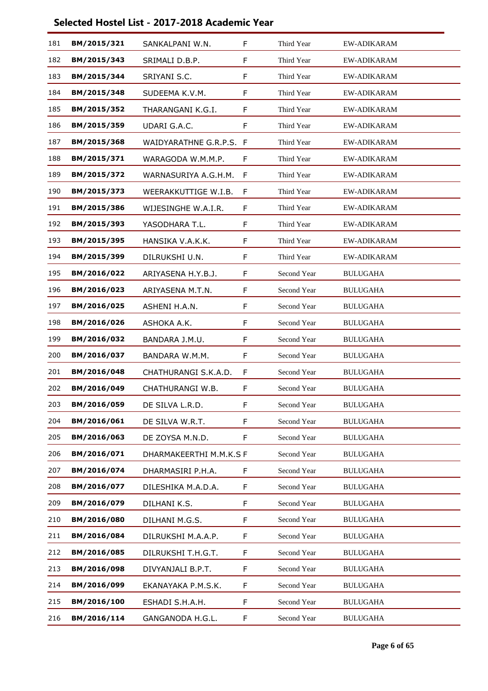| 181 | BM/2015/321 | SANKALPANI W.N.         | F | Third Year  | <b>EW-ADIKARAM</b> |
|-----|-------------|-------------------------|---|-------------|--------------------|
| 182 | BM/2015/343 | SRIMALI D.B.P.          | F | Third Year  | EW-ADIKARAM        |
| 183 | BM/2015/344 | SRIYANI S.C.            | F | Third Year  | <b>EW-ADIKARAM</b> |
| 184 | BM/2015/348 | SUDEEMA K.V.M.          | F | Third Year  | <b>EW-ADIKARAM</b> |
| 185 | BM/2015/352 | THARANGANI K.G.I.       | F | Third Year  | EW-ADIKARAM        |
| 186 | BM/2015/359 | UDARI G.A.C.            | F | Third Year  | <b>EW-ADIKARAM</b> |
| 187 | BM/2015/368 | WAIDYARATHNE G.R.P.S. F |   | Third Year  | <b>EW-ADIKARAM</b> |
| 188 | BM/2015/371 | WARAGODA W.M.M.P.       | F | Third Year  | EW-ADIKARAM        |
| 189 | BM/2015/372 | WARNASURIYA A.G.H.M.    | F | Third Year  | <b>EW-ADIKARAM</b> |
| 190 | BM/2015/373 | WEERAKKUTTIGE W.I.B.    | F | Third Year  | <b>EW-ADIKARAM</b> |
| 191 | BM/2015/386 | WIJESINGHE W.A.I.R.     | F | Third Year  | EW-ADIKARAM        |
| 192 | BM/2015/393 | YASODHARA T.L.          | F | Third Year  | EW-ADIKARAM        |
| 193 | BM/2015/395 | HANSIKA V.A.K.K.        | F | Third Year  | <b>EW-ADIKARAM</b> |
| 194 | BM/2015/399 | DILRUKSHI U.N.          | F | Third Year  | EW-ADIKARAM        |
| 195 | BM/2016/022 | ARIYASENA H.Y.B.J.      | F | Second Year | <b>BULUGAHA</b>    |
| 196 | BM/2016/023 | ARIYASENA M.T.N.        | F | Second Year | <b>BULUGAHA</b>    |
| 197 | BM/2016/025 | ASHENI H.A.N.           | F | Second Year | <b>BULUGAHA</b>    |
| 198 | BM/2016/026 | ASHOKA A.K.             | F | Second Year | <b>BULUGAHA</b>    |
| 199 | BM/2016/032 | BANDARA J.M.U.          | F | Second Year | <b>BULUGAHA</b>    |
| 200 | BM/2016/037 | BANDARA W.M.M.          | F | Second Year | <b>BULUGAHA</b>    |
| 201 | BM/2016/048 | CHATHURANGI S.K.A.D.    | F | Second Year | <b>BULUGAHA</b>    |
| 202 | BM/2016/049 | CHATHURANGI W.B.        | F | Second Year | <b>BULUGAHA</b>    |
| 203 | BM/2016/059 | DE SILVA L.R.D.         | F | Second Year | <b>BULUGAHA</b>    |
| 204 | BM/2016/061 | DE SILVA W.R.T.         | F | Second Year | <b>BULUGAHA</b>    |
| 205 | BM/2016/063 | DE ZOYSA M.N.D.         | F | Second Year | <b>BULUGAHA</b>    |
| 206 | BM/2016/071 | DHARMAKEERTHI M.M.K.S F |   | Second Year | <b>BULUGAHA</b>    |
| 207 | BM/2016/074 | DHARMASIRI P.H.A.       | F | Second Year | <b>BULUGAHA</b>    |
| 208 | BM/2016/077 | DILESHIKA M.A.D.A.      | F | Second Year | <b>BULUGAHA</b>    |
| 209 | BM/2016/079 | DILHANI K.S.            | F | Second Year | <b>BULUGAHA</b>    |
| 210 | BM/2016/080 | DILHANI M.G.S.          | F | Second Year | <b>BULUGAHA</b>    |
| 211 | BM/2016/084 | DILRUKSHI M.A.A.P.      | F | Second Year | <b>BULUGAHA</b>    |
| 212 | BM/2016/085 | DILRUKSHI T.H.G.T.      | F | Second Year | <b>BULUGAHA</b>    |
| 213 | BM/2016/098 | DIVYANJALI B.P.T.       | F | Second Year | <b>BULUGAHA</b>    |
| 214 | BM/2016/099 | EKANAYAKA P.M.S.K.      | F | Second Year | <b>BULUGAHA</b>    |
| 215 | BM/2016/100 | ESHADI S.H.A.H.         | F | Second Year | <b>BULUGAHA</b>    |
| 216 | BM/2016/114 | GANGANODA H.G.L.        | F | Second Year | <b>BULUGAHA</b>    |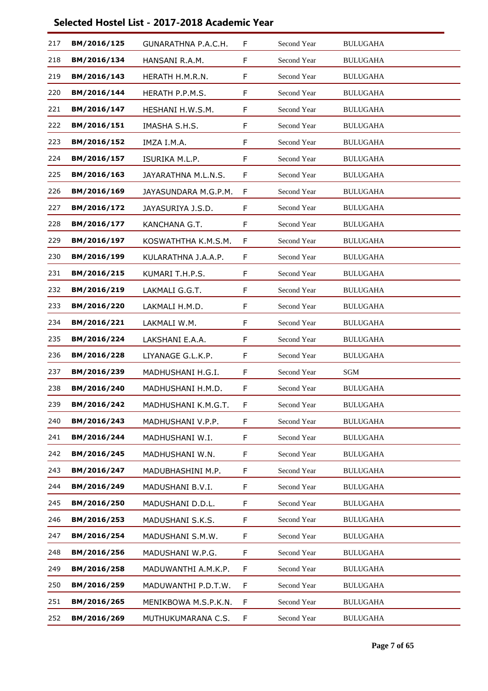| 217 | BM/2016/125 | GUNARATHNA P.A.C.H.  | F | Second Year        | <b>BULUGAHA</b> |  |
|-----|-------------|----------------------|---|--------------------|-----------------|--|
| 218 | BM/2016/134 | HANSANI R.A.M.       | F | Second Year        | <b>BULUGAHA</b> |  |
| 219 | BM/2016/143 | HERATH H.M.R.N.      | F | Second Year        | <b>BULUGAHA</b> |  |
| 220 | BM/2016/144 | HERATH P.P.M.S.      | F | Second Year        | <b>BULUGAHA</b> |  |
| 221 | BM/2016/147 | HESHANI H.W.S.M.     | F | Second Year        | <b>BULUGAHA</b> |  |
| 222 | BM/2016/151 | IMASHA S.H.S.        | F | <b>Second Year</b> | <b>BULUGAHA</b> |  |
| 223 | BM/2016/152 | IMZA I.M.A.          | F | Second Year        | <b>BULUGAHA</b> |  |
| 224 | BM/2016/157 | ISURIKA M.L.P.       | F | Second Year        | <b>BULUGAHA</b> |  |
| 225 | BM/2016/163 | JAYARATHNA M.L.N.S.  | F | Second Year        | <b>BULUGAHA</b> |  |
| 226 | BM/2016/169 | JAYASUNDARA M.G.P.M. | F | Second Year        | <b>BULUGAHA</b> |  |
| 227 | BM/2016/172 | JAYASURIYA J.S.D.    | F | Second Year        | <b>BULUGAHA</b> |  |
| 228 | BM/2016/177 | KANCHANA G.T.        | F | Second Year        | <b>BULUGAHA</b> |  |
| 229 | BM/2016/197 | KOSWATHTHA K.M.S.M.  | F | Second Year        | <b>BULUGAHA</b> |  |
| 230 | BM/2016/199 | KULARATHNA J.A.A.P.  | F | Second Year        | <b>BULUGAHA</b> |  |
| 231 | BM/2016/215 | KUMARI T.H.P.S.      | F | Second Year        | <b>BULUGAHA</b> |  |
| 232 | BM/2016/219 | LAKMALI G.G.T.       | F | Second Year        | <b>BULUGAHA</b> |  |
| 233 | BM/2016/220 | LAKMALI H.M.D.       | F | Second Year        | <b>BULUGAHA</b> |  |
| 234 | BM/2016/221 | LAKMALI W.M.         | F | Second Year        | <b>BULUGAHA</b> |  |
| 235 | BM/2016/224 | LAKSHANI E.A.A.      | F | Second Year        | <b>BULUGAHA</b> |  |
| 236 | BM/2016/228 | LIYANAGE G.L.K.P.    | F | Second Year        | <b>BULUGAHA</b> |  |
| 237 | BM/2016/239 | MADHUSHANI H.G.I.    | F | Second Year        | SGM             |  |
| 238 | BM/2016/240 | MADHUSHANI H.M.D.    | F | Second Year        | <b>BULUGAHA</b> |  |
| 239 | BM/2016/242 | MADHUSHANI K.M.G.T.  | F | Second Year        | <b>BULUGAHA</b> |  |
| 240 | BM/2016/243 | MADHUSHANI V.P.P.    | F | Second Year        | <b>BULUGAHA</b> |  |
| 241 | BM/2016/244 | MADHUSHANI W.I.      | F | Second Year        | <b>BULUGAHA</b> |  |
| 242 | BM/2016/245 | MADHUSHANI W.N.      | F | Second Year        | <b>BULUGAHA</b> |  |
| 243 | BM/2016/247 | MADUBHASHINI M.P.    | F | Second Year        | <b>BULUGAHA</b> |  |
| 244 | BM/2016/249 | MADUSHANI B.V.I.     | F | Second Year        | <b>BULUGAHA</b> |  |
| 245 | BM/2016/250 | MADUSHANI D.D.L.     | F | Second Year        | <b>BULUGAHA</b> |  |
| 246 | BM/2016/253 | MADUSHANI S.K.S.     | F | Second Year        | <b>BULUGAHA</b> |  |
| 247 | BM/2016/254 | MADUSHANI S.M.W.     | F | Second Year        | <b>BULUGAHA</b> |  |
| 248 | BM/2016/256 | MADUSHANI W.P.G.     | F | Second Year        | <b>BULUGAHA</b> |  |
| 249 | BM/2016/258 | MADUWANTHI A.M.K.P.  | F | Second Year        | <b>BULUGAHA</b> |  |
| 250 | BM/2016/259 | MADUWANTHI P.D.T.W.  | F | Second Year        | <b>BULUGAHA</b> |  |
| 251 | BM/2016/265 | MENIKBOWA M.S.P.K.N. | F | Second Year        | <b>BULUGAHA</b> |  |
| 252 | BM/2016/269 | MUTHUKUMARANA C.S.   | F | Second Year        | <b>BULUGAHA</b> |  |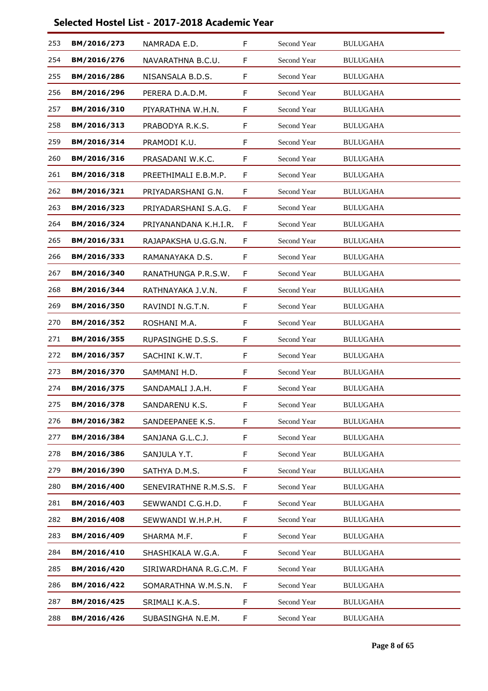| 253 | BM/2016/273 | NAMRADA E.D.            | F | Second Year        | <b>BULUGAHA</b> |
|-----|-------------|-------------------------|---|--------------------|-----------------|
| 254 | BM/2016/276 | NAVARATHNA B.C.U.       | F | Second Year        | <b>BULUGAHA</b> |
| 255 | BM/2016/286 | NISANSALA B.D.S.        | F | Second Year        | <b>BULUGAHA</b> |
| 256 | BM/2016/296 | PERERA D.A.D.M.         | F | Second Year        | <b>BULUGAHA</b> |
| 257 | BM/2016/310 | PIYARATHNA W.H.N.       | F | Second Year        | <b>BULUGAHA</b> |
| 258 | BM/2016/313 | PRABODYA R.K.S.         | F | Second Year        | <b>BULUGAHA</b> |
| 259 | BM/2016/314 | PRAMODI K.U.            | F | Second Year        | <b>BULUGAHA</b> |
| 260 | BM/2016/316 | PRASADANI W.K.C.        | F | Second Year        | <b>BULUGAHA</b> |
| 261 | BM/2016/318 | PREETHIMALI E.B.M.P.    | F | Second Year        | <b>BULUGAHA</b> |
| 262 | BM/2016/321 | PRIYADARSHANI G.N.      | F | Second Year        | <b>BULUGAHA</b> |
| 263 | BM/2016/323 | PRIYADARSHANI S.A.G.    | F | Second Year        | <b>BULUGAHA</b> |
| 264 | BM/2016/324 | PRIYANANDANA K.H.I.R.   | F | <b>Second Year</b> | <b>BULUGAHA</b> |
| 265 | BM/2016/331 | RAJAPAKSHA U.G.G.N.     | F | Second Year        | <b>BULUGAHA</b> |
| 266 | BM/2016/333 | RAMANAYAKA D.S.         | F | Second Year        | <b>BULUGAHA</b> |
| 267 | BM/2016/340 | RANATHUNGA P.R.S.W.     | F | Second Year        | <b>BULUGAHA</b> |
| 268 | BM/2016/344 | RATHNAYAKA J.V.N.       | F | Second Year        | <b>BULUGAHA</b> |
| 269 | BM/2016/350 | RAVINDI N.G.T.N.        | F | Second Year        | <b>BULUGAHA</b> |
| 270 | BM/2016/352 | ROSHANI M.A.            | F | Second Year        | <b>BULUGAHA</b> |
| 271 | BM/2016/355 | RUPASINGHE D.S.S.       | F | Second Year        | <b>BULUGAHA</b> |
| 272 | BM/2016/357 | SACHINI K.W.T.          | F | Second Year        | <b>BULUGAHA</b> |
| 273 | BM/2016/370 | SAMMANI H.D.            | F | Second Year        | <b>BULUGAHA</b> |
| 274 | BM/2016/375 | SANDAMALI J.A.H.        | F | Second Year        | <b>BULUGAHA</b> |
| 275 | BM/2016/378 | SANDARENU K.S.          | F | Second Year        | <b>BULUGAHA</b> |
| 276 | BM/2016/382 | SANDEEPANEE K.S.        | F | Second Year        | <b>BULUGAHA</b> |
| 277 | BM/2016/384 | SANJANA G.L.C.J.        | F | Second Year        | <b>BULUGAHA</b> |
| 278 | BM/2016/386 | SANJULA Y.T.            | F | Second Year        | <b>BULUGAHA</b> |
| 279 | BM/2016/390 | SATHYA D.M.S.           | F | Second Year        | <b>BULUGAHA</b> |
| 280 | BM/2016/400 | SENEVIRATHNE R.M.S.S.   | F | Second Year        | <b>BULUGAHA</b> |
| 281 | BM/2016/403 | SEWWANDI C.G.H.D.       | F | Second Year        | <b>BULUGAHA</b> |
| 282 | BM/2016/408 | SEWWANDI W.H.P.H.       | F | Second Year        | <b>BULUGAHA</b> |
| 283 | BM/2016/409 | SHARMA M.F.             | F | Second Year        | <b>BULUGAHA</b> |
| 284 | BM/2016/410 | SHASHIKALA W.G.A.       | F | Second Year        | <b>BULUGAHA</b> |
| 285 | BM/2016/420 | SIRIWARDHANA R.G.C.M. F |   | Second Year        | <b>BULUGAHA</b> |
| 286 | BM/2016/422 | SOMARATHNA W.M.S.N.     | F | Second Year        | <b>BULUGAHA</b> |
| 287 | BM/2016/425 | SRIMALI K.A.S.          | F | Second Year        | <b>BULUGAHA</b> |
| 288 | BM/2016/426 | SUBASINGHA N.E.M.       | F | Second Year        | <b>BULUGAHA</b> |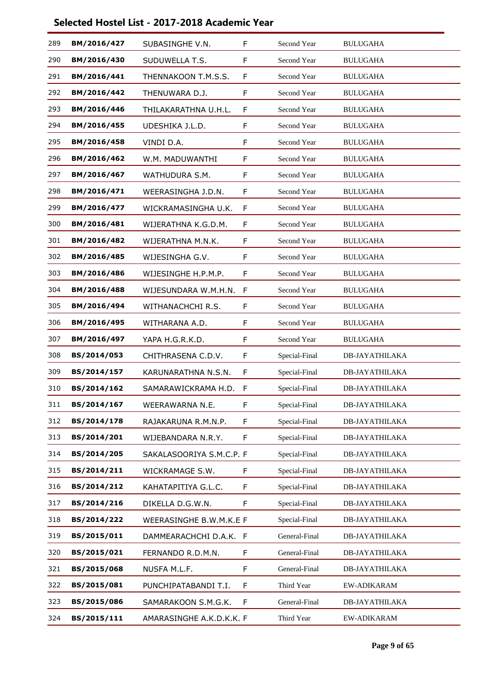| 289 | BM/2016/427 | SUBASINGHE V.N.          | F | Second Year   | <b>BULUGAHA</b>       |
|-----|-------------|--------------------------|---|---------------|-----------------------|
| 290 | BM/2016/430 | SUDUWELLA T.S.           | F | Second Year   | <b>BULUGAHA</b>       |
| 291 | BM/2016/441 | THENNAKOON T.M.S.S.      | F | Second Year   | <b>BULUGAHA</b>       |
| 292 | BM/2016/442 | THENUWARA D.J.           | F | Second Year   | <b>BULUGAHA</b>       |
| 293 | BM/2016/446 | THILAKARATHNA U.H.L.     | F | Second Year   | <b>BULUGAHA</b>       |
| 294 | BM/2016/455 | UDESHIKA J.L.D.          | F | Second Year   | <b>BULUGAHA</b>       |
| 295 | BM/2016/458 | VINDI D.A.               | F | Second Year   | <b>BULUGAHA</b>       |
| 296 | BM/2016/462 | W.M. MADUWANTHI          | F | Second Year   | <b>BULUGAHA</b>       |
| 297 | BM/2016/467 | WATHUDURA S.M.           | F | Second Year   | <b>BULUGAHA</b>       |
| 298 | BM/2016/471 | WEERASINGHA J.D.N.       | F | Second Year   | <b>BULUGAHA</b>       |
| 299 | BM/2016/477 | WICKRAMASINGHA U.K.      | F | Second Year   | <b>BULUGAHA</b>       |
| 300 | BM/2016/481 | WIJERATHNA K.G.D.M.      | F | Second Year   | <b>BULUGAHA</b>       |
| 301 | BM/2016/482 | WIJERATHNA M.N.K.        | F | Second Year   | <b>BULUGAHA</b>       |
| 302 | BM/2016/485 | WIJESINGHA G.V.          | F | Second Year   | <b>BULUGAHA</b>       |
| 303 | BM/2016/486 | WIJESINGHE H.P.M.P.      | F | Second Year   | <b>BULUGAHA</b>       |
| 304 | BM/2016/488 | WIJESUNDARA W.M.H.N.     | F | Second Year   | <b>BULUGAHA</b>       |
| 305 | BM/2016/494 | WITHANACHCHI R.S.        | F | Second Year   | <b>BULUGAHA</b>       |
| 306 | BM/2016/495 | WITHARANA A.D.           | F | Second Year   | <b>BULUGAHA</b>       |
| 307 | BM/2016/497 | YAPA H.G.R.K.D.          | F | Second Year   | <b>BULUGAHA</b>       |
| 308 | BS/2014/053 | CHITHRASENA C.D.V.       | F | Special-Final | DB-JAYATHILAKA        |
| 309 | BS/2014/157 | KARUNARATHNA N.S.N.      | F | Special-Final | <b>DB-JAYATHILAKA</b> |
| 310 | BS/2014/162 | SAMARAWICKRAMA H.D.      | F | Special-Final | DB-JAYATHILAKA        |
| 311 | BS/2014/167 | WEERAWARNA N.E.          | F | Special-Final | <b>DB-JAYATHILAKA</b> |
| 312 | BS/2014/178 | RAJAKARUNA R.M.N.P.      | F | Special-Final | <b>DB-JAYATHILAKA</b> |
| 313 | BS/2014/201 | WIJEBANDARA N.R.Y.       | F | Special-Final | <b>DB-JAYATHILAKA</b> |
| 314 | BS/2014/205 | SAKALASOORIYA S.M.C.P. F |   | Special-Final | <b>DB-JAYATHILAKA</b> |
| 315 | BS/2014/211 | WICKRAMAGE S.W.          | F | Special-Final | <b>DB-JAYATHILAKA</b> |
| 316 | BS/2014/212 | KAHATAPITIYA G.L.C.      | F | Special-Final | <b>DB-JAYATHILAKA</b> |
| 317 | BS/2014/216 | DIKELLA D.G.W.N.         | F | Special-Final | <b>DB-JAYATHILAKA</b> |
| 318 | BS/2014/222 | WEERASINGHE B.W.M.K.E F  |   | Special-Final | DB-JAYATHILAKA        |
| 319 | BS/2015/011 | DAMMEARACHCHI D.A.K. F   |   | General-Final | <b>DB-JAYATHILAKA</b> |
| 320 | BS/2015/021 | FERNANDO R.D.M.N.        | F | General-Final | <b>DB-JAYATHILAKA</b> |
| 321 | BS/2015/068 | NUSFA M.L.F.             | F | General-Final | <b>DB-JAYATHILAKA</b> |
| 322 | BS/2015/081 | PUNCHIPATABANDI T.I.     | F | Third Year    | EW-ADIKARAM           |
| 323 | BS/2015/086 | SAMARAKOON S.M.G.K.      | F | General-Final | <b>DB-JAYATHILAKA</b> |
| 324 | BS/2015/111 | AMARASINGHE A.K.D.K.K. F |   | Third Year    | <b>EW-ADIKARAM</b>    |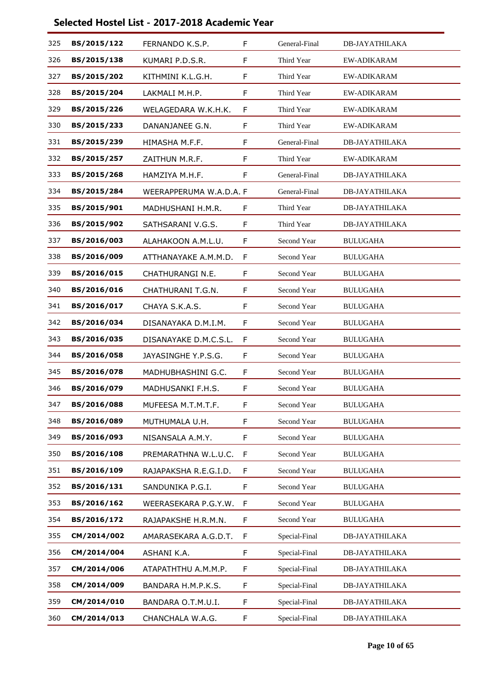| 325 | BS/2015/122 | FERNANDO K.S.P.         | F           | General-Final      | <b>DB-JAYATHILAKA</b> |
|-----|-------------|-------------------------|-------------|--------------------|-----------------------|
| 326 | BS/2015/138 | KUMARI P.D.S.R.         | F           | Third Year         | <b>EW-ADIKARAM</b>    |
| 327 | BS/2015/202 | KITHMINI K.L.G.H.       | F           | Third Year         | <b>EW-ADIKARAM</b>    |
| 328 | BS/2015/204 | LAKMALI M.H.P.          | F           | Third Year         | <b>EW-ADIKARAM</b>    |
| 329 | BS/2015/226 | WELAGEDARA W.K.H.K.     | F           | Third Year         | EW-ADIKARAM           |
| 330 | BS/2015/233 | DANANJANEE G.N.         | F           | Third Year         | <b>EW-ADIKARAM</b>    |
| 331 | BS/2015/239 | HIMASHA M.F.F.          | F           | General-Final      | <b>DB-JAYATHILAKA</b> |
| 332 | BS/2015/257 | ZAITHUN M.R.F.          | F           | Third Year         | EW-ADIKARAM           |
| 333 | BS/2015/268 | HAMZIYA M.H.F.          | F           | General-Final      | <b>DB-JAYATHILAKA</b> |
| 334 | BS/2015/284 | WEERAPPERUMA W.A.D.A. F |             | General-Final      | <b>DB-JAYATHILAKA</b> |
| 335 | BS/2015/901 | MADHUSHANI H.M.R.       | F           | Third Year         | <b>DB-JAYATHILAKA</b> |
| 336 | BS/2015/902 | SATHSARANI V.G.S.       | F           | Third Year         | <b>DB-JAYATHILAKA</b> |
| 337 | BS/2016/003 | ALAHAKOON A.M.L.U.      | F           | <b>Second Year</b> | <b>BULUGAHA</b>       |
| 338 | BS/2016/009 | ATTHANAYAKE A.M.M.D.    | F           | Second Year        | <b>BULUGAHA</b>       |
| 339 | BS/2016/015 | CHATHURANGI N.E.        | F           | <b>Second Year</b> | <b>BULUGAHA</b>       |
| 340 | BS/2016/016 | CHATHURANI T.G.N.       | F           | Second Year        | <b>BULUGAHA</b>       |
| 341 | BS/2016/017 | CHAYA S.K.A.S.          | F           | Second Year        | <b>BULUGAHA</b>       |
| 342 | BS/2016/034 | DISANAYAKA D.M.I.M.     | F           | Second Year        | <b>BULUGAHA</b>       |
| 343 | BS/2016/035 | DISANAYAKE D.M.C.S.L.   | F           | Second Year        | <b>BULUGAHA</b>       |
| 344 | BS/2016/058 | JAYASINGHE Y.P.S.G.     | F           | Second Year        | <b>BULUGAHA</b>       |
| 345 | BS/2016/078 | MADHUBHASHINI G.C.      | F           | Second Year        | <b>BULUGAHA</b>       |
| 346 | BS/2016/079 | MADHUSANKI F.H.S.       | F           | <b>Second Year</b> | <b>BULUGAHA</b>       |
| 347 | BS/2016/088 | MUFEESA M.T.M.T.F.      | F           | Second Year        | <b>BULUGAHA</b>       |
| 348 | BS/2016/089 | MUTHUMALA U.H.          | F           | Second Year        | <b>BULUGAHA</b>       |
| 349 | BS/2016/093 | NISANSALA A.M.Y.        | F           | Second Year        | <b>BULUGAHA</b>       |
| 350 | BS/2016/108 | PREMARATHNA W.L.U.C.    | $\mathsf F$ | Second Year        | <b>BULUGAHA</b>       |
| 351 | BS/2016/109 | RAJAPAKSHA R.E.G.I.D.   | F           | Second Year        | <b>BULUGAHA</b>       |
| 352 | BS/2016/131 | SANDUNIKA P.G.I.        | F           | Second Year        | <b>BULUGAHA</b>       |
| 353 | BS/2016/162 | WEERASEKARA P.G.Y.W.    | F           | Second Year        | <b>BULUGAHA</b>       |
| 354 | BS/2016/172 | RAJAPAKSHE H.R.M.N.     | F           | Second Year        | <b>BULUGAHA</b>       |
| 355 | CM/2014/002 | AMARASEKARA A.G.D.T.    | F           | Special-Final      | <b>DB-JAYATHILAKA</b> |
| 356 | CM/2014/004 | ASHANI K.A.             | F           | Special-Final      | <b>DB-JAYATHILAKA</b> |
| 357 | CM/2014/006 | ATAPATHTHU A.M.M.P.     | F           | Special-Final      | <b>DB-JAYATHILAKA</b> |
| 358 | CM/2014/009 | BANDARA H.M.P.K.S.      | F           | Special-Final      | <b>DB-JAYATHILAKA</b> |
| 359 | CM/2014/010 | BANDARA O.T.M.U.I.      | F           | Special-Final      | <b>DB-JAYATHILAKA</b> |
| 360 | CM/2014/013 | CHANCHALA W.A.G.        | F           | Special-Final      | <b>DB-JAYATHILAKA</b> |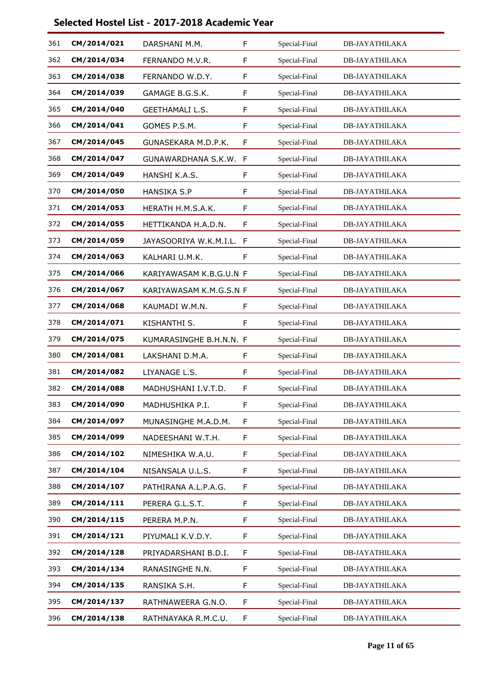| 361 | CM/2014/021 | DARSHANI M.M.           | F            | Special-Final | <b>DB-JAYATHILAKA</b> |
|-----|-------------|-------------------------|--------------|---------------|-----------------------|
| 362 | CM/2014/034 | FERNANDO M.V.R.         | F            | Special-Final | <b>DB-JAYATHILAKA</b> |
| 363 | CM/2014/038 | FERNANDO W.D.Y.         | F            | Special-Final | <b>DB-JAYATHILAKA</b> |
| 364 | CM/2014/039 | GAMAGE B.G.S.K.         | F            | Special-Final | <b>DB-JAYATHILAKA</b> |
| 365 | CM/2014/040 | <b>GEETHAMALI L.S.</b>  | F            | Special-Final | DB-JAYATHILAKA        |
| 366 | CM/2014/041 | GOMES P.S.M.            | F            | Special-Final | <b>DB-JAYATHILAKA</b> |
| 367 | CM/2014/045 | GUNASEKARA M.D.P.K.     | F            | Special-Final | <b>DB-JAYATHILAKA</b> |
| 368 | CM/2014/047 | GUNAWARDHANA S.K.W.     | $\mathsf{F}$ | Special-Final | DB-JAYATHILAKA        |
| 369 | CM/2014/049 | HANSHI K.A.S.           | F            | Special-Final | <b>DB-JAYATHILAKA</b> |
| 370 | CM/2014/050 | <b>HANSIKA S.P</b>      | F            | Special-Final | <b>DB-JAYATHILAKA</b> |
| 371 | CM/2014/053 | HERATH H.M.S.A.K.       | F            | Special-Final | <b>DB-JAYATHILAKA</b> |
| 372 | CM/2014/055 | HETTIKANDA H.A.D.N.     | F            | Special-Final | <b>DB-JAYATHILAKA</b> |
| 373 | CM/2014/059 | JAYASOORIYA W.K.M.I.L.  | $\mathsf{F}$ | Special-Final | <b>DB-JAYATHILAKA</b> |
| 374 | CM/2014/063 | KALHARI U.M.K.          | F            | Special-Final | DB-JAYATHILAKA        |
| 375 | CM/2014/066 | KARIYAWASAM K.B.G.U.N F |              | Special-Final | <b>DB-JAYATHILAKA</b> |
| 376 | CM/2014/067 | KARIYAWASAM K.M.G.S.N F |              | Special-Final | <b>DB-JAYATHILAKA</b> |
| 377 | CM/2014/068 | KAUMADI W.M.N.          | F            | Special-Final | DB-JAYATHILAKA        |
| 378 | CM/2014/071 | KISHANTHI S.            | F            | Special-Final | DB-JAYATHILAKA        |
| 379 | CM/2014/075 | KUMARASINGHE B.H.N.N. F |              | Special-Final | <b>DB-JAYATHILAKA</b> |
| 380 | CM/2014/081 | LAKSHANI D.M.A.         | F            | Special-Final | DB-JAYATHILAKA        |
| 381 | CM/2014/082 | LIYANAGE L.S.           | F            | Special-Final | <b>DB-JAYATHILAKA</b> |
| 382 | CM/2014/088 | MADHUSHANI I.V.T.D.     | F            | Special-Final | DB-JAYATHILAKA        |
| 383 | CM/2014/090 | MADHUSHIKA P.I.         | F            | Special-Final | DB-JAYATHILAKA        |
| 384 | CM/2014/097 | MUNASINGHE M.A.D.M.     | F            | Special-Final | DB-JAYATHILAKA        |
| 385 | CM/2014/099 | NADEESHANI W.T.H.       | F            | Special-Final | <b>DB-JAYATHILAKA</b> |
| 386 | CM/2014/102 | NIMESHIKA W.A.U.        | F            | Special-Final | <b>DB-JAYATHILAKA</b> |
| 387 | CM/2014/104 | NISANSALA U.L.S.        | F            | Special-Final | <b>DB-JAYATHILAKA</b> |
| 388 | CM/2014/107 | PATHIRANA A.L.P.A.G.    | F            | Special-Final | <b>DB-JAYATHILAKA</b> |
| 389 | CM/2014/111 | PERERA G.L.S.T.         | F.           | Special-Final | <b>DB-JAYATHILAKA</b> |
| 390 | CM/2014/115 | PERERA M.P.N.           | F            | Special-Final | <b>DB-JAYATHILAKA</b> |
| 391 | CM/2014/121 | PIYUMALI K.V.D.Y.       | F            | Special-Final | <b>DB-JAYATHILAKA</b> |
| 392 | CM/2014/128 | PRIYADARSHANI B.D.I.    | F            | Special-Final | <b>DB-JAYATHILAKA</b> |
| 393 | CM/2014/134 | RANASINGHE N.N.         | F            | Special-Final | <b>DB-JAYATHILAKA</b> |
| 394 | CM/2014/135 | RANSIKA S.H.            | F.           | Special-Final | <b>DB-JAYATHILAKA</b> |
| 395 | CM/2014/137 | RATHNAWEERA G.N.O.      | F            | Special-Final | <b>DB-JAYATHILAKA</b> |
| 396 | CM/2014/138 | RATHNAYAKA R.M.C.U.     | F            | Special-Final | <b>DB-JAYATHILAKA</b> |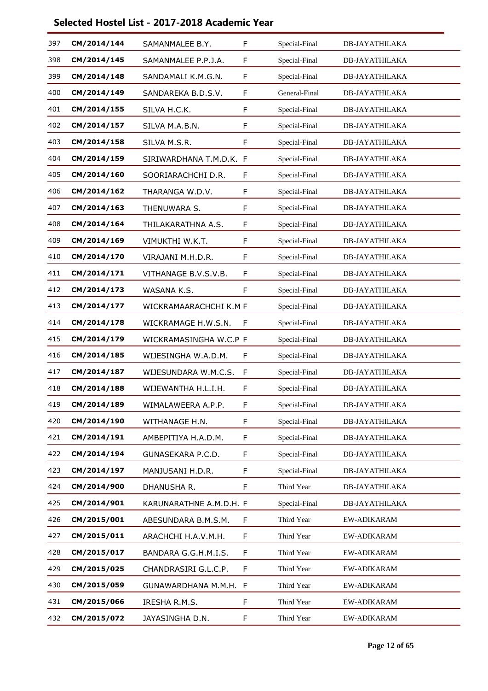| 397 | CM/2014/144 | SAMANMALEE B.Y.         | F            | Special-Final | <b>DB-JAYATHILAKA</b> |
|-----|-------------|-------------------------|--------------|---------------|-----------------------|
| 398 | CM/2014/145 | SAMANMALEE P.P.J.A.     | F            | Special-Final | <b>DB-JAYATHILAKA</b> |
| 399 | CM/2014/148 | SANDAMALI K.M.G.N.      | F            | Special-Final | <b>DB-JAYATHILAKA</b> |
| 400 | CM/2014/149 | SANDAREKA B.D.S.V.      | F            | General-Final | <b>DB-JAYATHILAKA</b> |
| 401 | CM/2014/155 | SILVA H.C.K.            | F            | Special-Final | <b>DB-JAYATHILAKA</b> |
| 402 | CM/2014/157 | SILVA M.A.B.N.          | F            | Special-Final | <b>DB-JAYATHILAKA</b> |
| 403 | CM/2014/158 | SILVA M.S.R.            | F            | Special-Final | <b>DB-JAYATHILAKA</b> |
| 404 | CM/2014/159 | SIRIWARDHANA T.M.D.K. F |              | Special-Final | <b>DB-JAYATHILAKA</b> |
| 405 | CM/2014/160 | SOORIARACHCHI D.R.      | F            | Special-Final | <b>DB-JAYATHILAKA</b> |
| 406 | CM/2014/162 | THARANGA W.D.V.         | F            | Special-Final | <b>DB-JAYATHILAKA</b> |
| 407 | CM/2014/163 | THENUWARA S.            | F            | Special-Final | <b>DB-JAYATHILAKA</b> |
| 408 | CM/2014/164 | THILAKARATHNA A.S.      | F            | Special-Final | <b>DB-JAYATHILAKA</b> |
| 409 | CM/2014/169 | VIMUKTHI W.K.T.         | F            | Special-Final | <b>DB-JAYATHILAKA</b> |
| 410 | CM/2014/170 | VIRAJANI M.H.D.R.       | F            | Special-Final | <b>DB-JAYATHILAKA</b> |
| 411 | CM/2014/171 | VITHANAGE B.V.S.V.B.    | F            | Special-Final | <b>DB-JAYATHILAKA</b> |
| 412 | CM/2014/173 | WASANA K.S.             | F            | Special-Final | <b>DB-JAYATHILAKA</b> |
| 413 | CM/2014/177 | WICKRAMAARACHCHI K.M F  |              | Special-Final | <b>DB-JAYATHILAKA</b> |
| 414 | CM/2014/178 | WICKRAMAGE H.W.S.N.     | F            | Special-Final | <b>DB-JAYATHILAKA</b> |
| 415 | CM/2014/179 | WICKRAMASINGHA W.C.P F  |              | Special-Final | DB-JAYATHILAKA        |
| 416 | CM/2014/185 | WIJESINGHA W.A.D.M.     | F            | Special-Final | <b>DB-JAYATHILAKA</b> |
| 417 | CM/2014/187 | WIJESUNDARA W.M.C.S.    | $\mathsf{F}$ | Special-Final | <b>DB-JAYATHILAKA</b> |
| 418 | CM/2014/188 | WIJEWANTHA H.L.I.H.     | F            | Special-Final | DB-JAYATHILAKA        |
| 419 | CM/2014/189 | WIMALAWEERA A.P.P.      | F            | Special-Final | <b>DB-JAYATHILAKA</b> |
| 420 | CM/2014/190 | WITHANAGE H.N.          | F            | Special-Final | DB-JAYATHILAKA        |
| 421 | CM/2014/191 | AMBEPITIYA H.A.D.M.     | F            | Special-Final | <b>DB-JAYATHILAKA</b> |
| 422 | CM/2014/194 | GUNASEKARA P.C.D.       | F            | Special-Final | <b>DB-JAYATHILAKA</b> |
| 423 | CM/2014/197 | MANJUSANI H.D.R.        | F            | Special-Final | <b>DB-JAYATHILAKA</b> |
| 424 | CM/2014/900 | DHANUSHA R.             | F            | Third Year    | <b>DB-JAYATHILAKA</b> |
| 425 | CM/2014/901 | KARUNARATHNE A.M.D.H. F |              | Special-Final | <b>DB-JAYATHILAKA</b> |
| 426 | CM/2015/001 | ABESUNDARA B.M.S.M.     | F            | Third Year    | EW-ADIKARAM           |
| 427 | CM/2015/011 | ARACHCHI H.A.V.M.H.     | F            | Third Year    | EW-ADIKARAM           |
| 428 | CM/2015/017 | BANDARA G.G.H.M.I.S.    | F            | Third Year    | EW-ADIKARAM           |
| 429 | CM/2015/025 | CHANDRASIRI G.L.C.P.    | F            | Third Year    | EW-ADIKARAM           |
| 430 | CM/2015/059 | GUNAWARDHANA M.M.H. F   |              | Third Year    | EW-ADIKARAM           |
| 431 | CM/2015/066 | IRESHA R.M.S.           | F            | Third Year    | EW-ADIKARAM           |
| 432 | CM/2015/072 | JAYASINGHA D.N.         | F            | Third Year    | EW-ADIKARAM           |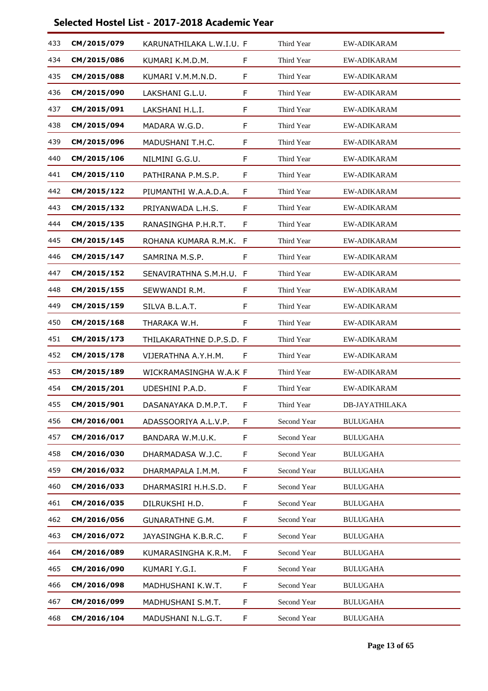| 433 | CM/2015/079 | KARUNATHILAKA L.W.I.U. F |   | Third Year  | <b>EW-ADIKARAM</b>    |
|-----|-------------|--------------------------|---|-------------|-----------------------|
| 434 | CM/2015/086 | KUMARI K.M.D.M.          | F | Third Year  | EW-ADIKARAM           |
| 435 | CM/2015/088 | KUMARI V.M.M.N.D.        | F | Third Year  | <b>EW-ADIKARAM</b>    |
| 436 | CM/2015/090 | LAKSHANI G.L.U.          | F | Third Year  | <b>EW-ADIKARAM</b>    |
| 437 | CM/2015/091 | LAKSHANI H.L.I.          | F | Third Year  | EW-ADIKARAM           |
| 438 | CM/2015/094 | MADARA W.G.D.            | F | Third Year  | <b>EW-ADIKARAM</b>    |
| 439 | CM/2015/096 | MADUSHANI T.H.C.         | F | Third Year  | <b>EW-ADIKARAM</b>    |
| 440 | CM/2015/106 | NILMINI G.G.U.           | F | Third Year  | EW-ADIKARAM           |
| 441 | CM/2015/110 | PATHIRANA P.M.S.P.       | F | Third Year  | <b>EW-ADIKARAM</b>    |
| 442 | CM/2015/122 | PIUMANTHI W.A.A.D.A.     | F | Third Year  | <b>EW-ADIKARAM</b>    |
| 443 | CM/2015/132 | PRIYANWADA L.H.S.        | F | Third Year  | EW-ADIKARAM           |
| 444 | CM/2015/135 | RANASINGHA P.H.R.T.      | F | Third Year  | EW-ADIKARAM           |
| 445 | CM/2015/145 | ROHANA KUMARA R.M.K.     | F | Third Year  | <b>EW-ADIKARAM</b>    |
| 446 | CM/2015/147 | SAMRINA M.S.P.           | F | Third Year  | EW-ADIKARAM           |
| 447 | CM/2015/152 | SENAVIRATHNA S.M.H.U. F  |   | Third Year  | <b>EW-ADIKARAM</b>    |
| 448 | CM/2015/155 | SEWWANDI R.M.            | F | Third Year  | <b>EW-ADIKARAM</b>    |
| 449 | CM/2015/159 | SILVA B.L.A.T.           | F | Third Year  | EW-ADIKARAM           |
| 450 | CM/2015/168 | THARAKA W.H.             | F | Third Year  | <b>EW-ADIKARAM</b>    |
| 451 | CM/2015/173 | THILAKARATHNE D.P.S.D. F |   | Third Year  | <b>EW-ADIKARAM</b>    |
| 452 | CM/2015/178 | VIJERATHNA A.Y.H.M.      | F | Third Year  | EW-ADIKARAM           |
| 453 | CM/2015/189 | WICKRAMASINGHA W.A.K F   |   | Third Year  | EW-ADIKARAM           |
| 454 | CM/2015/201 | UDESHINI P.A.D.          | F | Third Year  | EW-ADIKARAM           |
| 455 | CM/2015/901 | DASANAYAKA D.M.P.T.      | F | Third Year  | <b>DB-JAYATHILAKA</b> |
| 456 | CM/2016/001 | ADASSOORIYA A.L.V.P.     | F | Second Year | <b>BULUGAHA</b>       |
| 457 | CM/2016/017 | BANDARA W.M.U.K.         | F | Second Year | <b>BULUGAHA</b>       |
| 458 | CM/2016/030 | DHARMADASA W.J.C.        | F | Second Year | <b>BULUGAHA</b>       |
| 459 | CM/2016/032 | DHARMAPALA I.M.M.        | F | Second Year | <b>BULUGAHA</b>       |
| 460 | CM/2016/033 | DHARMASIRI H.H.S.D.      | F | Second Year | <b>BULUGAHA</b>       |
| 461 | CM/2016/035 | DILRUKSHI H.D.           | F | Second Year | <b>BULUGAHA</b>       |
| 462 | CM/2016/056 | <b>GUNARATHNE G.M.</b>   | F | Second Year | <b>BULUGAHA</b>       |
| 463 | CM/2016/072 | JAYASINGHA K.B.R.C.      | F | Second Year | <b>BULUGAHA</b>       |
| 464 | CM/2016/089 | KUMARASINGHA K.R.M.      | F | Second Year | <b>BULUGAHA</b>       |
| 465 | CM/2016/090 | KUMARI Y.G.I.            | F | Second Year | <b>BULUGAHA</b>       |
| 466 | CM/2016/098 | MADHUSHANI K.W.T.        | F | Second Year | <b>BULUGAHA</b>       |
| 467 | CM/2016/099 | MADHUSHANI S.M.T.        | F | Second Year | <b>BULUGAHA</b>       |
| 468 | CM/2016/104 | MADUSHANI N.L.G.T.       | F | Second Year | <b>BULUGAHA</b>       |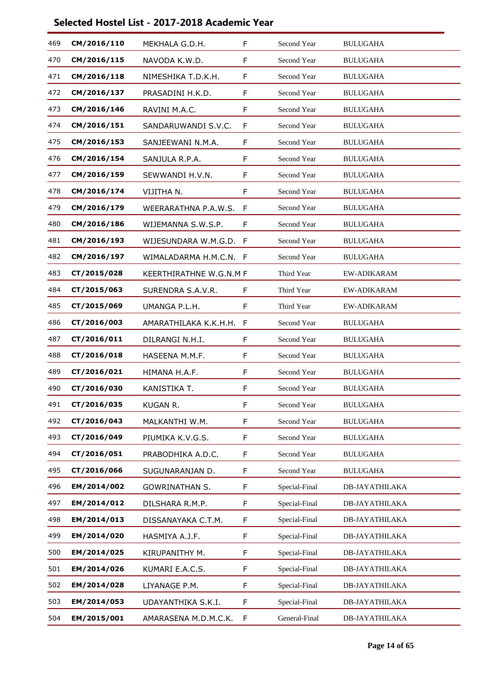| 469 | CM/2016/110 | MEKHALA G.D.H.          | F  | Second Year   | <b>BULUGAHA</b>       |
|-----|-------------|-------------------------|----|---------------|-----------------------|
| 470 | CM/2016/115 | NAVODA K.W.D.           | F  | Second Year   | <b>BULUGAHA</b>       |
| 471 | CM/2016/118 | NIMESHIKA T.D.K.H.      | F  | Second Year   | <b>BULUGAHA</b>       |
| 472 | CM/2016/137 | PRASADINI H.K.D.        | F  | Second Year   | <b>BULUGAHA</b>       |
| 473 | CM/2016/146 | RAVINI M.A.C.           | F  | Second Year   | <b>BULUGAHA</b>       |
| 474 | CM/2016/151 | SANDARUWANDI S.V.C.     | F  | Second Year   | <b>BULUGAHA</b>       |
| 475 | CM/2016/153 | SANJEEWANI N.M.A.       | F  | Second Year   | <b>BULUGAHA</b>       |
| 476 | CM/2016/154 | SANJULA R.P.A.          | F  | Second Year   | <b>BULUGAHA</b>       |
| 477 | CM/2016/159 | SEWWANDI H.V.N.         | F  | Second Year   | <b>BULUGAHA</b>       |
| 478 | CM/2016/174 | VIJITHA N.              | F  | Second Year   | <b>BULUGAHA</b>       |
| 479 | CM/2016/179 | WEERARATHNA P.A.W.S.    | F  | Second Year   | <b>BULUGAHA</b>       |
| 480 | CM/2016/186 | WIJEMANNA S.W.S.P.      | F  | Second Year   | <b>BULUGAHA</b>       |
| 481 | CM/2016/193 | WIJESUNDARA W.M.G.D.    | F  | Second Year   | <b>BULUGAHA</b>       |
| 482 | CM/2016/197 | WIMALADARMA H.M.C.N.    | -F | Second Year   | <b>BULUGAHA</b>       |
| 483 | CT/2015/028 | KEERTHIRATHNE W.G.N.M F |    | Third Year    | <b>EW-ADIKARAM</b>    |
| 484 | CT/2015/063 | SURENDRA S.A.V.R.       | F  | Third Year    | <b>EW-ADIKARAM</b>    |
| 485 | CT/2015/069 | UMANGA P.L.H.           | F  | Third Year    | EW-ADIKARAM           |
| 486 | CT/2016/003 | AMARATHILAKA K.K.H.H.   | F  | Second Year   | <b>BULUGAHA</b>       |
| 487 | CT/2016/011 | DILRANGI N.H.I.         | F  | Second Year   | <b>BULUGAHA</b>       |
| 488 | CT/2016/018 | HASEENA M.M.F.          | F  | Second Year   | <b>BULUGAHA</b>       |
| 489 | CT/2016/021 | HIMANA H.A.F.           | F  | Second Year   | <b>BULUGAHA</b>       |
| 490 | CT/2016/030 | KANISTIKA T.            | F  | Second Year   | <b>BULUGAHA</b>       |
| 491 | CT/2016/035 | KUGAN R.                | F  | Second Year   | <b>BULUGAHA</b>       |
| 492 | CT/2016/043 | MALKANTHI W.M.          | F  | Second Year   | <b>BULUGAHA</b>       |
| 493 | CT/2016/049 | PIUMIKA K.V.G.S.        | F  | Second Year   | <b>BULUGAHA</b>       |
| 494 | CT/2016/051 | PRABODHIKA A.D.C.       | F  | Second Year   | <b>BULUGAHA</b>       |
| 495 | CT/2016/066 | SUGUNARANJAN D.         | F  | Second Year   | <b>BULUGAHA</b>       |
| 496 | EM/2014/002 | <b>GOWRINATHAN S.</b>   | F. | Special-Final | <b>DB-JAYATHILAKA</b> |
| 497 | EM/2014/012 | DILSHARA R.M.P.         | F  | Special-Final | <b>DB-JAYATHILAKA</b> |
| 498 | EM/2014/013 | DISSANAYAKA C.T.M.      | F. | Special-Final | <b>DB-JAYATHILAKA</b> |
| 499 | EM/2014/020 | HASMIYA A.J.F.          | F. | Special-Final | <b>DB-JAYATHILAKA</b> |
| 500 | EM/2014/025 | KIRUPANITHY M.          | F  | Special-Final | <b>DB-JAYATHILAKA</b> |
| 501 | EM/2014/026 | KUMARI E.A.C.S.         | F  | Special-Final | <b>DB-JAYATHILAKA</b> |
| 502 | EM/2014/028 | LIYANAGE P.M.           | F. | Special-Final | <b>DB-JAYATHILAKA</b> |
| 503 | EM/2014/053 | UDAYANTHIKA S.K.I.      | F  | Special-Final | <b>DB-JAYATHILAKA</b> |
| 504 | EM/2015/001 | AMARASENA M.D.M.C.K.    | F  | General-Final | <b>DB-JAYATHILAKA</b> |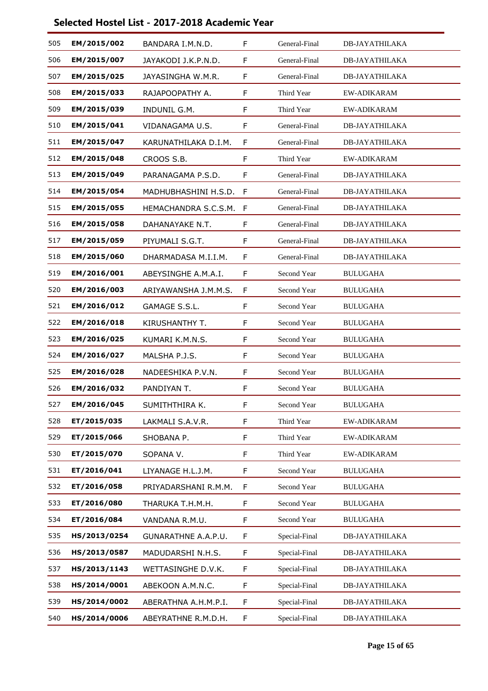| 505 | EM/2015/002  | BANDARA I.M.N.D.     | F           | General-Final | <b>DB-JAYATHILAKA</b> |
|-----|--------------|----------------------|-------------|---------------|-----------------------|
| 506 | EM/2015/007  | JAYAKODI J.K.P.N.D.  | F           | General-Final | <b>DB-JAYATHILAKA</b> |
| 507 | EM/2015/025  | JAYASINGHA W.M.R.    | F           | General-Final | <b>DB-JAYATHILAKA</b> |
| 508 | EM/2015/033  | RAJAPOOPATHY A.      | F           | Third Year    | <b>EW-ADIKARAM</b>    |
| 509 | EM/2015/039  | INDUNIL G.M.         | F           | Third Year    | <b>EW-ADIKARAM</b>    |
| 510 | EM/2015/041  | VIDANAGAMA U.S.      | F           | General-Final | DB-JAYATHILAKA        |
| 511 | EM/2015/047  | KARUNATHILAKA D.I.M. | F           | General-Final | <b>DB-JAYATHILAKA</b> |
| 512 | EM/2015/048  | CROOS S.B.           | F           | Third Year    | EW-ADIKARAM           |
| 513 | EM/2015/049  | PARANAGAMA P.S.D.    | F           | General-Final | <b>DB-JAYATHILAKA</b> |
| 514 | EM/2015/054  | MADHUBHASHINI H.S.D. | F           | General-Final | <b>DB-JAYATHILAKA</b> |
| 515 | EM/2015/055  | HEMACHANDRA S.C.S.M. | F           | General-Final | <b>DB-JAYATHILAKA</b> |
| 516 | EM/2015/058  | DAHANAYAKE N.T.      | F           | General-Final | <b>DB-JAYATHILAKA</b> |
| 517 | EM/2015/059  | PIYUMALI S.G.T.      | F           | General-Final | <b>DB-JAYATHILAKA</b> |
| 518 | EM/2015/060  | DHARMADASA M.I.I.M.  | F           | General-Final | <b>DB-JAYATHILAKA</b> |
| 519 | EM/2016/001  | ABEYSINGHE A.M.A.I.  | F           | Second Year   | <b>BULUGAHA</b>       |
| 520 | EM/2016/003  | ARIYAWANSHA J.M.M.S. | $\mathsf F$ | Second Year   | <b>BULUGAHA</b>       |
| 521 | EM/2016/012  | GAMAGE S.S.L.        | F           | Second Year   | <b>BULUGAHA</b>       |
| 522 | EM/2016/018  | KIRUSHANTHY T.       | F           | Second Year   | <b>BULUGAHA</b>       |
| 523 | EM/2016/025  | KUMARI K.M.N.S.      | F           | Second Year   | <b>BULUGAHA</b>       |
| 524 | EM/2016/027  | MALSHA P.J.S.        | F           | Second Year   | <b>BULUGAHA</b>       |
| 525 | EM/2016/028  | NADEESHIKA P.V.N.    | F           | Second Year   | <b>BULUGAHA</b>       |
| 526 | EM/2016/032  | PANDIYAN T.          | F           | Second Year   | <b>BULUGAHA</b>       |
| 527 | EM/2016/045  | SUMITHTHIRA K.       | F           | Second Year   | <b>BULUGAHA</b>       |
| 528 | ET/2015/035  | LAKMALI S.A.V.R.     | F           | Third Year    | EW-ADIKARAM           |
| 529 | ET/2015/066  | SHOBANA P.           | F           | Third Year    | EW-ADIKARAM           |
| 530 | ET/2015/070  | SOPANA V.            | F           | Third Year    | <b>EW-ADIKARAM</b>    |
| 531 | ET/2016/041  | LIYANAGE H.L.J.M.    | F           | Second Year   | <b>BULUGAHA</b>       |
| 532 | ET/2016/058  | PRIYADARSHANI R.M.M. | F           | Second Year   | <b>BULUGAHA</b>       |
| 533 | ET/2016/080  | THARUKA T.H.M.H.     | F           | Second Year   | <b>BULUGAHA</b>       |
| 534 | ET/2016/084  | VANDANA R.M.U.       | F           | Second Year   | <b>BULUGAHA</b>       |
| 535 | HS/2013/0254 | GUNARATHNE A.A.P.U.  | F           | Special-Final | <b>DB-JAYATHILAKA</b> |
| 536 | HS/2013/0587 | MADUDARSHI N.H.S.    | F           | Special-Final | <b>DB-JAYATHILAKA</b> |
| 537 | HS/2013/1143 | WETTASINGHE D.V.K.   | F           | Special-Final | DB-JAYATHILAKA        |
| 538 | HS/2014/0001 | ABEKOON A.M.N.C.     | F           | Special-Final | DB-JAYATHILAKA        |
| 539 | HS/2014/0002 | ABERATHNA A.H.M.P.I. | F           | Special-Final | <b>DB-JAYATHILAKA</b> |
| 540 | HS/2014/0006 | ABEYRATHNE R.M.D.H.  | F           | Special-Final | <b>DB-JAYATHILAKA</b> |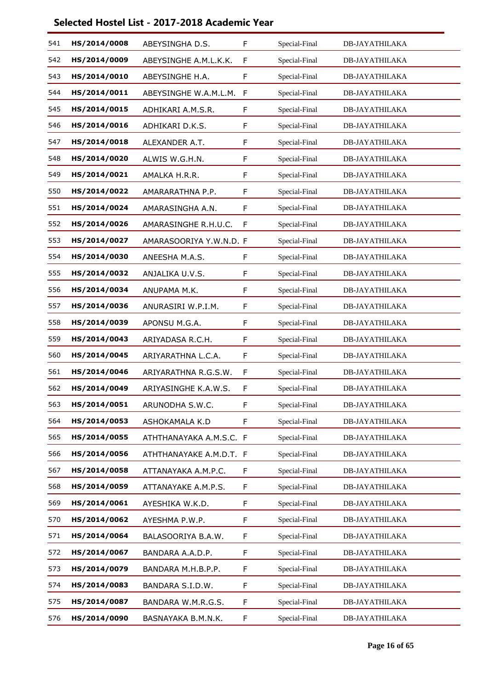| 541 | HS/2014/0008 | ABEYSINGHA D.S.         | F            | Special-Final | <b>DB-JAYATHILAKA</b> |
|-----|--------------|-------------------------|--------------|---------------|-----------------------|
| 542 | HS/2014/0009 | ABEYSINGHE A.M.L.K.K.   | F            | Special-Final | <b>DB-JAYATHILAKA</b> |
| 543 | HS/2014/0010 | ABEYSINGHE H.A.         | F            | Special-Final | <b>DB-JAYATHILAKA</b> |
| 544 | HS/2014/0011 | ABEYSINGHE W.A.M.L.M.   | $\mathsf{F}$ | Special-Final | <b>DB-JAYATHILAKA</b> |
| 545 | HS/2014/0015 | ADHIKARI A.M.S.R.       | F            | Special-Final | <b>DB-JAYATHILAKA</b> |
| 546 | HS/2014/0016 | ADHIKARI D.K.S.         | F            | Special-Final | <b>DB-JAYATHILAKA</b> |
| 547 | HS/2014/0018 | ALEXANDER A.T.          | F            | Special-Final | <b>DB-JAYATHILAKA</b> |
| 548 | HS/2014/0020 | ALWIS W.G.H.N.          | F            | Special-Final | <b>DB-JAYATHILAKA</b> |
| 549 | HS/2014/0021 | AMALKA H.R.R.           | F            | Special-Final | <b>DB-JAYATHILAKA</b> |
| 550 | HS/2014/0022 | AMARARATHNA P.P.        | F            | Special-Final | <b>DB-JAYATHILAKA</b> |
| 551 | HS/2014/0024 | AMARASINGHA A.N.        | F            | Special-Final | <b>DB-JAYATHILAKA</b> |
| 552 | HS/2014/0026 | AMARASINGHE R.H.U.C.    | F            | Special-Final | <b>DB-JAYATHILAKA</b> |
| 553 | HS/2014/0027 | AMARASOORIYA Y.W.N.D. F |              | Special-Final | <b>DB-JAYATHILAKA</b> |
| 554 | HS/2014/0030 | ANEESHA M.A.S.          | F            | Special-Final | <b>DB-JAYATHILAKA</b> |
| 555 | HS/2014/0032 | ANJALIKA U.V.S.         | F            | Special-Final | <b>DB-JAYATHILAKA</b> |
| 556 | HS/2014/0034 | ANUPAMA M.K.            | F            | Special-Final | <b>DB-JAYATHILAKA</b> |
| 557 | HS/2014/0036 | ANURASIRI W.P.I.M.      | F            | Special-Final | <b>DB-JAYATHILAKA</b> |
| 558 | HS/2014/0039 | APONSU M.G.A.           | F            | Special-Final | DB-JAYATHILAKA        |
| 559 | HS/2014/0043 | ARIYADASA R.C.H.        | F            | Special-Final | <b>DB-JAYATHILAKA</b> |
| 560 | HS/2014/0045 | ARIYARATHNA L.C.A.      | F            | Special-Final | <b>DB-JAYATHILAKA</b> |
| 561 | HS/2014/0046 | ARIYARATHNA R.G.S.W.    | F            | Special-Final | <b>DB-JAYATHILAKA</b> |
| 562 | HS/2014/0049 | ARIYASINGHE K.A.W.S.    | F            | Special-Final | DB-JAYATHILAKA        |
| 563 | HS/2014/0051 | ARUNODHA S.W.C.         | F            | Special-Final | <b>DB-JAYATHILAKA</b> |
| 564 | HS/2014/0053 | ASHOKAMALA K.D          | F            | Special-Final | DB-JAYATHILAKA        |
| 565 | HS/2014/0055 | ATHTHANAYAKA A.M.S.C. F |              | Special-Final | <b>DB-JAYATHILAKA</b> |
| 566 | HS/2014/0056 | ATHTHANAYAKE A.M.D.T. F |              | Special-Final | <b>DB-JAYATHILAKA</b> |
| 567 | HS/2014/0058 | ATTANAYAKA A.M.P.C.     | F            | Special-Final | DB-JAYATHILAKA        |
| 568 | HS/2014/0059 | ATTANAYAKE A.M.P.S.     | F            | Special-Final | <b>DB-JAYATHILAKA</b> |
| 569 | HS/2014/0061 | AYESHIKA W.K.D.         | F.           | Special-Final | <b>DB-JAYATHILAKA</b> |
| 570 | HS/2014/0062 | AYESHMA P.W.P.          | F            | Special-Final | DB-JAYATHILAKA        |
| 571 | HS/2014/0064 | BALASOORIYA B.A.W.      | F            | Special-Final | DB-JAYATHILAKA        |
| 572 | HS/2014/0067 | BANDARA A.A.D.P.        | F            | Special-Final | <b>DB-JAYATHILAKA</b> |
| 573 | HS/2014/0079 | BANDARA M.H.B.P.P.      | F            | Special-Final | DB-JAYATHILAKA        |
| 574 | HS/2014/0083 | BANDARA S.I.D.W.        | F            | Special-Final | <b>DB-JAYATHILAKA</b> |
| 575 | HS/2014/0087 | BANDARA W.M.R.G.S.      | F            | Special-Final | <b>DB-JAYATHILAKA</b> |
| 576 | HS/2014/0090 | BASNAYAKA B.M.N.K.      | F            | Special-Final | <b>DB-JAYATHILAKA</b> |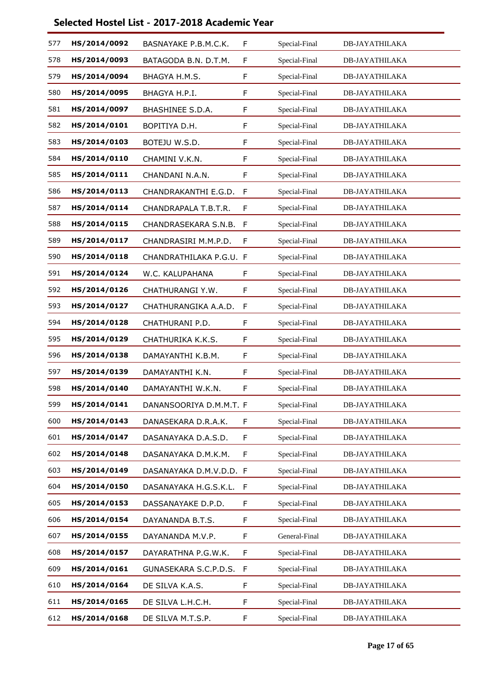| 577 | HS/2014/0092 | BASNAYAKE P.B.M.C.K.    | F | Special-Final | <b>DB-JAYATHILAKA</b> |
|-----|--------------|-------------------------|---|---------------|-----------------------|
| 578 | HS/2014/0093 | BATAGODA B.N. D.T.M.    | F | Special-Final | <b>DB-JAYATHILAKA</b> |
| 579 | HS/2014/0094 | BHAGYA H.M.S.           | F | Special-Final | <b>DB-JAYATHILAKA</b> |
| 580 | HS/2014/0095 | BHAGYA H.P.I.           | F | Special-Final | <b>DB-JAYATHILAKA</b> |
| 581 | HS/2014/0097 | <b>BHASHINEE S.D.A.</b> | F | Special-Final | DB-JAYATHILAKA        |
| 582 | HS/2014/0101 | BOPITIYA D.H.           | F | Special-Final | <b>DB-JAYATHILAKA</b> |
| 583 | HS/2014/0103 | BOTEJU W.S.D.           | F | Special-Final | <b>DB-JAYATHILAKA</b> |
| 584 | HS/2014/0110 | CHAMINI V.K.N.          | F | Special-Final | DB-JAYATHILAKA        |
| 585 | HS/2014/0111 | CHANDANI N.A.N.         | F | Special-Final | <b>DB-JAYATHILAKA</b> |
| 586 | HS/2014/0113 | CHANDRAKANTHI E.G.D.    | F | Special-Final | <b>DB-JAYATHILAKA</b> |
| 587 | HS/2014/0114 | CHANDRAPALA T.B.T.R.    | F | Special-Final | <b>DB-JAYATHILAKA</b> |
| 588 | HS/2014/0115 | CHANDRASEKARA S.N.B.    | F | Special-Final | DB-JAYATHILAKA        |
| 589 | HS/2014/0117 | CHANDRASIRI M.M.P.D.    | F | Special-Final | <b>DB-JAYATHILAKA</b> |
| 590 | HS/2014/0118 | CHANDRATHILAKA P.G.U. F |   | Special-Final | <b>DB-JAYATHILAKA</b> |
| 591 | HS/2014/0124 | W.C. KALUPAHANA         | F | Special-Final | DB-JAYATHILAKA        |
| 592 | HS/2014/0126 | CHATHURANGI Y.W.        | F | Special-Final | <b>DB-JAYATHILAKA</b> |
| 593 | HS/2014/0127 | CHATHURANGIKA A.A.D.    | F | Special-Final | DB-JAYATHILAKA        |
| 594 | HS/2014/0128 | CHATHURANI P.D.         | F | Special-Final | <b>DB-JAYATHILAKA</b> |
| 595 | HS/2014/0129 | CHATHURIKA K.K.S.       | F | Special-Final | <b>DB-JAYATHILAKA</b> |
| 596 | HS/2014/0138 | DAMAYANTHI K.B.M.       | F | Special-Final | <b>DB-JAYATHILAKA</b> |
| 597 | HS/2014/0139 | DAMAYANTHI K.N.         | F | Special-Final | DB-JAYATHILAKA        |
| 598 | HS/2014/0140 | DAMAYANTHI W.K.N.       | F | Special-Final | DB-JAYATHILAKA        |
| 599 | HS/2014/0141 | DANANSOORIYA D.M.M.T. F |   | Special-Final | <b>DB-JAYATHILAKA</b> |
| 600 | HS/2014/0143 | DANASEKARA D.R.A.K.     | F | Special-Final | <b>DB-JAYATHILAKA</b> |
| 601 | HS/2014/0147 | DASANAYAKA D.A.S.D.     | F | Special-Final | <b>DB-JAYATHILAKA</b> |
| 602 | HS/2014/0148 | DASANAYAKA D.M.K.M.     | F | Special-Final | <b>DB-JAYATHILAKA</b> |
| 603 | HS/2014/0149 | DASANAYAKA D.M.V.D.D. F |   | Special-Final | DB-JAYATHILAKA        |
| 604 | HS/2014/0150 | DASANAYAKA H.G.S.K.L.   | F | Special-Final | <b>DB-JAYATHILAKA</b> |
| 605 | HS/2014/0153 | DASSANAYAKE D.P.D.      | F | Special-Final | <b>DB-JAYATHILAKA</b> |
| 606 | HS/2014/0154 | DAYANANDA B.T.S.        | F | Special-Final | DB-JAYATHILAKA        |
| 607 | HS/2014/0155 | DAYANANDA M.V.P.        | F | General-Final | DB-JAYATHILAKA        |
| 608 | HS/2014/0157 | DAYARATHNA P.G.W.K.     | F | Special-Final | <b>DB-JAYATHILAKA</b> |
| 609 | HS/2014/0161 | GUNASEKARA S.C.P.D.S.   | F | Special-Final | <b>DB-JAYATHILAKA</b> |
| 610 | HS/2014/0164 | DE SILVA K.A.S.         | F | Special-Final | <b>DB-JAYATHILAKA</b> |
| 611 | HS/2014/0165 | DE SILVA L.H.C.H.       | F | Special-Final | <b>DB-JAYATHILAKA</b> |
| 612 | HS/2014/0168 | DE SILVA M.T.S.P.       | F | Special-Final | <b>DB-JAYATHILAKA</b> |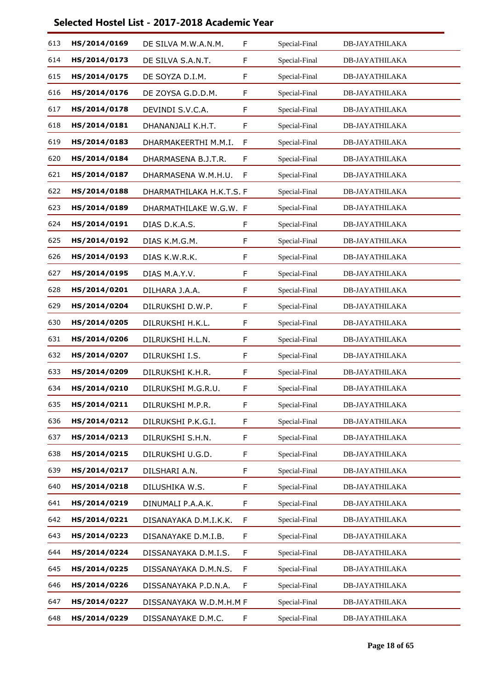| 613 | HS/2014/0169 | DE SILVA M.W.A.N.M.      | F  | Special-Final | <b>DB-JAYATHILAKA</b> |
|-----|--------------|--------------------------|----|---------------|-----------------------|
| 614 | HS/2014/0173 | DE SILVA S.A.N.T.        | F  | Special-Final | <b>DB-JAYATHILAKA</b> |
| 615 | HS/2014/0175 | DE SOYZA D.I.M.          | F  | Special-Final | <b>DB-JAYATHILAKA</b> |
| 616 | HS/2014/0176 | DE ZOYSA G.D.D.M.        | F  | Special-Final | <b>DB-JAYATHILAKA</b> |
| 617 | HS/2014/0178 | DEVINDI S.V.C.A.         | F  | Special-Final | <b>DB-JAYATHILAKA</b> |
| 618 | HS/2014/0181 | DHANANJALI K.H.T.        | F  | Special-Final | <b>DB-JAYATHILAKA</b> |
| 619 | HS/2014/0183 | DHARMAKEERTHI M.M.I.     | F  | Special-Final | <b>DB-JAYATHILAKA</b> |
| 620 | HS/2014/0184 | DHARMASENA B.J.T.R.      | F  | Special-Final | <b>DB-JAYATHILAKA</b> |
| 621 | HS/2014/0187 | DHARMASENA W.M.H.U.      | F  | Special-Final | <b>DB-JAYATHILAKA</b> |
| 622 | HS/2014/0188 | DHARMATHILAKA H.K.T.S. F |    | Special-Final | <b>DB-JAYATHILAKA</b> |
| 623 | HS/2014/0189 | DHARMATHILAKE W.G.W. F   |    | Special-Final | <b>DB-JAYATHILAKA</b> |
| 624 | HS/2014/0191 | DIAS D.K.A.S.            | F  | Special-Final | DB-JAYATHILAKA        |
| 625 | HS/2014/0192 | DIAS K.M.G.M.            | F  | Special-Final | <b>DB-JAYATHILAKA</b> |
| 626 | HS/2014/0193 | DIAS K.W.R.K.            | F  | Special-Final | <b>DB-JAYATHILAKA</b> |
| 627 | HS/2014/0195 | DIAS M.A.Y.V.            | F  | Special-Final | DB-JAYATHILAKA        |
| 628 | HS/2014/0201 | DILHARA J.A.A.           | F  | Special-Final | <b>DB-JAYATHILAKA</b> |
| 629 | HS/2014/0204 | DILRUKSHI D.W.P.         | F  | Special-Final | <b>DB-JAYATHILAKA</b> |
| 630 | HS/2014/0205 | DILRUKSHI H.K.L.         | F  | Special-Final | <b>DB-JAYATHILAKA</b> |
| 631 | HS/2014/0206 | DILRUKSHI H.L.N.         | F  | Special-Final | <b>DB-JAYATHILAKA</b> |
| 632 | HS/2014/0207 | DILRUKSHI I.S.           | F  | Special-Final | <b>DB-JAYATHILAKA</b> |
| 633 | HS/2014/0209 | DILRUKSHI K.H.R.         | F  | Special-Final | <b>DB-JAYATHILAKA</b> |
| 634 | HS/2014/0210 | DILRUKSHI M.G.R.U.       | F  | Special-Final | <b>DB-JAYATHILAKA</b> |
| 635 | HS/2014/0211 | DILRUKSHI M.P.R.         | F  | Special-Final | DB-JAYATHILAKA        |
| 636 | HS/2014/0212 | DILRUKSHI P.K.G.I.       | F  | Special-Final | <b>DB-JAYATHILAKA</b> |
| 637 | HS/2014/0213 | DILRUKSHI S.H.N.         | F. | Special-Final | <b>DB-JAYATHILAKA</b> |
| 638 | HS/2014/0215 | DILRUKSHI U.G.D.         | F  | Special-Final | <b>DB-JAYATHILAKA</b> |
| 639 | HS/2014/0217 | DILSHARI A.N.            | F  | Special-Final | DB-JAYATHILAKA        |
| 640 | HS/2014/0218 | DILUSHIKA W.S.           | F  | Special-Final | <b>DB-JAYATHILAKA</b> |
| 641 | HS/2014/0219 | DINUMALI P.A.A.K.        | F  | Special-Final | <b>DB-JAYATHILAKA</b> |
| 642 | HS/2014/0221 | DISANAYAKA D.M.I.K.K.    | F  | Special-Final | DB-JAYATHILAKA        |
| 643 | HS/2014/0223 | DISANAYAKE D.M.I.B.      | F  | Special-Final | DB-JAYATHILAKA        |
| 644 | HS/2014/0224 | DISSANAYAKA D.M.I.S.     | F  | Special-Final | <b>DB-JAYATHILAKA</b> |
| 645 | HS/2014/0225 | DISSANAYAKA D.M.N.S.     | F  | Special-Final | <b>DB-JAYATHILAKA</b> |
| 646 | HS/2014/0226 | DISSANAYAKA P.D.N.A.     | F  | Special-Final | <b>DB-JAYATHILAKA</b> |
| 647 | HS/2014/0227 | DISSANAYAKA W.D.M.H.M F  |    | Special-Final | <b>DB-JAYATHILAKA</b> |
| 648 | HS/2014/0229 | DISSANAYAKE D.M.C.       | F  | Special-Final | <b>DB-JAYATHILAKA</b> |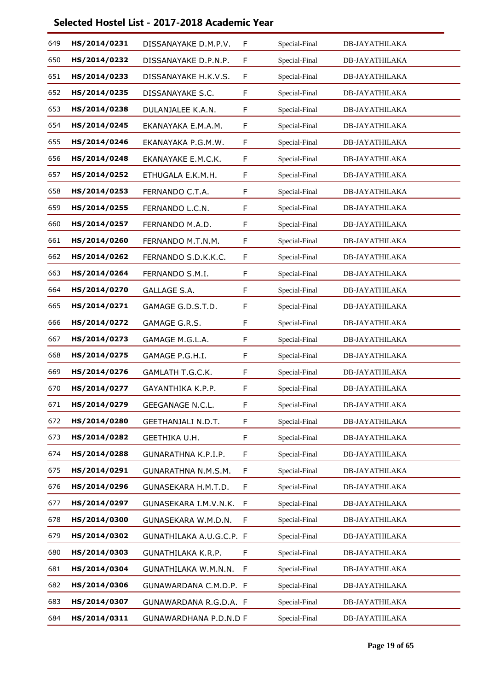| 649 | HS/2014/0231 | DISSANAYAKE D.M.P.V.     | F | Special-Final | <b>DB-JAYATHILAKA</b> |
|-----|--------------|--------------------------|---|---------------|-----------------------|
| 650 | HS/2014/0232 | DISSANAYAKE D.P.N.P.     | F | Special-Final | <b>DB-JAYATHILAKA</b> |
| 651 | HS/2014/0233 | DISSANAYAKE H.K.V.S.     | F | Special-Final | <b>DB-JAYATHILAKA</b> |
| 652 | HS/2014/0235 | DISSANAYAKE S.C.         | F | Special-Final | <b>DB-JAYATHILAKA</b> |
| 653 | HS/2014/0238 | DULANJALEE K.A.N.        | F | Special-Final | <b>DB-JAYATHILAKA</b> |
| 654 | HS/2014/0245 | EKANAYAKA E.M.A.M.       | F | Special-Final | <b>DB-JAYATHILAKA</b> |
| 655 | HS/2014/0246 | EKANAYAKA P.G.M.W.       | F | Special-Final | <b>DB-JAYATHILAKA</b> |
| 656 | HS/2014/0248 | EKANAYAKE E.M.C.K.       | F | Special-Final | <b>DB-JAYATHILAKA</b> |
| 657 | HS/2014/0252 | ETHUGALA E.K.M.H.        | F | Special-Final | <b>DB-JAYATHILAKA</b> |
| 658 | HS/2014/0253 | FERNANDO C.T.A.          | F | Special-Final | <b>DB-JAYATHILAKA</b> |
| 659 | HS/2014/0255 | FERNANDO L.C.N.          | F | Special-Final | <b>DB-JAYATHILAKA</b> |
| 660 | HS/2014/0257 | FERNANDO M.A.D.          | F | Special-Final | <b>DB-JAYATHILAKA</b> |
| 661 | HS/2014/0260 | FERNANDO M.T.N.M.        | F | Special-Final | <b>DB-JAYATHILAKA</b> |
| 662 | HS/2014/0262 | FERNANDO S.D.K.K.C.      | F | Special-Final | <b>DB-JAYATHILAKA</b> |
| 663 | HS/2014/0264 | FERNANDO S.M.I.          | F | Special-Final | <b>DB-JAYATHILAKA</b> |
| 664 | HS/2014/0270 | <b>GALLAGE S.A.</b>      | F | Special-Final | <b>DB-JAYATHILAKA</b> |
| 665 | HS/2014/0271 | GAMAGE G.D.S.T.D.        | F | Special-Final | <b>DB-JAYATHILAKA</b> |
| 666 | HS/2014/0272 | GAMAGE G.R.S.            | F | Special-Final | <b>DB-JAYATHILAKA</b> |
| 667 | HS/2014/0273 | GAMAGE M.G.L.A.          | F | Special-Final | DB-JAYATHILAKA        |
| 668 | HS/2014/0275 | GAMAGE P.G.H.I.          | F | Special-Final | <b>DB-JAYATHILAKA</b> |
| 669 | HS/2014/0276 | GAMLATH T.G.C.K.         | F | Special-Final | <b>DB-JAYATHILAKA</b> |
| 670 | HS/2014/0277 | GAYANTHIKA K.P.P.        | F | Special-Final | <b>DB-JAYATHILAKA</b> |
| 671 | HS/2014/0279 | <b>GEEGANAGE N.C.L.</b>  | F | Special-Final | <b>DB-JAYATHILAKA</b> |
| 672 | HS/2014/0280 | GEETHANJALI N.D.T.       | F | Special-Final | DB-JAYATHILAKA        |
| 673 | HS/2014/0282 | GEETHIKA U.H.            | F | Special-Final | DB-JAYATHILAKA        |
| 674 | HS/2014/0288 | GUNARATHNA K.P.I.P.      | F | Special-Final | <b>DB-JAYATHILAKA</b> |
| 675 | HS/2014/0291 | GUNARATHNA N.M.S.M.      | F | Special-Final | DB-JAYATHILAKA        |
| 676 | HS/2014/0296 | GUNASEKARA H.M.T.D.      | F | Special-Final | <b>DB-JAYATHILAKA</b> |
| 677 | HS/2014/0297 | GUNASEKARA I.M.V.N.K.    | F | Special-Final | <b>DB-JAYATHILAKA</b> |
| 678 | HS/2014/0300 | GUNASEKARA W.M.D.N.      | F | Special-Final | DB-JAYATHILAKA        |
| 679 | HS/2014/0302 | GUNATHILAKA A.U.G.C.P. F |   | Special-Final | DB-JAYATHILAKA        |
| 680 | HS/2014/0303 | GUNATHILAKA K.R.P.       | F | Special-Final | <b>DB-JAYATHILAKA</b> |
| 681 | HS/2014/0304 | GUNATHILAKA W.M.N.N.     | F | Special-Final | DB-JAYATHILAKA        |
| 682 | HS/2014/0306 | GUNAWARDANA C.M.D.P. F   |   | Special-Final | <b>DB-JAYATHILAKA</b> |
| 683 | HS/2014/0307 | GUNAWARDANA R.G.D.A. F   |   | Special-Final | <b>DB-JAYATHILAKA</b> |
| 684 | HS/2014/0311 | GUNAWARDHANA P.D.N.D F   |   | Special-Final | <b>DB-JAYATHILAKA</b> |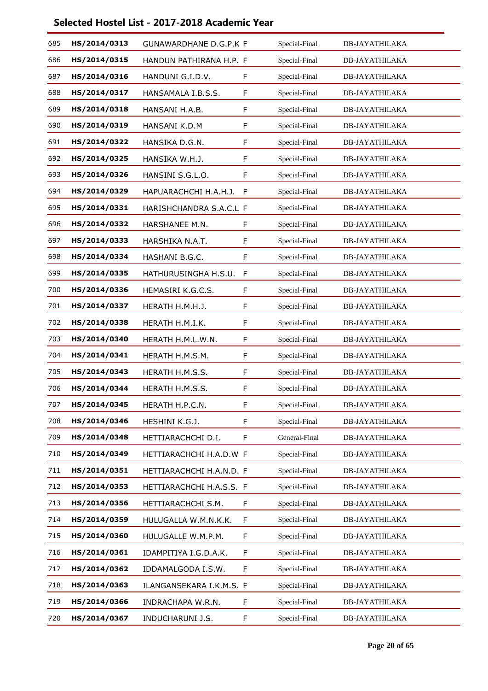| 685 | HS/2014/0313 | <b>GUNAWARDHANE D.G.P.K F</b> |   | Special-Final | <b>DB-JAYATHILAKA</b> |
|-----|--------------|-------------------------------|---|---------------|-----------------------|
| 686 | HS/2014/0315 | HANDUN PATHIRANA H.P. F       |   | Special-Final | <b>DB-JAYATHILAKA</b> |
| 687 | HS/2014/0316 | HANDUNI G.I.D.V.              | F | Special-Final | <b>DB-JAYATHILAKA</b> |
| 688 | HS/2014/0317 | HANSAMALA I.B.S.S.            | F | Special-Final | <b>DB-JAYATHILAKA</b> |
| 689 | HS/2014/0318 | HANSANI H.A.B.                | F | Special-Final | <b>DB-JAYATHILAKA</b> |
| 690 | HS/2014/0319 | HANSANI K.D.M                 | F | Special-Final | <b>DB-JAYATHILAKA</b> |
| 691 | HS/2014/0322 | HANSIKA D.G.N.                | F | Special-Final | <b>DB-JAYATHILAKA</b> |
| 692 | HS/2014/0325 | HANSIKA W.H.J.                | F | Special-Final | DB-JAYATHILAKA        |
| 693 | HS/2014/0326 | HANSINI S.G.L.O.              | F | Special-Final | <b>DB-JAYATHILAKA</b> |
| 694 | HS/2014/0329 | HAPUARACHCHI H.A.H.J.         | F | Special-Final | <b>DB-JAYATHILAKA</b> |
| 695 | HS/2014/0331 | HARISHCHANDRA S.A.C.L F       |   | Special-Final | <b>DB-JAYATHILAKA</b> |
| 696 | HS/2014/0332 | HARSHANEE M.N.                | F | Special-Final | <b>DB-JAYATHILAKA</b> |
| 697 | HS/2014/0333 | HARSHIKA N.A.T.               | F | Special-Final | <b>DB-JAYATHILAKA</b> |
| 698 | HS/2014/0334 | HASHANI B.G.C.                | F | Special-Final | DB-JAYATHILAKA        |
| 699 | HS/2014/0335 | HATHURUSINGHA H.S.U.          | F | Special-Final | <b>DB-JAYATHILAKA</b> |
| 700 | HS/2014/0336 | HEMASIRI K.G.C.S.             | F | Special-Final | <b>DB-JAYATHILAKA</b> |
| 701 | HS/2014/0337 | HERATH H.M.H.J.               | F | Special-Final | <b>DB-JAYATHILAKA</b> |
| 702 | HS/2014/0338 | HERATH H.M.I.K.               | F | Special-Final | <b>DB-JAYATHILAKA</b> |
| 703 | HS/2014/0340 | HERATH H.M.L.W.N.             | F | Special-Final | <b>DB-JAYATHILAKA</b> |
| 704 | HS/2014/0341 | HERATH H.M.S.M.               | F | Special-Final | <b>DB-JAYATHILAKA</b> |
| 705 | HS/2014/0343 | HERATH H.M.S.S.               | F | Special-Final | <b>DB-JAYATHILAKA</b> |
| 706 | HS/2014/0344 | HERATH H.M.S.S.               | F | Special-Final | <b>DB-JAYATHILAKA</b> |
| 707 | HS/2014/0345 | HERATH H.P.C.N.               | F | Special-Final | <b>DB-JAYATHILAKA</b> |
| 708 | HS/2014/0346 | HESHINI K.G.J.                | F | Special-Final | <b>DB-JAYATHILAKA</b> |
| 709 | HS/2014/0348 | HETTIARACHCHI D.I.            | F | General-Final | <b>DB-JAYATHILAKA</b> |
| 710 | HS/2014/0349 | HETTIARACHCHI H.A.D.W F       |   | Special-Final | <b>DB-JAYATHILAKA</b> |
| 711 | HS/2014/0351 | HETTIARACHCHI H.A.N.D. F      |   | Special-Final | <b>DB-JAYATHILAKA</b> |
| 712 | HS/2014/0353 | HETTIARACHCHI H.A.S.S. F      |   | Special-Final | DB-JAYATHILAKA        |
| 713 | HS/2014/0356 | HETTIARACHCHI S.M.            | F | Special-Final | <b>DB-JAYATHILAKA</b> |
| 714 | HS/2014/0359 | HULUGALLA W.M.N.K.K.          | F | Special-Final | <b>DB-JAYATHILAKA</b> |
| 715 | HS/2014/0360 | HULUGALLE W.M.P.M.            | F | Special-Final | DB-JAYATHILAKA        |
| 716 | HS/2014/0361 | IDAMPITIYA I.G.D.A.K.         | F | Special-Final | <b>DB-JAYATHILAKA</b> |
| 717 | HS/2014/0362 | IDDAMALGODA I.S.W.            | F | Special-Final | <b>DB-JAYATHILAKA</b> |
| 718 | HS/2014/0363 | ILANGANSEKARA I.K.M.S. F      |   | Special-Final | DB-JAYATHILAKA        |
| 719 | HS/2014/0366 | INDRACHAPA W.R.N.             | F | Special-Final | <b>DB-JAYATHILAKA</b> |
| 720 | HS/2014/0367 | INDUCHARUNI J.S.              | F | Special-Final | <b>DB-JAYATHILAKA</b> |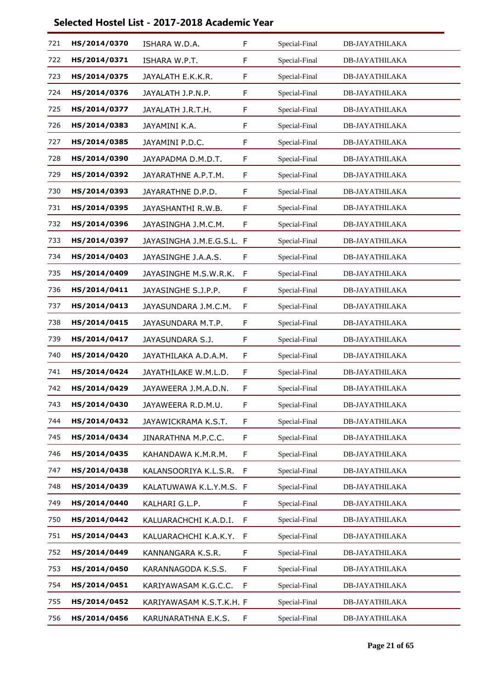| 721 | HS/2014/0370 | ISHARA W.D.A.             | F  | Special-Final | <b>DB-JAYATHILAKA</b> |
|-----|--------------|---------------------------|----|---------------|-----------------------|
| 722 | HS/2014/0371 | ISHARA W.P.T.             | F  | Special-Final | <b>DB-JAYATHILAKA</b> |
| 723 | HS/2014/0375 | JAYALATH E.K.K.R.         | F  | Special-Final | DB-JAYATHILAKA        |
| 724 | HS/2014/0376 | JAYALATH J.P.N.P.         | F  | Special-Final | <b>DB-JAYATHILAKA</b> |
| 725 | HS/2014/0377 | JAYALATH J.R.T.H.         | F  | Special-Final | <b>DB-JAYATHILAKA</b> |
| 726 | HS/2014/0383 | JAYAMINI K.A.             | F  | Special-Final | <b>DB-JAYATHILAKA</b> |
| 727 | HS/2014/0385 | JAYAMINI P.D.C.           | F  | Special-Final | <b>DB-JAYATHILAKA</b> |
| 728 | HS/2014/0390 | JAYAPADMA D.M.D.T.        | F  | Special-Final | <b>DB-JAYATHILAKA</b> |
| 729 | HS/2014/0392 | JAYARATHNE A.P.T.M.       | F  | Special-Final | DB-JAYATHILAKA        |
| 730 | HS/2014/0393 | JAYARATHNE D.P.D.         | F  | Special-Final | <b>DB-JAYATHILAKA</b> |
| 731 | HS/2014/0395 | JAYASHANTHI R.W.B.        | F  | Special-Final | <b>DB-JAYATHILAKA</b> |
| 732 | HS/2014/0396 | JAYASINGHA J.M.C.M.       | F  | Special-Final | <b>DB-JAYATHILAKA</b> |
| 733 | HS/2014/0397 | JAYASINGHA J.M.E.G.S.L. F |    | Special-Final | <b>DB-JAYATHILAKA</b> |
| 734 | HS/2014/0403 | JAYASINGHE J.A.A.S.       | F  | Special-Final | <b>DB-JAYATHILAKA</b> |
| 735 | HS/2014/0409 | JAYASINGHE M.S.W.R.K.     | F  | Special-Final | <b>DB-JAYATHILAKA</b> |
| 736 | HS/2014/0411 | JAYASINGHE S.J.P.P.       | F  | Special-Final | <b>DB-JAYATHILAKA</b> |
| 737 | HS/2014/0413 | JAYASUNDARA J.M.C.M.      | F  | Special-Final | <b>DB-JAYATHILAKA</b> |
| 738 | HS/2014/0415 | JAYASUNDARA M.T.P.        | F  | Special-Final | DB-JAYATHILAKA        |
| 739 | HS/2014/0417 | JAYASUNDARA S.J.          | F  | Special-Final | <b>DB-JAYATHILAKA</b> |
| 740 | HS/2014/0420 | JAYATHILAKA A.D.A.M.      | F  | Special-Final | <b>DB-JAYATHILAKA</b> |
| 741 | HS/2014/0424 | JAYATHILAKE W.M.L.D.      | F  | Special-Final | <b>DB-JAYATHILAKA</b> |
| 742 | HS/2014/0429 | JAYAWEERA J.M.A.D.N.      | F  | Special-Final | DB-JAYATHILAKA        |
| 743 | HS/2014/0430 | JAYAWEERA R.D.M.U.        | F  | Special-Final | <b>DB-JAYATHILAKA</b> |
| 744 | HS/2014/0432 | JAYAWICKRAMA K.S.T.       | F  | Special-Final | <b>DB-JAYATHILAKA</b> |
| 745 | HS/2014/0434 | JINARATHNA M.P.C.C.       | F  | Special-Final | DB-JAYATHILAKA        |
| 746 | HS/2014/0435 | KAHANDAWA K.M.R.M.        | F  | Special-Final | <b>DB-JAYATHILAKA</b> |
| 747 | HS/2014/0438 | KALANSOORIYA K.L.S.R.     | F  | Special-Final | <b>DB-JAYATHILAKA</b> |
| 748 | HS/2014/0439 | KALATUWAWA K.L.Y.M.S. F   |    | Special-Final | DB-JAYATHILAKA        |
| 749 | HS/2014/0440 | KALHARI G.L.P.            | F  | Special-Final | <b>DB-JAYATHILAKA</b> |
| 750 | HS/2014/0442 | KALUARACHCHI K.A.D.I.     | F  | Special-Final | <b>DB-JAYATHILAKA</b> |
| 751 | HS/2014/0443 | KALUARACHCHI K.A.K.Y.     | F  | Special-Final | DB-JAYATHILAKA        |
| 752 | HS/2014/0449 | KANNANGARA K.S.R.         | F  | Special-Final | <b>DB-JAYATHILAKA</b> |
| 753 | HS/2014/0450 | KARANNAGODA K.S.S.        | F  | Special-Final | <b>DB-JAYATHILAKA</b> |
| 754 | HS/2014/0451 | KARIYAWASAM K.G.C.C.      | F  | Special-Final | DB-JAYATHILAKA        |
| 755 | HS/2014/0452 | KARIYAWASAM K.S.T.K.H. F  |    | Special-Final | <b>DB-JAYATHILAKA</b> |
| 756 | HS/2014/0456 | KARUNARATHNA E.K.S.       | F. | Special-Final | <b>DB-JAYATHILAKA</b> |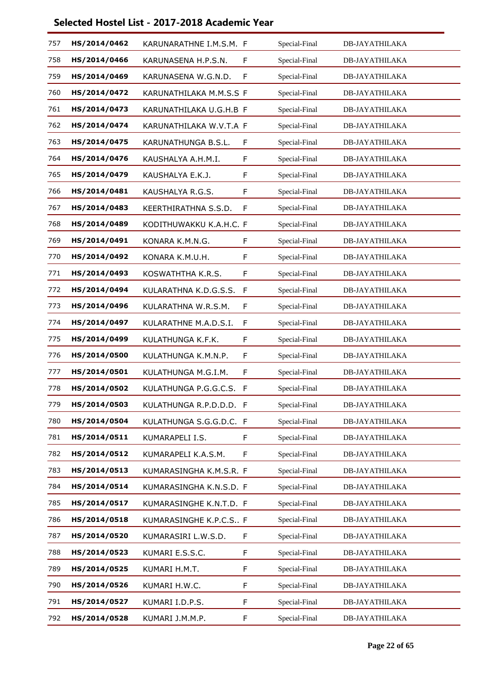| 757 | HS/2014/0462 | KARUNARATHNE I.M.S.M. F |    | Special-Final | <b>DB-JAYATHILAKA</b> |
|-----|--------------|-------------------------|----|---------------|-----------------------|
| 758 | HS/2014/0466 | KARUNASENA H.P.S.N.     | F  | Special-Final | <b>DB-JAYATHILAKA</b> |
| 759 | HS/2014/0469 | KARUNASENA W.G.N.D.     | F  | Special-Final | <b>DB-JAYATHILAKA</b> |
| 760 | HS/2014/0472 | KARUNATHILAKA M.M.S.S F |    | Special-Final | <b>DB-JAYATHILAKA</b> |
| 761 | HS/2014/0473 | KARUNATHILAKA U.G.H.B F |    | Special-Final | <b>DB-JAYATHILAKA</b> |
| 762 | HS/2014/0474 | KARUNATHILAKA W.V.T.A F |    | Special-Final | <b>DB-JAYATHILAKA</b> |
| 763 | HS/2014/0475 | KARUNATHUNGA B.S.L.     | F  | Special-Final | <b>DB-JAYATHILAKA</b> |
| 764 | HS/2014/0476 | KAUSHALYA A.H.M.I.      | F  | Special-Final | <b>DB-JAYATHILAKA</b> |
| 765 | HS/2014/0479 | KAUSHALYA E.K.J.        | F  | Special-Final | DB-JAYATHILAKA        |
| 766 | HS/2014/0481 | KAUSHALYA R.G.S.        | F  | Special-Final | <b>DB-JAYATHILAKA</b> |
| 767 | HS/2014/0483 | KEERTHIRATHNA S.S.D.    | F  | Special-Final | <b>DB-JAYATHILAKA</b> |
| 768 | HS/2014/0489 | KODITHUWAKKU K.A.H.C. F |    | Special-Final | <b>DB-JAYATHILAKA</b> |
| 769 | HS/2014/0491 | KONARA K.M.N.G.         | F  | Special-Final | <b>DB-JAYATHILAKA</b> |
| 770 | HS/2014/0492 | KONARA K.M.U.H.         | F  | Special-Final | <b>DB-JAYATHILAKA</b> |
| 771 | HS/2014/0493 | KOSWATHTHA K.R.S.       | F  | Special-Final | <b>DB-JAYATHILAKA</b> |
| 772 | HS/2014/0494 | KULARATHNA K.D.G.S.S.   | F  | Special-Final | <b>DB-JAYATHILAKA</b> |
| 773 | HS/2014/0496 | KULARATHNA W.R.S.M.     | F  | Special-Final | <b>DB-JAYATHILAKA</b> |
| 774 | HS/2014/0497 | KULARATHNE M.A.D.S.I.   | F  | Special-Final | DB-JAYATHILAKA        |
| 775 | HS/2014/0499 | KULATHUNGA K.F.K.       | F  | Special-Final | <b>DB-JAYATHILAKA</b> |
| 776 | HS/2014/0500 | KULATHUNGA K.M.N.P.     | F  | Special-Final | <b>DB-JAYATHILAKA</b> |
| 777 | HS/2014/0501 | KULATHUNGA M.G.I.M.     | F  | Special-Final | <b>DB-JAYATHILAKA</b> |
| 778 | HS/2014/0502 | KULATHUNGA P.G.G.C.S.   | F  | Special-Final | <b>DB-JAYATHILAKA</b> |
| 779 | HS/2014/0503 | KULATHUNGA R.P.D.D.D. F |    | Special-Final | <b>DB-JAYATHILAKA</b> |
| 780 | HS/2014/0504 | KULATHUNGA S.G.G.D.C. F |    | Special-Final | <b>DB-JAYATHILAKA</b> |
| 781 | HS/2014/0511 | KUMARAPELI I.S.         | F. | Special-Final | DB-JAYATHILAKA        |
| 782 | HS/2014/0512 | KUMARAPELI K.A.S.M.     | F  | Special-Final | <b>DB-JAYATHILAKA</b> |
| 783 | HS/2014/0513 | KUMARASINGHA K.M.S.R. F |    | Special-Final | <b>DB-JAYATHILAKA</b> |
| 784 | HS/2014/0514 | KUMARASINGHA K.N.S.D. F |    | Special-Final | DB-JAYATHILAKA        |
| 785 | HS/2014/0517 | KUMARASINGHE K.N.T.D. F |    | Special-Final | <b>DB-JAYATHILAKA</b> |
| 786 | HS/2014/0518 | KUMARASINGHE K.P.C.S F  |    | Special-Final | <b>DB-JAYATHILAKA</b> |
| 787 | HS/2014/0520 | KUMARASIRI L.W.S.D.     | F. | Special-Final | DB-JAYATHILAKA        |
| 788 | HS/2014/0523 | KUMARI E.S.S.C.         | F  | Special-Final | <b>DB-JAYATHILAKA</b> |
| 789 | HS/2014/0525 | KUMARI H.M.T.           | F  | Special-Final | <b>DB-JAYATHILAKA</b> |
| 790 | HS/2014/0526 | KUMARI H.W.C.           | F. | Special-Final | DB-JAYATHILAKA        |
| 791 | HS/2014/0527 | KUMARI I.D.P.S.         | F  | Special-Final | <b>DB-JAYATHILAKA</b> |
| 792 | HS/2014/0528 | KUMARI J.M.M.P.         | F. | Special-Final | <b>DB-JAYATHILAKA</b> |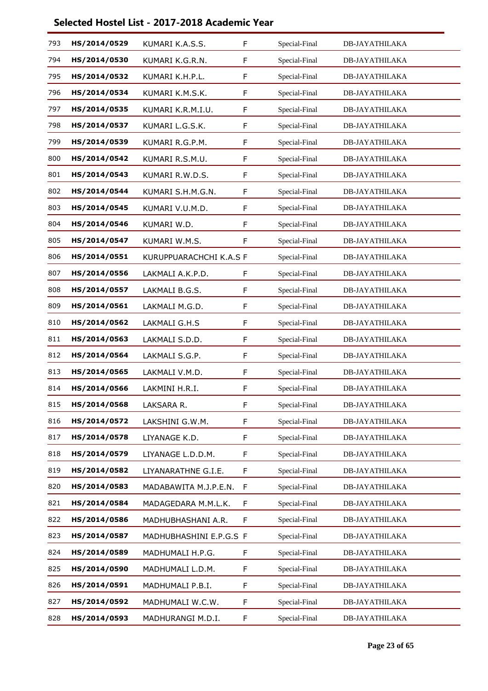| 793 | HS/2014/0529 | KUMARI K.A.S.S.         | F | Special-Final | <b>DB-JAYATHILAKA</b> |
|-----|--------------|-------------------------|---|---------------|-----------------------|
| 794 | HS/2014/0530 | KUMARI K.G.R.N.         | F | Special-Final | <b>DB-JAYATHILAKA</b> |
| 795 | HS/2014/0532 | KUMARI K.H.P.L.         | F | Special-Final | DB-JAYATHILAKA        |
| 796 | HS/2014/0534 | KUMARI K.M.S.K.         | F | Special-Final | <b>DB-JAYATHILAKA</b> |
| 797 | HS/2014/0535 | KUMARI K.R.M.I.U.       | F | Special-Final | <b>DB-JAYATHILAKA</b> |
| 798 | HS/2014/0537 | KUMARI L.G.S.K.         | F | Special-Final | <b>DB-JAYATHILAKA</b> |
| 799 | HS/2014/0539 | KUMARI R.G.P.M.         | F | Special-Final | <b>DB-JAYATHILAKA</b> |
| 800 | HS/2014/0542 | KUMARI R.S.M.U.         | F | Special-Final | <b>DB-JAYATHILAKA</b> |
| 801 | HS/2014/0543 | KUMARI R.W.D.S.         | F | Special-Final | DB-JAYATHILAKA        |
| 802 | HS/2014/0544 | KUMARI S.H.M.G.N.       | F | Special-Final | <b>DB-JAYATHILAKA</b> |
| 803 | HS/2014/0545 | KUMARI V.U.M.D.         | F | Special-Final | <b>DB-JAYATHILAKA</b> |
| 804 | HS/2014/0546 | KUMARI W.D.             | F | Special-Final | <b>DB-JAYATHILAKA</b> |
| 805 | HS/2014/0547 | KUMARI W.M.S.           | F | Special-Final | <b>DB-JAYATHILAKA</b> |
| 806 | HS/2014/0551 | KURUPPUARACHCHI K.A.S F |   | Special-Final | <b>DB-JAYATHILAKA</b> |
| 807 | HS/2014/0556 | LAKMALI A.K.P.D.        | F | Special-Final | <b>DB-JAYATHILAKA</b> |
| 808 | HS/2014/0557 | LAKMALI B.G.S.          | F | Special-Final | <b>DB-JAYATHILAKA</b> |
| 809 | HS/2014/0561 | LAKMALI M.G.D.          | F | Special-Final | <b>DB-JAYATHILAKA</b> |
| 810 | HS/2014/0562 | LAKMALI G.H.S           | F | Special-Final | DB-JAYATHILAKA        |
| 811 | HS/2014/0563 | LAKMALI S.D.D.          | F | Special-Final | <b>DB-JAYATHILAKA</b> |
| 812 | HS/2014/0564 | LAKMALI S.G.P.          | F | Special-Final | <b>DB-JAYATHILAKA</b> |
| 813 | HS/2014/0565 | LAKMALI V.M.D.          | F | Special-Final | <b>DB-JAYATHILAKA</b> |
| 814 | HS/2014/0566 | LAKMINI H.R.I.          | F | Special-Final | DB-JAYATHILAKA        |
| 815 | HS/2014/0568 | LAKSARA R.              | F | Special-Final | <b>DB-JAYATHILAKA</b> |
| 816 | HS/2014/0572 | LAKSHINI G.W.M.         | F | Special-Final | <b>DB-JAYATHILAKA</b> |
| 817 | HS/2014/0578 | LIYANAGE K.D.           | F | Special-Final | <b>DB-JAYATHILAKA</b> |
| 818 | HS/2014/0579 | LIYANAGE L.D.D.M.       | F | Special-Final | <b>DB-JAYATHILAKA</b> |
| 819 | HS/2014/0582 | LIYANARATHNE G.I.E.     | F | Special-Final | <b>DB-JAYATHILAKA</b> |
| 820 | HS/2014/0583 | MADABAWITA M.J.P.E.N.   | F | Special-Final | DB-JAYATHILAKA        |
| 821 | HS/2014/0584 | MADAGEDARA M.M.L.K.     | F | Special-Final | <b>DB-JAYATHILAKA</b> |
| 822 | HS/2014/0586 | MADHUBHASHANI A.R.      | F | Special-Final | <b>DB-JAYATHILAKA</b> |
| 823 | HS/2014/0587 | MADHUBHASHINI E.P.G.S F |   | Special-Final | DB-JAYATHILAKA        |
| 824 | HS/2014/0589 | MADHUMALI H.P.G.        | F | Special-Final | <b>DB-JAYATHILAKA</b> |
| 825 | HS/2014/0590 | MADHUMALI L.D.M.        | F | Special-Final | <b>DB-JAYATHILAKA</b> |
| 826 | HS/2014/0591 | MADHUMALI P.B.I.        | F | Special-Final | DB-JAYATHILAKA        |
| 827 | HS/2014/0592 | MADHUMALI W.C.W.        | F | Special-Final | <b>DB-JAYATHILAKA</b> |
| 828 | HS/2014/0593 | MADHURANGI M.D.I.       | F | Special-Final | <b>DB-JAYATHILAKA</b> |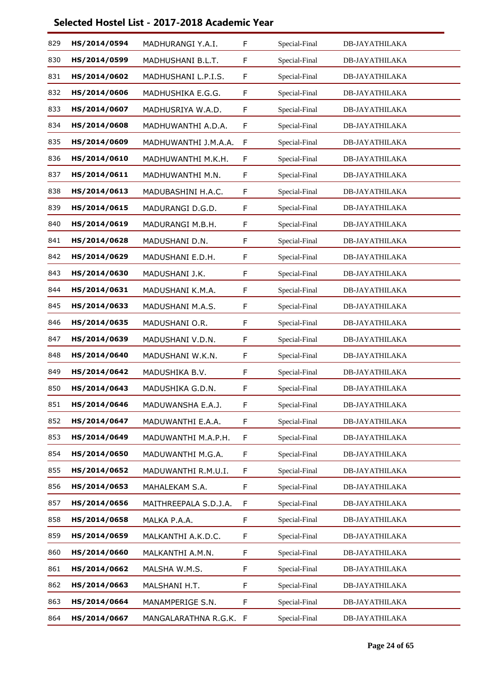| 829 | HS/2014/0594 | MADHURANGI Y.A.I.      | F           | Special-Final | <b>DB-JAYATHILAKA</b> |
|-----|--------------|------------------------|-------------|---------------|-----------------------|
| 830 | HS/2014/0599 | MADHUSHANI B.L.T.      | $\mathsf F$ | Special-Final | <b>DB-JAYATHILAKA</b> |
| 831 | HS/2014/0602 | MADHUSHANI L.P.I.S.    | F           | Special-Final | <b>DB-JAYATHILAKA</b> |
| 832 | HS/2014/0606 | MADHUSHIKA E.G.G.      | $\mathsf F$ | Special-Final | <b>DB-JAYATHILAKA</b> |
| 833 | HS/2014/0607 | MADHUSRIYA W.A.D.      | F           | Special-Final | <b>DB-JAYATHILAKA</b> |
| 834 | HS/2014/0608 | MADHUWANTHI A.D.A.     | F           | Special-Final | <b>DB-JAYATHILAKA</b> |
| 835 | HS/2014/0609 | MADHUWANTHI J.M.A.A.   | $\mathsf F$ | Special-Final | <b>DB-JAYATHILAKA</b> |
| 836 | HS/2014/0610 | MADHUWANTHI M.K.H.     | F           | Special-Final | <b>DB-JAYATHILAKA</b> |
| 837 | HS/2014/0611 | MADHUWANTHI M.N.       | F           | Special-Final | <b>DB-JAYATHILAKA</b> |
| 838 | HS/2014/0613 | MADUBASHINI H.A.C.     | F           | Special-Final | <b>DB-JAYATHILAKA</b> |
| 839 | HS/2014/0615 | MADURANGI D.G.D.       | F           | Special-Final | <b>DB-JAYATHILAKA</b> |
| 840 | HS/2014/0619 | MADURANGI M.B.H.       | F           | Special-Final | <b>DB-JAYATHILAKA</b> |
| 841 | HS/2014/0628 | MADUSHANI D.N.         | $\mathsf F$ | Special-Final | <b>DB-JAYATHILAKA</b> |
| 842 | HS/2014/0629 | MADUSHANI E.D.H.       | F           | Special-Final | <b>DB-JAYATHILAKA</b> |
| 843 | HS/2014/0630 | MADUSHANI J.K.         | F           | Special-Final | <b>DB-JAYATHILAKA</b> |
| 844 | HS/2014/0631 | MADUSHANI K.M.A.       | $\mathsf F$ | Special-Final | <b>DB-JAYATHILAKA</b> |
| 845 | HS/2014/0633 | MADUSHANI M.A.S.       | F           | Special-Final | <b>DB-JAYATHILAKA</b> |
| 846 | HS/2014/0635 | MADUSHANI O.R.         | F           | Special-Final | <b>DB-JAYATHILAKA</b> |
| 847 | HS/2014/0639 | MADUSHANI V.D.N.       | $\mathsf F$ | Special-Final | <b>DB-JAYATHILAKA</b> |
| 848 | HS/2014/0640 | MADUSHANI W.K.N.       | F           | Special-Final | <b>DB-JAYATHILAKA</b> |
| 849 | HS/2014/0642 | MADUSHIKA B.V.         | F           | Special-Final | <b>DB-JAYATHILAKA</b> |
| 850 | HS/2014/0643 | MADUSHIKA G.D.N.       | F           | Special-Final | <b>DB-JAYATHILAKA</b> |
| 851 | HS/2014/0646 | MADUWANSHA E.A.J.      | F           | Special-Final | <b>DB-JAYATHILAKA</b> |
| 852 | HS/2014/0647 | MADUWANTHI E.A.A.      | F           | Special-Final | DB-JAYATHILAKA        |
| 853 | HS/2014/0649 | MADUWANTHI M.A.P.H.    | F           | Special-Final | <b>DB-JAYATHILAKA</b> |
| 854 | HS/2014/0650 | MADUWANTHI M.G.A.      | $\mathsf F$ | Special-Final | <b>DB-JAYATHILAKA</b> |
| 855 | HS/2014/0652 | MADUWANTHI R.M.U.I.    | F           | Special-Final | <b>DB-JAYATHILAKA</b> |
| 856 | HS/2014/0653 | MAHALEKAM S.A.         | F           | Special-Final | <b>DB-JAYATHILAKA</b> |
| 857 | HS/2014/0656 | MAITHREEPALA S.D.J.A.  | $\mathsf F$ | Special-Final | <b>DB-JAYATHILAKA</b> |
| 858 | HS/2014/0658 | MALKA P.A.A.           | F           | Special-Final | <b>DB-JAYATHILAKA</b> |
| 859 | HS/2014/0659 | MALKANTHI A.K.D.C.     | F           | Special-Final | DB-JAYATHILAKA        |
| 860 | HS/2014/0660 | MALKANTHI A.M.N.       | $\mathsf F$ | Special-Final | <b>DB-JAYATHILAKA</b> |
| 861 | HS/2014/0662 | MALSHA W.M.S.          | F           | Special-Final | <b>DB-JAYATHILAKA</b> |
| 862 | HS/2014/0663 | MALSHANI H.T.          | F           | Special-Final | DB-JAYATHILAKA        |
| 863 | HS/2014/0664 | MANAMPERIGE S.N.       | $\mathsf F$ | Special-Final | <b>DB-JAYATHILAKA</b> |
| 864 | HS/2014/0667 | MANGALARATHNA R.G.K. F |             | Special-Final | <b>DB-JAYATHILAKA</b> |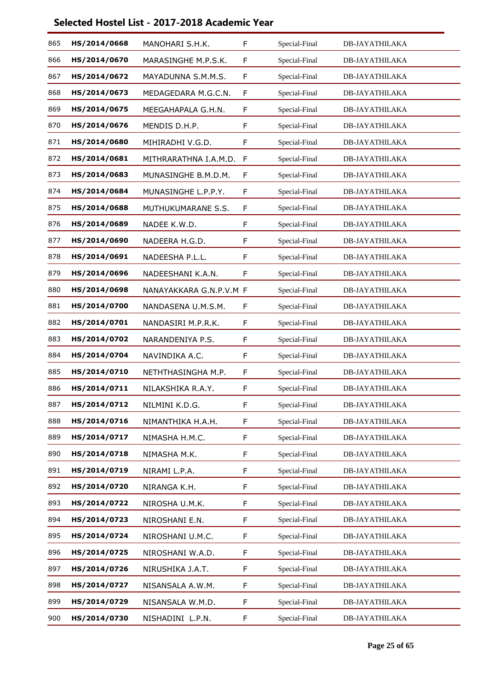| 865 | HS/2014/0668 | MANOHARI S.H.K.         | F           | Special-Final | <b>DB-JAYATHILAKA</b> |
|-----|--------------|-------------------------|-------------|---------------|-----------------------|
| 866 | HS/2014/0670 | MARASINGHE M.P.S.K.     | F           | Special-Final | <b>DB-JAYATHILAKA</b> |
| 867 | HS/2014/0672 | MAYADUNNA S.M.M.S.      | F           | Special-Final | <b>DB-JAYATHILAKA</b> |
| 868 | HS/2014/0673 | MEDAGEDARA M.G.C.N.     | $\mathsf F$ | Special-Final | <b>DB-JAYATHILAKA</b> |
| 869 | HS/2014/0675 | MEEGAHAPALA G.H.N.      | F           | Special-Final | <b>DB-JAYATHILAKA</b> |
| 870 | HS/2014/0676 | MENDIS D.H.P.           | F           | Special-Final | <b>DB-JAYATHILAKA</b> |
| 871 | HS/2014/0680 | MIHIRADHI V.G.D.        | $\mathsf F$ | Special-Final | <b>DB-JAYATHILAKA</b> |
| 872 | HS/2014/0681 | MITHRARATHNA I.A.M.D.   | F           | Special-Final | <b>DB-JAYATHILAKA</b> |
| 873 | HS/2014/0683 | MUNASINGHE B.M.D.M.     | F           | Special-Final | <b>DB-JAYATHILAKA</b> |
| 874 | HS/2014/0684 | MUNASINGHE L.P.P.Y.     | F           | Special-Final | <b>DB-JAYATHILAKA</b> |
| 875 | HS/2014/0688 | MUTHUKUMARANE S.S.      | F           | Special-Final | <b>DB-JAYATHILAKA</b> |
| 876 | HS/2014/0689 | NADEE K.W.D.            | F           | Special-Final | <b>DB-JAYATHILAKA</b> |
| 877 | HS/2014/0690 | NADEERA H.G.D.          | F           | Special-Final | <b>DB-JAYATHILAKA</b> |
| 878 | HS/2014/0691 | NADEESHA P.L.L.         | F           | Special-Final | <b>DB-JAYATHILAKA</b> |
| 879 | HS/2014/0696 | NADEESHANI K.A.N.       | F           | Special-Final | <b>DB-JAYATHILAKA</b> |
| 880 | HS/2014/0698 | NANAYAKKARA G.N.P.V.M F |             | Special-Final | <b>DB-JAYATHILAKA</b> |
| 881 | HS/2014/0700 | NANDASENA U.M.S.M.      | F           | Special-Final | <b>DB-JAYATHILAKA</b> |
| 882 | HS/2014/0701 | NANDASIRI M.P.R.K.      | F           | Special-Final | <b>DB-JAYATHILAKA</b> |
| 883 | HS/2014/0702 | NARANDENIYA P.S.        | $\mathsf F$ | Special-Final | <b>DB-JAYATHILAKA</b> |
| 884 | HS/2014/0704 | NAVINDIKA A.C.          | F           | Special-Final | <b>DB-JAYATHILAKA</b> |
| 885 | HS/2014/0710 | NETHTHASINGHA M.P.      | F           | Special-Final | <b>DB-JAYATHILAKA</b> |
| 886 | HS/2014/0711 | NILAKSHIKA R.A.Y.       | F           | Special-Final | <b>DB-JAYATHILAKA</b> |
| 887 | HS/2014/0712 | NILMINI K.D.G.          | F           | Special-Final | <b>DB-JAYATHILAKA</b> |
| 888 | HS/2014/0716 | NIMANTHIKA H.A.H.       | F           | Special-Final | DB-JAYATHILAKA        |
| 889 | HS/2014/0717 | NIMASHA H.M.C.          | F           | Special-Final | <b>DB-JAYATHILAKA</b> |
| 890 | HS/2014/0718 | NIMASHA M.K.            | F           | Special-Final | <b>DB-JAYATHILAKA</b> |
| 891 | HS/2014/0719 | NIRAMI L.P.A.           | F           | Special-Final | <b>DB-JAYATHILAKA</b> |
| 892 | HS/2014/0720 | NIRANGA K.H.            | F           | Special-Final | <b>DB-JAYATHILAKA</b> |
| 893 | HS/2014/0722 | NIROSHA U.M.K.          | F           | Special-Final | <b>DB-JAYATHILAKA</b> |
| 894 | HS/2014/0723 | NIROSHANI E.N.          | F           | Special-Final | <b>DB-JAYATHILAKA</b> |
| 895 | HS/2014/0724 | NIROSHANI U.M.C.        | F           | Special-Final | DB-JAYATHILAKA        |
| 896 | HS/2014/0725 | NIROSHANI W.A.D.        | $\mathsf F$ | Special-Final | <b>DB-JAYATHILAKA</b> |
| 897 | HS/2014/0726 | NIRUSHIKA J.A.T.        | F           | Special-Final | <b>DB-JAYATHILAKA</b> |
| 898 | HS/2014/0727 | NISANSALA A.W.M.        | F           | Special-Final | DB-JAYATHILAKA        |
| 899 | HS/2014/0729 | NISANSALA W.M.D.        | $\mathsf F$ | Special-Final | <b>DB-JAYATHILAKA</b> |
| 900 | HS/2014/0730 | NISHADINI L.P.N.        | F           | Special-Final | <b>DB-JAYATHILAKA</b> |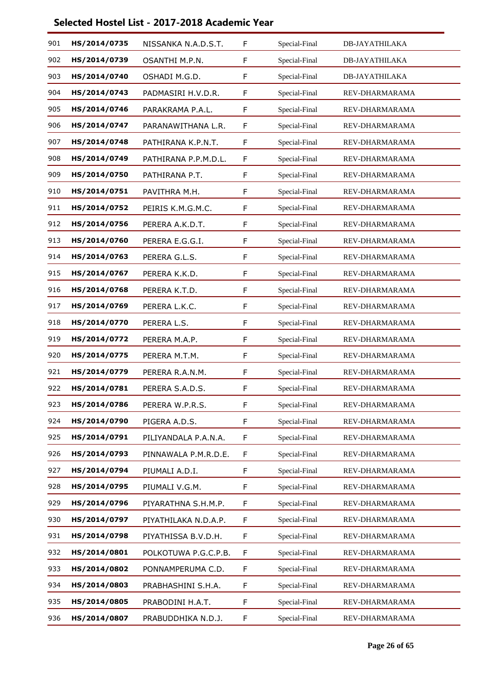| 901 | HS/2014/0735 | NISSANKA N.A.D.S.T.  | F           | Special-Final | <b>DB-JAYATHILAKA</b> |
|-----|--------------|----------------------|-------------|---------------|-----------------------|
| 902 | HS/2014/0739 | OSANTHI M.P.N.       | F           | Special-Final | <b>DB-JAYATHILAKA</b> |
| 903 | HS/2014/0740 | OSHADI M.G.D.        | F           | Special-Final | <b>DB-JAYATHILAKA</b> |
| 904 | HS/2014/0743 | PADMASIRI H.V.D.R.   | $\mathsf F$ | Special-Final | REV-DHARMARAMA        |
| 905 | HS/2014/0746 | PARAKRAMA P.A.L.     | F           | Special-Final | REV-DHARMARAMA        |
| 906 | HS/2014/0747 | PARANAWITHANA L.R.   | F           | Special-Final | REV-DHARMARAMA        |
| 907 | HS/2014/0748 | PATHIRANA K.P.N.T.   | $\mathsf F$ | Special-Final | REV-DHARMARAMA        |
| 908 | HS/2014/0749 | PATHIRANA P.P.M.D.L. | F           | Special-Final | REV-DHARMARAMA        |
| 909 | HS/2014/0750 | PATHIRANA P.T.       | F           | Special-Final | REV-DHARMARAMA        |
| 910 | HS/2014/0751 | PAVITHRA M.H.        | F           | Special-Final | REV-DHARMARAMA        |
| 911 | HS/2014/0752 | PEIRIS K.M.G.M.C.    | F           | Special-Final | REV-DHARMARAMA        |
| 912 | HS/2014/0756 | PERERA A.K.D.T.      | F           | Special-Final | REV-DHARMARAMA        |
| 913 | HS/2014/0760 | PERERA E.G.G.I.      | F           | Special-Final | REV-DHARMARAMA        |
| 914 | HS/2014/0763 | PERERA G.L.S.        | F           | Special-Final | REV-DHARMARAMA        |
| 915 | HS/2014/0767 | PERERA K.K.D.        | F           | Special-Final | REV-DHARMARAMA        |
| 916 | HS/2014/0768 | PERERA K.T.D.        | $\mathsf F$ | Special-Final | REV-DHARMARAMA        |
| 917 | HS/2014/0769 | PERERA L.K.C.        | F           | Special-Final | REV-DHARMARAMA        |
| 918 | HS/2014/0770 | PERERA L.S.          | F           | Special-Final | REV-DHARMARAMA        |
| 919 | HS/2014/0772 | PERERA M.A.P.        | $\mathsf F$ | Special-Final | REV-DHARMARAMA        |
| 920 | HS/2014/0775 | PERERA M.T.M.        | F           | Special-Final | REV-DHARMARAMA        |
| 921 | HS/2014/0779 | PERERA R.A.N.M.      | F           | Special-Final | REV-DHARMARAMA        |
| 922 | HS/2014/0781 | PERERA S.A.D.S.      | F           | Special-Final | REV-DHARMARAMA        |
| 923 | HS/2014/0786 | PERERA W.P.R.S.      | F           | Special-Final | REV-DHARMARAMA        |
| 924 | HS/2014/0790 | PIGERA A.D.S.        | F           | Special-Final | REV-DHARMARAMA        |
| 925 | HS/2014/0791 | PILIYANDALA P.A.N.A. | F           | Special-Final | REV-DHARMARAMA        |
| 926 | HS/2014/0793 | PINNAWALA P.M.R.D.E. | $\mathsf F$ | Special-Final | REV-DHARMARAMA        |
| 927 | HS/2014/0794 | PIUMALI A.D.I.       | F           | Special-Final | REV-DHARMARAMA        |
| 928 | HS/2014/0795 | PIUMALI V.G.M.       | F           | Special-Final | REV-DHARMARAMA        |
| 929 | HS/2014/0796 | PIYARATHNA S.H.M.P.  | $\mathsf F$ | Special-Final | REV-DHARMARAMA        |
| 930 | HS/2014/0797 | PIYATHILAKA N.D.A.P. | F           | Special-Final | REV-DHARMARAMA        |
| 931 | HS/2014/0798 | PIYATHISSA B.V.D.H.  | F           | Special-Final | REV-DHARMARAMA        |
| 932 | HS/2014/0801 | POLKOTUWA P.G.C.P.B. | F           | Special-Final | REV-DHARMARAMA        |
| 933 | HS/2014/0802 | PONNAMPERUMA C.D.    | F           | Special-Final | REV-DHARMARAMA        |
| 934 | HS/2014/0803 | PRABHASHINI S.H.A.   | F           | Special-Final | REV-DHARMARAMA        |
| 935 | HS/2014/0805 | PRABODINI H.A.T.     | F           | Special-Final | REV-DHARMARAMA        |
| 936 | HS/2014/0807 | PRABUDDHIKA N.D.J.   | F           | Special-Final | REV-DHARMARAMA        |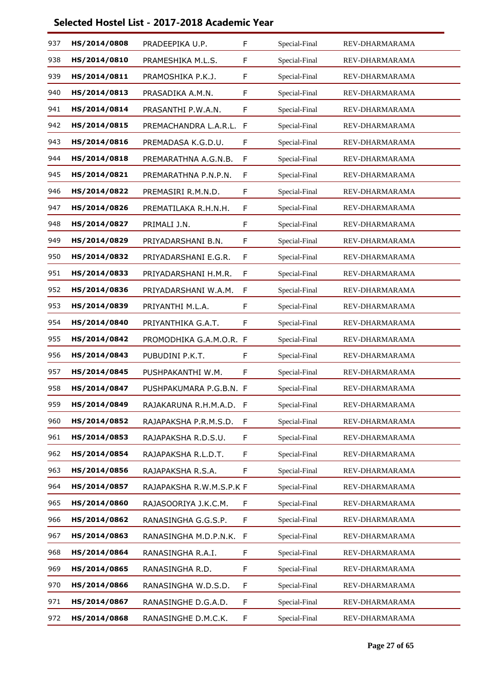| 937 | HS/2014/0808 | PRADEEPIKA U.P.          | F           | Special-Final | REV-DHARMARAMA |
|-----|--------------|--------------------------|-------------|---------------|----------------|
| 938 | HS/2014/0810 | PRAMESHIKA M.L.S.        | F           | Special-Final | REV-DHARMARAMA |
| 939 | HS/2014/0811 | PRAMOSHIKA P.K.J.        | F           | Special-Final | REV-DHARMARAMA |
| 940 | HS/2014/0813 | PRASADIKA A.M.N.         | F           | Special-Final | REV-DHARMARAMA |
| 941 | HS/2014/0814 | PRASANTHI P.W.A.N.       | $\mathsf F$ | Special-Final | REV-DHARMARAMA |
| 942 | HS/2014/0815 | PREMACHANDRA L.A.R.L.    | F           | Special-Final | REV-DHARMARAMA |
| 943 | HS/2014/0816 | PREMADASA K.G.D.U.       | F           | Special-Final | REV-DHARMARAMA |
| 944 | HS/2014/0818 | PREMARATHNA A.G.N.B.     | $\mathsf F$ | Special-Final | REV-DHARMARAMA |
| 945 | HS/2014/0821 | PREMARATHNA P.N.P.N.     | F           | Special-Final | REV-DHARMARAMA |
| 946 | HS/2014/0822 | PREMASIRI R.M.N.D.       | F           | Special-Final | REV-DHARMARAMA |
| 947 | HS/2014/0826 | PREMATILAKA R.H.N.H.     | F           | Special-Final | REV-DHARMARAMA |
| 948 | HS/2014/0827 | PRIMALI J.N.             | F           | Special-Final | REV-DHARMARAMA |
| 949 | HS/2014/0829 | PRIYADARSHANI B.N.       | F           | Special-Final | REV-DHARMARAMA |
| 950 | HS/2014/0832 | PRIYADARSHANI E.G.R.     | $\mathsf F$ | Special-Final | REV-DHARMARAMA |
| 951 | HS/2014/0833 | PRIYADARSHANI H.M.R.     | F           | Special-Final | REV-DHARMARAMA |
| 952 | HS/2014/0836 | PRIYADARSHANI W.A.M.     | F           | Special-Final | REV-DHARMARAMA |
| 953 | HS/2014/0839 | PRIYANTHI M.L.A.         | F           | Special-Final | REV-DHARMARAMA |
| 954 | HS/2014/0840 | PRIYANTHIKA G.A.T.       | F           | Special-Final | REV-DHARMARAMA |
| 955 | HS/2014/0842 | PROMODHIKA G.A.M.O.R. F  |             | Special-Final | REV-DHARMARAMA |
| 956 | HS/2014/0843 | PUBUDINI P.K.T.          | F           | Special-Final | REV-DHARMARAMA |
| 957 | HS/2014/0845 | PUSHPAKANTHI W.M.        | F           | Special-Final | REV-DHARMARAMA |
| 958 | HS/2014/0847 | PUSHPAKUMARA P.G.B.N. F  |             | Special-Final | REV-DHARMARAMA |
| 959 | HS/2014/0849 | RAJAKARUNA R.H.M.A.D.    | $\mathsf F$ | Special-Final | REV-DHARMARAMA |
| 960 | HS/2014/0852 | RAJAPAKSHA P.R.M.S.D.    | F           | Special-Final | REV-DHARMARAMA |
| 961 | HS/2014/0853 | RAJAPAKSHA R.D.S.U.      | F           | Special-Final | REV-DHARMARAMA |
| 962 | HS/2014/0854 | RAJAPAKSHA R.L.D.T.      | $\mathsf F$ | Special-Final | REV-DHARMARAMA |
| 963 | HS/2014/0856 | RAJAPAKSHA R.S.A.        | F           | Special-Final | REV-DHARMARAMA |
| 964 | HS/2014/0857 | RAJAPAKSHA R.W.M.S.P.K F |             | Special-Final | REV-DHARMARAMA |
| 965 | HS/2014/0860 | RAJASOORIYA J.K.C.M.     | F           | Special-Final | REV-DHARMARAMA |
| 966 | HS/2014/0862 | RANASINGHA G.G.S.P.      | F           | Special-Final | REV-DHARMARAMA |
| 967 | HS/2014/0863 | RANASINGHA M.D.P.N.K.    | F           | Special-Final | REV-DHARMARAMA |
| 968 | HS/2014/0864 | RANASINGHA R.A.I.        | F           | Special-Final | REV-DHARMARAMA |
| 969 | HS/2014/0865 | RANASINGHA R.D.          | F           | Special-Final | REV-DHARMARAMA |
| 970 | HS/2014/0866 | RANASINGHA W.D.S.D.      | F           | Special-Final | REV-DHARMARAMA |
| 971 | HS/2014/0867 | RANASINGHE D.G.A.D.      | F           | Special-Final | REV-DHARMARAMA |
| 972 | HS/2014/0868 | RANASINGHE D.M.C.K.      | F           | Special-Final | REV-DHARMARAMA |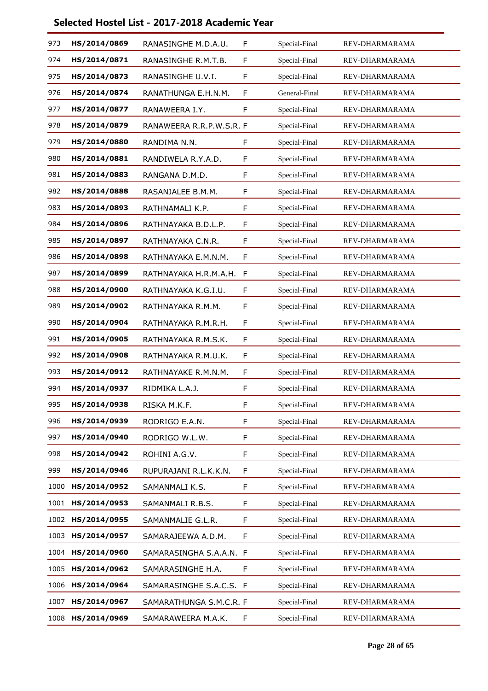| 973  | HS/2014/0869 | RANASINGHE M.D.A.U.      | F           | Special-Final | REV-DHARMARAMA |
|------|--------------|--------------------------|-------------|---------------|----------------|
| 974  | HS/2014/0871 | RANASINGHE R.M.T.B.      | F           | Special-Final | REV-DHARMARAMA |
| 975  | HS/2014/0873 | RANASINGHE U.V.I.        | F           | Special-Final | REV-DHARMARAMA |
| 976  | HS/2014/0874 | RANATHUNGA E.H.N.M.      | F           | General-Final | REV-DHARMARAMA |
| 977  | HS/2014/0877 | RANAWEERA I.Y.           | F           | Special-Final | REV-DHARMARAMA |
| 978  | HS/2014/0879 | RANAWEERA R.R.P.W.S.R. F |             | Special-Final | REV-DHARMARAMA |
| 979  | HS/2014/0880 | RANDIMA N.N.             | F           | Special-Final | REV-DHARMARAMA |
| 980  | HS/2014/0881 | RANDIWELA R.Y.A.D.       | F           | Special-Final | REV-DHARMARAMA |
| 981  | HS/2014/0883 | RANGANA D.M.D.           | F           | Special-Final | REV-DHARMARAMA |
| 982  | HS/2014/0888 | RASANJALEE B.M.M.        | F           | Special-Final | REV-DHARMARAMA |
| 983  | HS/2014/0893 | RATHNAMALI K.P.          | F           | Special-Final | REV-DHARMARAMA |
| 984  | HS/2014/0896 | RATHNAYAKA B.D.L.P.      | F           | Special-Final | REV-DHARMARAMA |
| 985  | HS/2014/0897 | RATHNAYAKA C.N.R.        | F           | Special-Final | REV-DHARMARAMA |
| 986  | HS/2014/0898 | RATHNAYAKA E.M.N.M.      | F           | Special-Final | REV-DHARMARAMA |
| 987  | HS/2014/0899 | RATHNAYAKA H.R.M.A.H.    | F           | Special-Final | REV-DHARMARAMA |
| 988  | HS/2014/0900 | RATHNAYAKA K.G.I.U.      | F           | Special-Final | REV-DHARMARAMA |
| 989  | HS/2014/0902 | RATHNAYAKA R.M.M.        | F           | Special-Final | REV-DHARMARAMA |
| 990  | HS/2014/0904 | RATHNAYAKA R.M.R.H.      | F           | Special-Final | REV-DHARMARAMA |
| 991  | HS/2014/0905 | RATHNAYAKA R.M.S.K.      | F           | Special-Final | REV-DHARMARAMA |
| 992  | HS/2014/0908 | RATHNAYAKA R.M.U.K.      | F           | Special-Final | REV-DHARMARAMA |
| 993  | HS/2014/0912 | RATHNAYAKE R.M.N.M.      | F           | Special-Final | REV-DHARMARAMA |
| 994  | HS/2014/0937 | RIDMIKA L.A.J.           | F           | Special-Final | REV-DHARMARAMA |
| 995  | HS/2014/0938 | RISKA M.K.F.             | F           | Special-Final | REV-DHARMARAMA |
| 996  | HS/2014/0939 | RODRIGO E.A.N.           | F           | Special-Final | REV-DHARMARAMA |
| 997  | HS/2014/0940 | RODRIGO W.L.W.           | F           | Special-Final | REV-DHARMARAMA |
| 998  | HS/2014/0942 | ROHINI A.G.V.            | $\mathsf F$ | Special-Final | REV-DHARMARAMA |
| 999  | HS/2014/0946 | RUPURAJANI R.L.K.K.N.    | F           | Special-Final | REV-DHARMARAMA |
| 1000 | HS/2014/0952 | SAMANMALI K.S.           | F           | Special-Final | REV-DHARMARAMA |
| 1001 | HS/2014/0953 | SAMANMALI R.B.S.         | F           | Special-Final | REV-DHARMARAMA |
| 1002 | HS/2014/0955 | SAMANMALIE G.L.R.        | F           | Special-Final | REV-DHARMARAMA |
| 1003 | HS/2014/0957 | SAMARAJEEWA A.D.M.       | F           | Special-Final | REV-DHARMARAMA |
| 1004 | HS/2014/0960 | SAMARASINGHA S.A.A.N. F  |             | Special-Final | REV-DHARMARAMA |
| 1005 | HS/2014/0962 | SAMARASINGHE H.A.        | F           | Special-Final | REV-DHARMARAMA |
| 1006 | HS/2014/0964 | SAMARASINGHE S.A.C.S. F  |             | Special-Final | REV-DHARMARAMA |
| 1007 | HS/2014/0967 | SAMARATHUNGA S.M.C.R. F  |             | Special-Final | REV-DHARMARAMA |
| 1008 | HS/2014/0969 | SAMARAWEERA M.A.K.       | F           | Special-Final | REV-DHARMARAMA |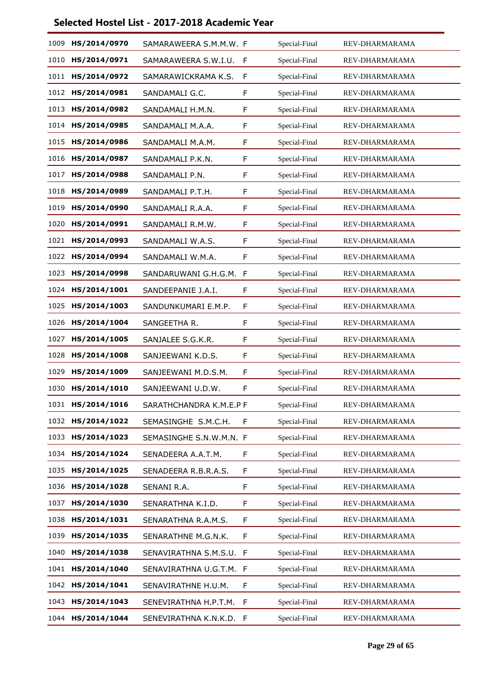| 1009 | HS/2014/0970 | SAMARAWEERA S.M.M.W. F  |    | Special-Final | REV-DHARMARAMA |
|------|--------------|-------------------------|----|---------------|----------------|
| 1010 | HS/2014/0971 | SAMARAWEERA S.W.I.U.    | F  | Special-Final | REV-DHARMARAMA |
| 1011 | HS/2014/0972 | SAMARAWICKRAMA K.S.     | F  | Special-Final | REV-DHARMARAMA |
| 1012 | HS/2014/0981 | SANDAMALI G.C.          | F  | Special-Final | REV-DHARMARAMA |
| 1013 | HS/2014/0982 | SANDAMALI H.M.N.        | F  | Special-Final | REV-DHARMARAMA |
| 1014 | HS/2014/0985 | SANDAMALI M.A.A.        | F  | Special-Final | REV-DHARMARAMA |
| 1015 | HS/2014/0986 | SANDAMALI M.A.M.        | F  | Special-Final | REV-DHARMARAMA |
| 1016 | HS/2014/0987 | SANDAMALI P.K.N.        | F  | Special-Final | REV-DHARMARAMA |
| 1017 | HS/2014/0988 | SANDAMALI P.N.          | F  | Special-Final | REV-DHARMARAMA |
| 1018 | HS/2014/0989 | SANDAMALI P.T.H.        | F  | Special-Final | REV-DHARMARAMA |
| 1019 | HS/2014/0990 | SANDAMALI R.A.A.        | F  | Special-Final | REV-DHARMARAMA |
| 1020 | HS/2014/0991 | SANDAMALI R.M.W.        | F  | Special-Final | REV-DHARMARAMA |
| 1021 | HS/2014/0993 | SANDAMALI W.A.S.        | F  | Special-Final | REV-DHARMARAMA |
| 1022 | HS/2014/0994 | SANDAMALI W.M.A.        | F  | Special-Final | REV-DHARMARAMA |
| 1023 | HS/2014/0998 | SANDARUWANI G.H.G.M.    | F  | Special-Final | REV-DHARMARAMA |
| 1024 | HS/2014/1001 | SANDEEPANIE J.A.I.      | F  | Special-Final | REV-DHARMARAMA |
| 1025 | HS/2014/1003 | SANDUNKUMARI E.M.P.     | F  | Special-Final | REV-DHARMARAMA |
| 1026 | HS/2014/1004 | SANGEETHA R.            | F  | Special-Final | REV-DHARMARAMA |
| 1027 | HS/2014/1005 | SANJALEE S.G.K.R.       | F  | Special-Final | REV-DHARMARAMA |
| 1028 | HS/2014/1008 | SANJEEWANI K.D.S.       | F  | Special-Final | REV-DHARMARAMA |
| 1029 | HS/2014/1009 | SANJEEWANI M.D.S.M.     | F  | Special-Final | REV-DHARMARAMA |
| 1030 | HS/2014/1010 | SANJEEWANI U.D.W.       | F  | Special-Final | REV-DHARMARAMA |
| 1031 | HS/2014/1016 | SARATHCHANDRA K.M.E.P F |    | Special-Final | REV-DHARMARAMA |
| 1032 | HS/2014/1022 | SEMASINGHE S.M.C.H.     | F  | Special-Final | REV-DHARMARAMA |
| 1033 | HS/2014/1023 | SEMASINGHE S.N.W.M.N. F |    | Special-Final | REV-DHARMARAMA |
| 1034 | HS/2014/1024 | SENADEERA A.A.T.M.      | F  | Special-Final | REV-DHARMARAMA |
| 1035 | HS/2014/1025 | SENADEERA R.B.R.A.S.    | F  | Special-Final | REV-DHARMARAMA |
| 1036 | HS/2014/1028 | SENANI R.A.             | F  | Special-Final | REV-DHARMARAMA |
| 1037 | HS/2014/1030 | SENARATHNA K.I.D.       | F  | Special-Final | REV-DHARMARAMA |
| 1038 | HS/2014/1031 | SENARATHNA R.A.M.S.     | F  | Special-Final | REV-DHARMARAMA |
| 1039 | HS/2014/1035 | SENARATHNE M.G.N.K.     | F  | Special-Final | REV-DHARMARAMA |
| 1040 | HS/2014/1038 | SENAVIRATHNA S.M.S.U.   | F  | Special-Final | REV-DHARMARAMA |
| 1041 | HS/2014/1040 | SENAVIRATHNA U.G.T.M. F |    | Special-Final | REV-DHARMARAMA |
| 1042 | HS/2014/1041 | SENAVIRATHNE H.U.M.     | F  | Special-Final | REV-DHARMARAMA |
| 1043 | HS/2014/1043 | SENEVIRATHNA H.P.T.M.   | F  | Special-Final | REV-DHARMARAMA |
| 1044 | HS/2014/1044 | SENEVIRATHNA K.N.K.D.   | -F | Special-Final | REV-DHARMARAMA |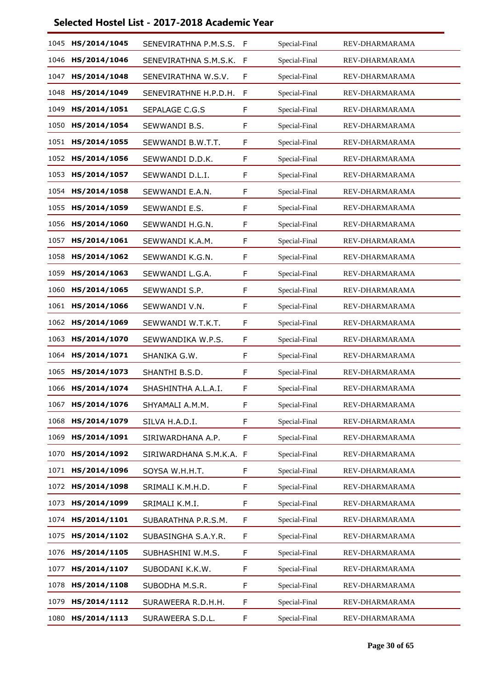| 1045 | HS/2014/1045 | SENEVIRATHNA P.M.S.S.   | F | Special-Final | REV-DHARMARAMA |
|------|--------------|-------------------------|---|---------------|----------------|
| 1046 | HS/2014/1046 | SENEVIRATHNA S.M.S.K.   | F | Special-Final | REV-DHARMARAMA |
| 1047 | HS/2014/1048 | SENEVIRATHNA W.S.V.     | F | Special-Final | REV-DHARMARAMA |
| 1048 | HS/2014/1049 | SENEVIRATHNE H.P.D.H.   | F | Special-Final | REV-DHARMARAMA |
| 1049 | HS/2014/1051 | SEPALAGE C.G.S          | F | Special-Final | REV-DHARMARAMA |
| 1050 | HS/2014/1054 | SEWWANDI B.S.           | F | Special-Final | REV-DHARMARAMA |
| 1051 | HS/2014/1055 | SEWWANDI B.W.T.T.       | F | Special-Final | REV-DHARMARAMA |
| 1052 | HS/2014/1056 | SEWWANDI D.D.K.         | F | Special-Final | REV-DHARMARAMA |
| 1053 | HS/2014/1057 | SEWWANDI D.L.I.         | F | Special-Final | REV-DHARMARAMA |
| 1054 | HS/2014/1058 | SEWWANDI E.A.N.         | F | Special-Final | REV-DHARMARAMA |
| 1055 | HS/2014/1059 | SEWWANDI E.S.           | F | Special-Final | REV-DHARMARAMA |
| 1056 | HS/2014/1060 | SEWWANDI H.G.N.         | F | Special-Final | REV-DHARMARAMA |
| 1057 | HS/2014/1061 | SEWWANDI K.A.M.         | F | Special-Final | REV-DHARMARAMA |
| 1058 | HS/2014/1062 | SEWWANDI K.G.N.         | F | Special-Final | REV-DHARMARAMA |
| 1059 | HS/2014/1063 | SEWWANDI L.G.A.         | F | Special-Final | REV-DHARMARAMA |
| 1060 | HS/2014/1065 | SEWWANDI S.P.           | F | Special-Final | REV-DHARMARAMA |
| 1061 | HS/2014/1066 | SEWWANDI V.N.           | F | Special-Final | REV-DHARMARAMA |
| 1062 | HS/2014/1069 | SEWWANDI W.T.K.T.       | F | Special-Final | REV-DHARMARAMA |
| 1063 | HS/2014/1070 | SEWWANDIKA W.P.S.       | F | Special-Final | REV-DHARMARAMA |
| 1064 | HS/2014/1071 | SHANIKA G.W.            | F | Special-Final | REV-DHARMARAMA |
| 1065 | HS/2014/1073 | SHANTHI B.S.D.          | F | Special-Final | REV-DHARMARAMA |
| 1066 | HS/2014/1074 | SHASHINTHA A.L.A.I.     | F | Special-Final | REV-DHARMARAMA |
| 1067 | HS/2014/1076 | SHYAMALI A.M.M.         | F | Special-Final | REV-DHARMARAMA |
| 1068 | HS/2014/1079 | SILVA H.A.D.I.          | F | Special-Final | REV-DHARMARAMA |
| 1069 | HS/2014/1091 | SIRIWARDHANA A.P.       | F | Special-Final | REV-DHARMARAMA |
| 1070 | HS/2014/1092 | SIRIWARDHANA S.M.K.A. F |   | Special-Final | REV-DHARMARAMA |
| 1071 | HS/2014/1096 | SOYSA W.H.H.T.          | F | Special-Final | REV-DHARMARAMA |
| 1072 | HS/2014/1098 | SRIMALI K.M.H.D.        | F | Special-Final | REV-DHARMARAMA |
| 1073 | HS/2014/1099 | SRIMALI K.M.I.          | F | Special-Final | REV-DHARMARAMA |
| 1074 | HS/2014/1101 | SUBARATHNA P.R.S.M.     | F | Special-Final | REV-DHARMARAMA |
| 1075 | HS/2014/1102 | SUBASINGHA S.A.Y.R.     | F | Special-Final | REV-DHARMARAMA |
| 1076 | HS/2014/1105 | SUBHASHINI W.M.S.       | F | Special-Final | REV-DHARMARAMA |
| 1077 | HS/2014/1107 | SUBODANI K.K.W.         | F | Special-Final | REV-DHARMARAMA |
| 1078 | HS/2014/1108 | SUBODHA M.S.R.          | F | Special-Final | REV-DHARMARAMA |
| 1079 | HS/2014/1112 | SURAWEERA R.D.H.H.      | F | Special-Final | REV-DHARMARAMA |
| 1080 | HS/2014/1113 | SURAWEERA S.D.L.        | F | Special-Final | REV-DHARMARAMA |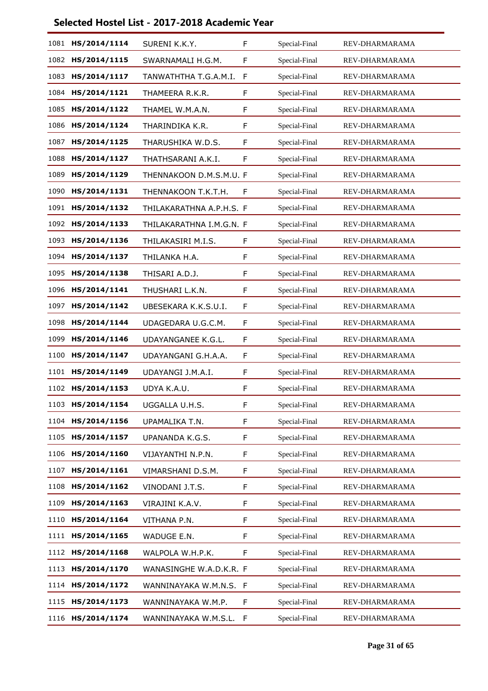| 1081 | HS/2014/1114      | SURENI K.K.Y.            | F | Special-Final | REV-DHARMARAMA |
|------|-------------------|--------------------------|---|---------------|----------------|
| 1082 | HS/2014/1115      | SWARNAMALI H.G.M.        | F | Special-Final | REV-DHARMARAMA |
| 1083 | HS/2014/1117      | TANWATHTHA T.G.A.M.I.    | F | Special-Final | REV-DHARMARAMA |
| 1084 | HS/2014/1121      | THAMEERA R.K.R.          | F | Special-Final | REV-DHARMARAMA |
| 1085 | HS/2014/1122      | THAMEL W.M.A.N.          | F | Special-Final | REV-DHARMARAMA |
| 1086 | HS/2014/1124      | THARINDIKA K.R.          | F | Special-Final | REV-DHARMARAMA |
| 1087 | HS/2014/1125      | THARUSHIKA W.D.S.        | F | Special-Final | REV-DHARMARAMA |
| 1088 | HS/2014/1127      | THATHSARANI A.K.I.       | F | Special-Final | REV-DHARMARAMA |
| 1089 | HS/2014/1129      | THENNAKOON D.M.S.M.U. F  |   | Special-Final | REV-DHARMARAMA |
| 1090 | HS/2014/1131      | THENNAKOON T.K.T.H.      | F | Special-Final | REV-DHARMARAMA |
| 1091 | HS/2014/1132      | THILAKARATHNA A.P.H.S. F |   | Special-Final | REV-DHARMARAMA |
| 1092 | HS/2014/1133      | THILAKARATHNA I.M.G.N. F |   | Special-Final | REV-DHARMARAMA |
| 1093 | HS/2014/1136      | THILAKASIRI M.I.S.       | F | Special-Final | REV-DHARMARAMA |
| 1094 | HS/2014/1137      | THILANKA H.A.            | F | Special-Final | REV-DHARMARAMA |
| 1095 | HS/2014/1138      | THISARI A.D.J.           | F | Special-Final | REV-DHARMARAMA |
| 1096 | HS/2014/1141      | THUSHARI L.K.N.          | F | Special-Final | REV-DHARMARAMA |
| 1097 | HS/2014/1142      | UBESEKARA K.K.S.U.I.     | F | Special-Final | REV-DHARMARAMA |
| 1098 | HS/2014/1144      | UDAGEDARA U.G.C.M.       | F | Special-Final | REV-DHARMARAMA |
| 1099 | HS/2014/1146      | UDAYANGANEE K.G.L.       | F | Special-Final | REV-DHARMARAMA |
| 1100 | HS/2014/1147      | UDAYANGANI G.H.A.A.      | F | Special-Final | REV-DHARMARAMA |
| 1101 | HS/2014/1149      | UDAYANGI J.M.A.I.        | F | Special-Final | REV-DHARMARAMA |
| 1102 | HS/2014/1153      | UDYA K.A.U.              | F | Special-Final | REV-DHARMARAMA |
| 1103 | HS/2014/1154      | UGGALLA U.H.S.           | F | Special-Final | REV-DHARMARAMA |
| 1104 | HS/2014/1156      | UPAMALIKA T.N.           | F | Special-Final | REV-DHARMARAMA |
| 1105 | HS/2014/1157      | UPANANDA K.G.S.          | F | Special-Final | REV-DHARMARAMA |
| 1106 | HS/2014/1160      | VIJAYANTHI N.P.N.        | F | Special-Final | REV-DHARMARAMA |
| 1107 | HS/2014/1161      | VIMARSHANI D.S.M.        | F | Special-Final | REV-DHARMARAMA |
| 1108 | HS/2014/1162      | VINODANI J.T.S.          | F | Special-Final | REV-DHARMARAMA |
| 1109 | HS/2014/1163      | VIRAJINI K.A.V.          | F | Special-Final | REV-DHARMARAMA |
| 1110 | HS/2014/1164      | VITHANA P.N.             | F | Special-Final | REV-DHARMARAMA |
| 1111 | HS/2014/1165      | WADUGE E.N.              | F | Special-Final | REV-DHARMARAMA |
| 1112 | HS/2014/1168      | WALPOLA W.H.P.K.         | F | Special-Final | REV-DHARMARAMA |
| 1113 | HS/2014/1170      | WANASINGHE W.A.D.K.R. F  |   | Special-Final | REV-DHARMARAMA |
| 1114 | HS/2014/1172      | WANNINAYAKA W.M.N.S. F   |   | Special-Final | REV-DHARMARAMA |
| 1115 | HS/2014/1173      | WANNINAYAKA W.M.P.       | F | Special-Final | REV-DHARMARAMA |
|      | 1116 HS/2014/1174 | WANNINAYAKA W.M.S.L.     | F | Special-Final | REV-DHARMARAMA |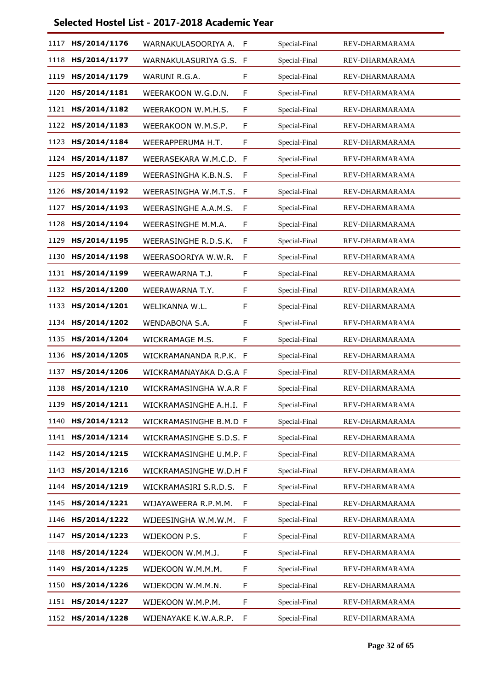| 1117 | HS/2014/1176 | WARNAKULASOORIYA A.     | F | Special-Final | REV-DHARMARAMA |
|------|--------------|-------------------------|---|---------------|----------------|
| 1118 | HS/2014/1177 | WARNAKULASURIYA G.S. F  |   | Special-Final | REV-DHARMARAMA |
| 1119 | HS/2014/1179 | WARUNI R.G.A.           | F | Special-Final | REV-DHARMARAMA |
| 1120 | HS/2014/1181 | WEERAKOON W.G.D.N.      | F | Special-Final | REV-DHARMARAMA |
| 1121 | HS/2014/1182 | WEERAKOON W.M.H.S.      | F | Special-Final | REV-DHARMARAMA |
| 1122 | HS/2014/1183 | WEERAKOON W.M.S.P.      | F | Special-Final | REV-DHARMARAMA |
| 1123 | HS/2014/1184 | WEERAPPERUMA H.T.       | F | Special-Final | REV-DHARMARAMA |
| 1124 | HS/2014/1187 | WEERASEKARA W.M.C.D. F  |   | Special-Final | REV-DHARMARAMA |
| 1125 | HS/2014/1189 | WEERASINGHA K.B.N.S.    | F | Special-Final | REV-DHARMARAMA |
| 1126 | HS/2014/1192 | WEERASINGHA W.M.T.S.    | F | Special-Final | REV-DHARMARAMA |
| 1127 | HS/2014/1193 | WEERASINGHE A.A.M.S.    | F | Special-Final | REV-DHARMARAMA |
| 1128 | HS/2014/1194 | WEERASINGHE M.M.A.      | F | Special-Final | REV-DHARMARAMA |
| 1129 | HS/2014/1195 | WEERASINGHE R.D.S.K.    | F | Special-Final | REV-DHARMARAMA |
| 1130 | HS/2014/1198 | WEERASOORIYA W.W.R.     | F | Special-Final | REV-DHARMARAMA |
| 1131 | HS/2014/1199 | WEERAWARNA T.J.         | F | Special-Final | REV-DHARMARAMA |
| 1132 | HS/2014/1200 | WEERAWARNA T.Y.         | F | Special-Final | REV-DHARMARAMA |
| 1133 | HS/2014/1201 | WELIKANNA W.L.          | F | Special-Final | REV-DHARMARAMA |
| 1134 | HS/2014/1202 | WENDABONA S.A.          | F | Special-Final | REV-DHARMARAMA |
| 1135 | HS/2014/1204 | WICKRAMAGE M.S.         | F | Special-Final | REV-DHARMARAMA |
| 1136 | HS/2014/1205 | WICKRAMANANDA R.P.K.    | F | Special-Final | REV-DHARMARAMA |
| 1137 | HS/2014/1206 | WICKRAMANAYAKA D.G.A F  |   | Special-Final | REV-DHARMARAMA |
| 1138 | HS/2014/1210 | WICKRAMASINGHA W.A.R F  |   | Special-Final | REV-DHARMARAMA |
| 1139 | HS/2014/1211 | WICKRAMASINGHE A.H.I. F |   | Special-Final | REV-DHARMARAMA |
| 1140 | HS/2014/1212 | WICKRAMASINGHE B.M.D F  |   | Special-Final | REV-DHARMARAMA |
| 1141 | HS/2014/1214 | WICKRAMASINGHE S.D.S. F |   | Special-Final | REV-DHARMARAMA |
| 1142 | HS/2014/1215 | WICKRAMASINGHE U.M.P. F |   | Special-Final | REV-DHARMARAMA |
| 1143 | HS/2014/1216 | WICKRAMASINGHE W.D.H F  |   | Special-Final | REV-DHARMARAMA |
| 1144 | HS/2014/1219 | WICKRAMASIRI S.R.D.S.   | F | Special-Final | REV-DHARMARAMA |
| 1145 | HS/2014/1221 | WIJAYAWEERA R.P.M.M.    | F | Special-Final | REV-DHARMARAMA |
| 1146 | HS/2014/1222 | WIJEESINGHA W.M.W.M.    | F | Special-Final | REV-DHARMARAMA |
| 1147 | HS/2014/1223 | WIJEKOON P.S.           | F | Special-Final | REV-DHARMARAMA |
| 1148 | HS/2014/1224 | WIJEKOON W.M.M.J.       | F | Special-Final | REV-DHARMARAMA |
| 1149 | HS/2014/1225 | WIJEKOON W.M.M.M.       | F | Special-Final | REV-DHARMARAMA |
| 1150 | HS/2014/1226 | WIJEKOON W.M.M.N.       | F | Special-Final | REV-DHARMARAMA |
| 1151 | HS/2014/1227 | WIJEKOON W.M.P.M.       | F | Special-Final | REV-DHARMARAMA |
| 1152 | HS/2014/1228 | WIJENAYAKE K.W.A.R.P.   | F | Special-Final | REV-DHARMARAMA |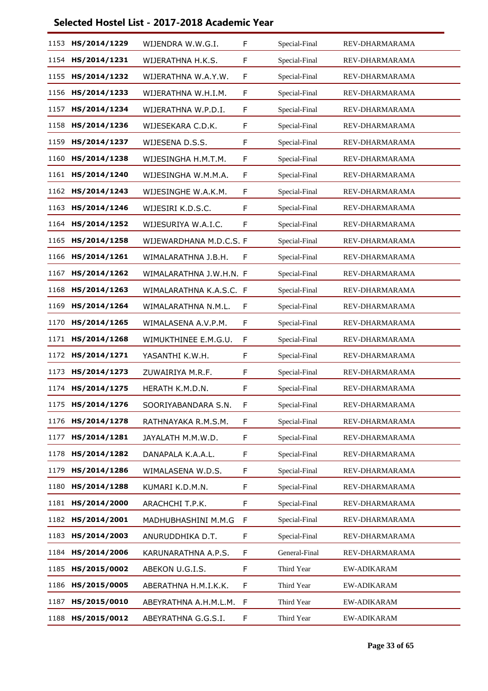| 1153 | HS/2014/1229 | WIJENDRA W.W.G.I.       | F | Special-Final | REV-DHARMARAMA |
|------|--------------|-------------------------|---|---------------|----------------|
| 1154 | HS/2014/1231 | WIJERATHNA H.K.S.       | F | Special-Final | REV-DHARMARAMA |
| 1155 | HS/2014/1232 | WIJERATHNA W.A.Y.W.     | F | Special-Final | REV-DHARMARAMA |
| 1156 | HS/2014/1233 | WIJERATHNA W.H.I.M.     | F | Special-Final | REV-DHARMARAMA |
| 1157 | HS/2014/1234 | WIJERATHNA W.P.D.I.     | F | Special-Final | REV-DHARMARAMA |
| 1158 | HS/2014/1236 | WIJESEKARA C.D.K.       | F | Special-Final | REV-DHARMARAMA |
| 1159 | HS/2014/1237 | WIJESENA D.S.S.         | F | Special-Final | REV-DHARMARAMA |
| 1160 | HS/2014/1238 | WIJESINGHA H.M.T.M.     | F | Special-Final | REV-DHARMARAMA |
| 1161 | HS/2014/1240 | WIJESINGHA W.M.M.A.     | F | Special-Final | REV-DHARMARAMA |
| 1162 | HS/2014/1243 | WIJESINGHE W.A.K.M.     | F | Special-Final | REV-DHARMARAMA |
| 1163 | HS/2014/1246 | WIJESIRI K.D.S.C.       | F | Special-Final | REV-DHARMARAMA |
| 1164 | HS/2014/1252 | WIJESURIYA W.A.I.C.     | F | Special-Final | REV-DHARMARAMA |
| 1165 | HS/2014/1258 | WIJEWARDHANA M.D.C.S. F |   | Special-Final | REV-DHARMARAMA |
| 1166 | HS/2014/1261 | WIMALARATHNA J.B.H.     | F | Special-Final | REV-DHARMARAMA |
| 1167 | HS/2014/1262 | WIMALARATHNA J.W.H.N. F |   | Special-Final | REV-DHARMARAMA |
| 1168 | HS/2014/1263 | WIMALARATHNA K.A.S.C. F |   | Special-Final | REV-DHARMARAMA |
| 1169 | HS/2014/1264 | WIMALARATHNA N.M.L.     | F | Special-Final | REV-DHARMARAMA |
| 1170 | HS/2014/1265 | WIMALASENA A.V.P.M.     | F | Special-Final | REV-DHARMARAMA |
| 1171 | HS/2014/1268 | WIMUKTHINEE E.M.G.U.    | F | Special-Final | REV-DHARMARAMA |
| 1172 | HS/2014/1271 | YASANTHI K.W.H.         | F | Special-Final | REV-DHARMARAMA |
| 1173 | HS/2014/1273 | ZUWAIRIYA M.R.F.        | F | Special-Final | REV-DHARMARAMA |
| 1174 | HS/2014/1275 | HERATH K.M.D.N.         | F | Special-Final | REV-DHARMARAMA |
| 1175 | HS/2014/1276 | SOORIYABANDARA S.N.     | F | Special-Final | REV-DHARMARAMA |
| 1176 | HS/2014/1278 | RATHNAYAKA R.M.S.M.     | F | Special-Final | REV-DHARMARAMA |
| 1177 | HS/2014/1281 | JAYALATH M.M.W.D.       | F | Special-Final | REV-DHARMARAMA |
| 1178 | HS/2014/1282 | DANAPALA K.A.A.L.       | F | Special-Final | REV-DHARMARAMA |
| 1179 | HS/2014/1286 | WIMALASENA W.D.S.       | F | Special-Final | REV-DHARMARAMA |
| 1180 | HS/2014/1288 | KUMARI K.D.M.N.         | F | Special-Final | REV-DHARMARAMA |
| 1181 | HS/2014/2000 | ARACHCHI T.P.K.         | F | Special-Final | REV-DHARMARAMA |
| 1182 | HS/2014/2001 | MADHUBHASHINI M.M.G     | F | Special-Final | REV-DHARMARAMA |
| 1183 | HS/2014/2003 | ANURUDDHIKA D.T.        | F | Special-Final | REV-DHARMARAMA |
| 1184 | HS/2014/2006 | KARUNARATHNA A.P.S.     | F | General-Final | REV-DHARMARAMA |
| 1185 | HS/2015/0002 | ABEKON U.G.I.S.         | F | Third Year    | EW-ADIKARAM    |
| 1186 | HS/2015/0005 | ABERATHNA H.M.I.K.K.    | F | Third Year    | EW-ADIKARAM    |
| 1187 | HS/2015/0010 | ABEYRATHNA A.H.M.L.M.   | F | Third Year    | EW-ADIKARAM    |
| 1188 | HS/2015/0012 | ABEYRATHNA G.G.S.I.     | F | Third Year    | EW-ADIKARAM    |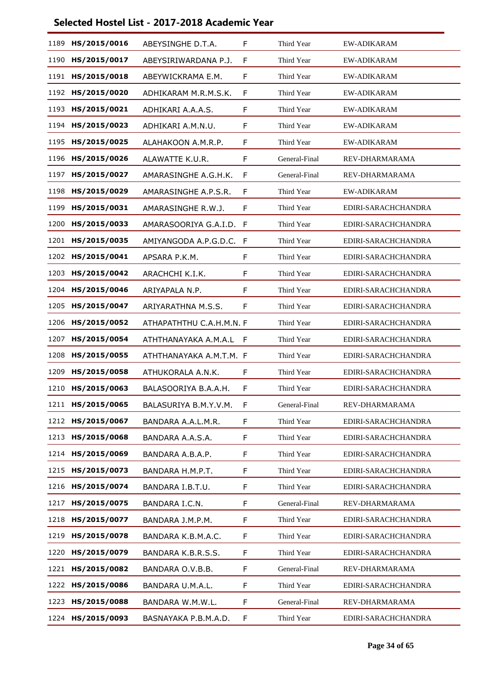| 1189 | HS/2015/0016 | ABEYSINGHE D.T.A.        | F  | Third Year    | <b>EW-ADIKARAM</b>  |
|------|--------------|--------------------------|----|---------------|---------------------|
| 1190 | HS/2015/0017 | ABEYSIRIWARDANA P.J.     | F  | Third Year    | <b>EW-ADIKARAM</b>  |
| 1191 | HS/2015/0018 | ABEYWICKRAMA E.M.        | F  | Third Year    | <b>EW-ADIKARAM</b>  |
| 1192 | HS/2015/0020 | ADHIKARAM M.R.M.S.K.     | F  | Third Year    | EW-ADIKARAM         |
| 1193 | HS/2015/0021 | ADHIKARI A.A.A.S.        | F  | Third Year    | <b>EW-ADIKARAM</b>  |
| 1194 | HS/2015/0023 | ADHIKARI A.M.N.U.        | F  | Third Year    | <b>EW-ADIKARAM</b>  |
| 1195 | HS/2015/0025 | ALAHAKOON A.M.R.P.       | F  | Third Year    | <b>EW-ADIKARAM</b>  |
| 1196 | HS/2015/0026 | ALAWATTE K.U.R.          | F  | General-Final | REV-DHARMARAMA      |
| 1197 | HS/2015/0027 | AMARASINGHE A.G.H.K.     | F  | General-Final | REV-DHARMARAMA      |
| 1198 | HS/2015/0029 | AMARASINGHE A.P.S.R.     | F  | Third Year    | <b>EW-ADIKARAM</b>  |
| 1199 | HS/2015/0031 | AMARASINGHE R.W.J.       | F  | Third Year    | EDIRI-SARACHCHANDRA |
| 1200 | HS/2015/0033 | AMARASOORIYA G.A.I.D.    | -F | Third Year    | EDIRI-SARACHCHANDRA |
| 1201 | HS/2015/0035 | AMIYANGODA A.P.G.D.C.    | F  | Third Year    | EDIRI-SARACHCHANDRA |
| 1202 | HS/2015/0041 | APSARA P.K.M.            | F  | Third Year    | EDIRI-SARACHCHANDRA |
| 1203 | HS/2015/0042 | ARACHCHI K.I.K.          | F  | Third Year    | EDIRI-SARACHCHANDRA |
| 1204 | HS/2015/0046 | ARIYAPALA N.P.           | F  | Third Year    | EDIRI-SARACHCHANDRA |
| 1205 | HS/2015/0047 | ARIYARATHNA M.S.S.       | F  | Third Year    | EDIRI-SARACHCHANDRA |
| 1206 | HS/2015/0052 | ATHAPATHTHU C.A.H.M.N. F |    | Third Year    | EDIRI-SARACHCHANDRA |
| 1207 | HS/2015/0054 | ATHTHANAYAKA A.M.A.L     | F  | Third Year    | EDIRI-SARACHCHANDRA |
| 1208 | HS/2015/0055 | ATHTHANAYAKA A.M.T.M. F  |    | Third Year    | EDIRI-SARACHCHANDRA |
| 1209 | HS/2015/0058 | ATHUKORALA A.N.K.        | F  | Third Year    | EDIRI-SARACHCHANDRA |
| 1210 | HS/2015/0063 | BALASOORIYA B.A.A.H.     | F  | Third Year    | EDIRI-SARACHCHANDRA |
| 1211 | HS/2015/0065 | BALASURIYA B.M.Y.V.M.    | F  | General-Final | REV-DHARMARAMA      |
| 1212 | HS/2015/0067 | BANDARA A.A.L.M.R.       | F  | Third Year    | EDIRI-SARACHCHANDRA |
| 1213 | HS/2015/0068 | BANDARA A.A.S.A.         | F  | Third Year    | EDIRI-SARACHCHANDRA |
| 1214 | HS/2015/0069 | BANDARA A.B.A.P.         | F  | Third Year    | EDIRI-SARACHCHANDRA |
| 1215 | HS/2015/0073 | BANDARA H.M.P.T.         | F  | Third Year    | EDIRI-SARACHCHANDRA |
| 1216 | HS/2015/0074 | BANDARA I.B.T.U.         | F  | Third Year    | EDIRI-SARACHCHANDRA |
| 1217 | HS/2015/0075 | BANDARA I.C.N.           | F  | General-Final | REV-DHARMARAMA      |
| 1218 | HS/2015/0077 | BANDARA J.M.P.M.         | F  | Third Year    | EDIRI-SARACHCHANDRA |
| 1219 | HS/2015/0078 | BANDARA K.B.M.A.C.       | F  | Third Year    | EDIRI-SARACHCHANDRA |
| 1220 | HS/2015/0079 | BANDARA K.B.R.S.S.       | F  | Third Year    | EDIRI-SARACHCHANDRA |
| 1221 | HS/2015/0082 | BANDARA O.V.B.B.         | F  | General-Final | REV-DHARMARAMA      |
| 1222 | HS/2015/0086 | BANDARA U.M.A.L.         | F  | Third Year    | EDIRI-SARACHCHANDRA |
| 1223 | HS/2015/0088 | BANDARA W.M.W.L.         | F  | General-Final | REV-DHARMARAMA      |
| 1224 | HS/2015/0093 | BASNAYAKA P.B.M.A.D.     | F  | Third Year    | EDIRI-SARACHCHANDRA |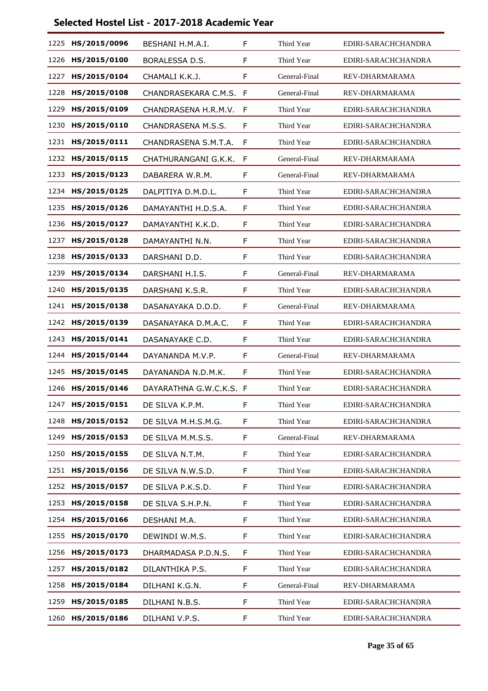| 1225 | HS/2015/0096 | BESHANI H.M.A.I.        | F | Third Year    | EDIRI-SARACHCHANDRA |
|------|--------------|-------------------------|---|---------------|---------------------|
| 1226 | HS/2015/0100 | BORALESSA D.S.          | F | Third Year    | EDIRI-SARACHCHANDRA |
| 1227 | HS/2015/0104 | CHAMALI K.K.J.          | F | General-Final | REV-DHARMARAMA      |
| 1228 | HS/2015/0108 | CHANDRASEKARA C.M.S.    | F | General-Final | REV-DHARMARAMA      |
| 1229 | HS/2015/0109 | CHANDRASENA H.R.M.V.    | F | Third Year    | EDIRI-SARACHCHANDRA |
| 1230 | HS/2015/0110 | CHANDRASENA M.S.S.      | F | Third Year    | EDIRI-SARACHCHANDRA |
| 1231 | HS/2015/0111 | CHANDRASENA S.M.T.A.    | F | Third Year    | EDIRI-SARACHCHANDRA |
| 1232 | HS/2015/0115 | CHATHURANGANI G.K.K.    | F | General-Final | REV-DHARMARAMA      |
| 1233 | HS/2015/0123 | DABARERA W.R.M.         | F | General-Final | REV-DHARMARAMA      |
| 1234 | HS/2015/0125 | DALPITIYA D.M.D.L.      | F | Third Year    | EDIRI-SARACHCHANDRA |
| 1235 | HS/2015/0126 | DAMAYANTHI H.D.S.A.     | F | Third Year    | EDIRI-SARACHCHANDRA |
| 1236 | HS/2015/0127 | DAMAYANTHI K.K.D.       | F | Third Year    | EDIRI-SARACHCHANDRA |
| 1237 | HS/2015/0128 | DAMAYANTHI N.N.         | F | Third Year    | EDIRI-SARACHCHANDRA |
| 1238 | HS/2015/0133 | DARSHANI D.D.           | F | Third Year    | EDIRI-SARACHCHANDRA |
| 1239 | HS/2015/0134 | DARSHANI H.I.S.         | F | General-Final | REV-DHARMARAMA      |
| 1240 | HS/2015/0135 | DARSHANI K.S.R.         | F | Third Year    | EDIRI-SARACHCHANDRA |
| 1241 | HS/2015/0138 | DASANAYAKA D.D.D.       | F | General-Final | REV-DHARMARAMA      |
| 1242 | HS/2015/0139 | DASANAYAKA D.M.A.C.     | F | Third Year    | EDIRI-SARACHCHANDRA |
| 1243 | HS/2015/0141 | DASANAYAKE C.D.         | F | Third Year    | EDIRI-SARACHCHANDRA |
| 1244 | HS/2015/0144 | DAYANANDA M.V.P.        | F | General-Final | REV-DHARMARAMA      |
| 1245 | HS/2015/0145 | DAYANANDA N.D.M.K.      | F | Third Year    | EDIRI-SARACHCHANDRA |
| 1246 | HS/2015/0146 | DAYARATHNA G.W.C.K.S. F |   | Third Year    | EDIRI-SARACHCHANDRA |
| 1247 | HS/2015/0151 | DE SILVA K.P.M.         | F | Third Year    | EDIRI-SARACHCHANDRA |
| 1248 | HS/2015/0152 | DE SILVA M.H.S.M.G.     | F | Third Year    | EDIRI-SARACHCHANDRA |
| 1249 | HS/2015/0153 | DE SILVA M.M.S.S.       | F | General-Final | REV-DHARMARAMA      |
| 1250 | HS/2015/0155 | DE SILVA N.T.M.         | F | Third Year    | EDIRI-SARACHCHANDRA |
| 1251 | HS/2015/0156 | DE SILVA N.W.S.D.       | F | Third Year    | EDIRI-SARACHCHANDRA |
| 1252 | HS/2015/0157 | DE SILVA P.K.S.D.       | F | Third Year    | EDIRI-SARACHCHANDRA |
| 1253 | HS/2015/0158 | DE SILVA S.H.P.N.       | F | Third Year    | EDIRI-SARACHCHANDRA |
| 1254 | HS/2015/0166 | DESHANI M.A.            | F | Third Year    | EDIRI-SARACHCHANDRA |
| 1255 | HS/2015/0170 | DEWINDI W.M.S.          | F | Third Year    | EDIRI-SARACHCHANDRA |
| 1256 | HS/2015/0173 | DHARMADASA P.D.N.S.     | F | Third Year    | EDIRI-SARACHCHANDRA |
| 1257 | HS/2015/0182 | DILANTHIKA P.S.         | F | Third Year    | EDIRI-SARACHCHANDRA |
| 1258 | HS/2015/0184 | DILHANI K.G.N.          | F | General-Final | REV-DHARMARAMA      |
| 1259 | HS/2015/0185 | DILHANI N.B.S.          | F | Third Year    | EDIRI-SARACHCHANDRA |
| 1260 | HS/2015/0186 | DILHANI V.P.S.          | F | Third Year    | EDIRI-SARACHCHANDRA |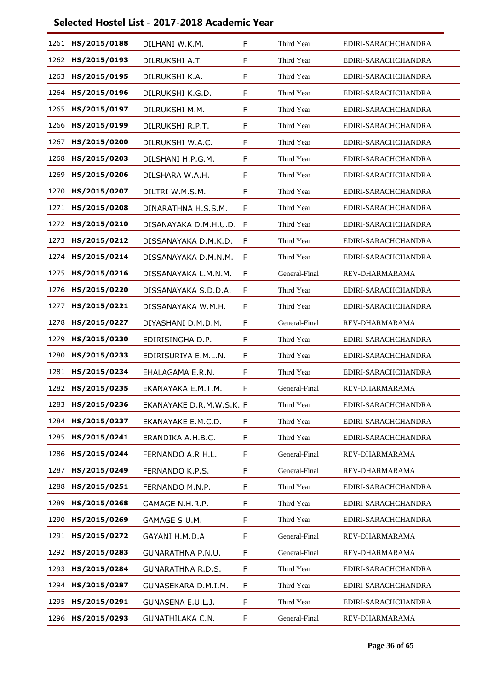| 1261 | HS/2015/0188 | DILHANI W.K.M.           | F  | Third Year    | EDIRI-SARACHCHANDRA |
|------|--------------|--------------------------|----|---------------|---------------------|
| 1262 | HS/2015/0193 | DILRUKSHI A.T.           | F  | Third Year    | EDIRI-SARACHCHANDRA |
| 1263 | HS/2015/0195 | DILRUKSHI K.A.           | F  | Third Year    | EDIRI-SARACHCHANDRA |
| 1264 | HS/2015/0196 | DILRUKSHI K.G.D.         | F  | Third Year    | EDIRI-SARACHCHANDRA |
| 1265 | HS/2015/0197 | DILRUKSHI M.M.           | F. | Third Year    | EDIRI-SARACHCHANDRA |
| 1266 | HS/2015/0199 | DILRUKSHI R.P.T.         | F  | Third Year    | EDIRI-SARACHCHANDRA |
| 1267 | HS/2015/0200 | DILRUKSHI W.A.C.         | F  | Third Year    | EDIRI-SARACHCHANDRA |
| 1268 | HS/2015/0203 | DILSHANI H.P.G.M.        | F. | Third Year    | EDIRI-SARACHCHANDRA |
| 1269 | HS/2015/0206 | DILSHARA W.A.H.          | F  | Third Year    | EDIRI-SARACHCHANDRA |
| 1270 | HS/2015/0207 | DILTRI W.M.S.M.          | F  | Third Year    | EDIRI-SARACHCHANDRA |
| 1271 | HS/2015/0208 | DINARATHNA H.S.S.M.      | F. | Third Year    | EDIRI-SARACHCHANDRA |
| 1272 | HS/2015/0210 | DISANAYAKA D.M.H.U.D.    | F  | Third Year    | EDIRI-SARACHCHANDRA |
| 1273 | HS/2015/0212 | DISSANAYAKA D.M.K.D.     | F  | Third Year    | EDIRI-SARACHCHANDRA |
| 1274 | HS/2015/0214 | DISSANAYAKA D.M.N.M.     | F  | Third Year    | EDIRI-SARACHCHANDRA |
| 1275 | HS/2015/0216 | DISSANAYAKA L.M.N.M.     | F  | General-Final | REV-DHARMARAMA      |
| 1276 | HS/2015/0220 | DISSANAYAKA S.D.D.A.     | F  | Third Year    | EDIRI-SARACHCHANDRA |
| 1277 | HS/2015/0221 | DISSANAYAKA W.M.H.       | F. | Third Year    | EDIRI-SARACHCHANDRA |
| 1278 | HS/2015/0227 | DIYASHANI D.M.D.M.       | F  | General-Final | REV-DHARMARAMA      |
| 1279 | HS/2015/0230 | EDIRISINGHA D.P.         | F  | Third Year    | EDIRI-SARACHCHANDRA |
| 1280 | HS/2015/0233 | EDIRISURIYA E.M.L.N.     | F. | Third Year    | EDIRI-SARACHCHANDRA |
| 1281 | HS/2015/0234 | EHALAGAMA E.R.N.         | F  | Third Year    | EDIRI-SARACHCHANDRA |
| 1282 | HS/2015/0235 | EKANAYAKA E.M.T.M.       | F  | General-Final | REV-DHARMARAMA      |
| 1283 | HS/2015/0236 | EKANAYAKE D.R.M.W.S.K. F |    | Third Year    | EDIRI-SARACHCHANDRA |
| 1284 | HS/2015/0237 | EKANAYAKE E.M.C.D.       | F  | Third Year    | EDIRI-SARACHCHANDRA |
| 1285 | HS/2015/0241 | ERANDIKA A.H.B.C.        | F  | Third Year    | EDIRI-SARACHCHANDRA |
| 1286 | HS/2015/0244 | FERNANDO A.R.H.L.        | F. | General-Final | REV-DHARMARAMA      |
| 1287 | HS/2015/0249 | FERNANDO K.P.S.          | F  | General-Final | REV-DHARMARAMA      |
| 1288 | HS/2015/0251 | FERNANDO M.N.P.          | F  | Third Year    | EDIRI-SARACHCHANDRA |
| 1289 | HS/2015/0268 | GAMAGE N.H.R.P.          | F. | Third Year    | EDIRI-SARACHCHANDRA |
| 1290 | HS/2015/0269 | GAMAGE S.U.M.            | F  | Third Year    | EDIRI-SARACHCHANDRA |
| 1291 | HS/2015/0272 | GAYANI H.M.D.A           | F. | General-Final | REV-DHARMARAMA      |
| 1292 | HS/2015/0283 | GUNARATHNA P.N.U.        | F. | General-Final | REV-DHARMARAMA      |
| 1293 | HS/2015/0284 | <b>GUNARATHNA R.D.S.</b> | F  | Third Year    | EDIRI-SARACHCHANDRA |
| 1294 | HS/2015/0287 | GUNASEKARA D.M.I.M.      | F. | Third Year    | EDIRI-SARACHCHANDRA |
| 1295 | HS/2015/0291 | GUNASENA E.U.L.J.        | F  | Third Year    | EDIRI-SARACHCHANDRA |
| 1296 | HS/2015/0293 | GUNATHILAKA C.N.         | F  | General-Final | REV-DHARMARAMA      |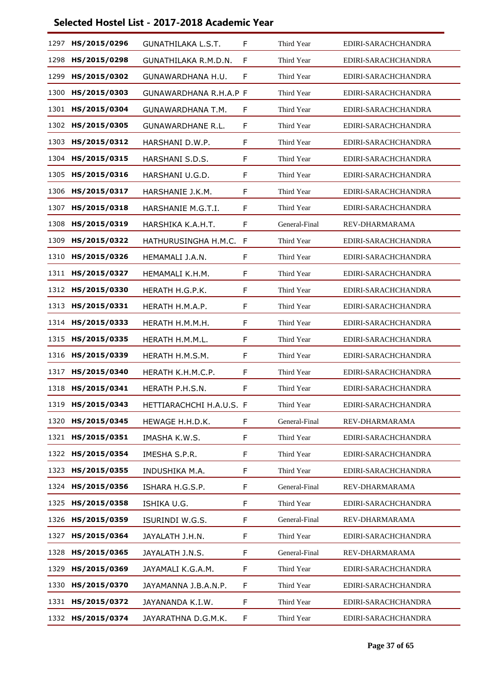| 1297 | HS/2015/0296 | <b>GUNATHILAKA L.S.T.</b> | F  | Third Year    | EDIRI-SARACHCHANDRA |
|------|--------------|---------------------------|----|---------------|---------------------|
| 1298 | HS/2015/0298 | GUNATHILAKA R.M.D.N.      | F  | Third Year    | EDIRI-SARACHCHANDRA |
| 1299 | HS/2015/0302 | GUNAWARDHANA H.U.         | F  | Third Year    | EDIRI-SARACHCHANDRA |
| 1300 | HS/2015/0303 | GUNAWARDHANA R.H.A.P F    |    | Third Year    | EDIRI-SARACHCHANDRA |
| 1301 | HS/2015/0304 | <b>GUNAWARDHANA T.M.</b>  | F  | Third Year    | EDIRI-SARACHCHANDRA |
| 1302 | HS/2015/0305 | <b>GUNAWARDHANE R.L.</b>  | F  | Third Year    | EDIRI-SARACHCHANDRA |
| 1303 | HS/2015/0312 | HARSHANI D.W.P.           | F  | Third Year    | EDIRI-SARACHCHANDRA |
| 1304 | HS/2015/0315 | HARSHANI S.D.S.           | F  | Third Year    | EDIRI-SARACHCHANDRA |
| 1305 | HS/2015/0316 | HARSHANI U.G.D.           | F  | Third Year    | EDIRI-SARACHCHANDRA |
| 1306 | HS/2015/0317 | HARSHANIE J.K.M.          | F  | Third Year    | EDIRI-SARACHCHANDRA |
| 1307 | HS/2015/0318 | HARSHANIE M.G.T.I.        | F  | Third Year    | EDIRI-SARACHCHANDRA |
| 1308 | HS/2015/0319 | HARSHIKA K.A.H.T.         | F  | General-Final | REV-DHARMARAMA      |
| 1309 | HS/2015/0322 | HATHURUSINGHA H.M.C.      | F  | Third Year    | EDIRI-SARACHCHANDRA |
| 1310 | HS/2015/0326 | HEMAMALI J.A.N.           | F  | Third Year    | EDIRI-SARACHCHANDRA |
| 1311 | HS/2015/0327 | HEMAMALI K.H.M.           | F  | Third Year    | EDIRI-SARACHCHANDRA |
| 1312 | HS/2015/0330 | HERATH H.G.P.K.           | F  | Third Year    | EDIRI-SARACHCHANDRA |
| 1313 | HS/2015/0331 | HERATH H.M.A.P.           | F  | Third Year    | EDIRI-SARACHCHANDRA |
| 1314 | HS/2015/0333 | HERATH H.M.M.H.           | F  | Third Year    | EDIRI-SARACHCHANDRA |
| 1315 | HS/2015/0335 | HERATH H.M.M.L.           | F  | Third Year    | EDIRI-SARACHCHANDRA |
| 1316 | HS/2015/0339 | HERATH H.M.S.M.           | F  | Third Year    | EDIRI-SARACHCHANDRA |
| 1317 | HS/2015/0340 | HERATH K.H.M.C.P.         | F  | Third Year    | EDIRI-SARACHCHANDRA |
| 1318 | HS/2015/0341 | HERATH P.H.S.N.           | F  | Third Year    | EDIRI-SARACHCHANDRA |
| 1319 | HS/2015/0343 | HETTIARACHCHI H.A.U.S. F  |    | Third Year    | EDIRI-SARACHCHANDRA |
| 1320 | HS/2015/0345 | HEWAGE H.H.D.K.           | F  | General-Final | REV-DHARMARAMA      |
| 1321 | HS/2015/0351 | IMASHA K.W.S.             | F  | Third Year    | EDIRI-SARACHCHANDRA |
| 1322 | HS/2015/0354 | IMESHA S.P.R.             | F. | Third Year    | EDIRI-SARACHCHANDRA |
| 1323 | HS/2015/0355 | INDUSHIKA M.A.            | F  | Third Year    | EDIRI-SARACHCHANDRA |
| 1324 | HS/2015/0356 | ISHARA H.G.S.P.           | F  | General-Final | REV-DHARMARAMA      |
| 1325 | HS/2015/0358 | ISHIKA U.G.               | F. | Third Year    | EDIRI-SARACHCHANDRA |
| 1326 | HS/2015/0359 | ISURINDI W.G.S.           | F  | General-Final | REV-DHARMARAMA      |
| 1327 | HS/2015/0364 | JAYALATH J.H.N.           | F  | Third Year    | EDIRI-SARACHCHANDRA |
| 1328 | HS/2015/0365 | JAYALATH J.N.S.           | F. | General-Final | REV-DHARMARAMA      |
| 1329 | HS/2015/0369 | JAYAMALI K.G.A.M.         | F  | Third Year    | EDIRI-SARACHCHANDRA |
| 1330 | HS/2015/0370 | JAYAMANNA J.B.A.N.P.      | F. | Third Year    | EDIRI-SARACHCHANDRA |
| 1331 | HS/2015/0372 | JAYANANDA K.I.W.          | F. | Third Year    | EDIRI-SARACHCHANDRA |
| 1332 | HS/2015/0374 | JAYARATHNA D.G.M.K.       | F. | Third Year    | EDIRI-SARACHCHANDRA |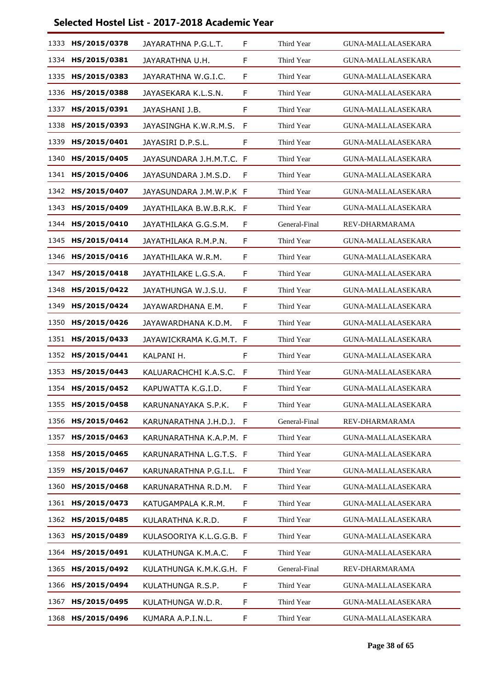| 1333 | HS/2015/0378 | JAYARATHNA P.G.L.T.      | F  | Third Year    | GUNA-MALLALASEKARA        |
|------|--------------|--------------------------|----|---------------|---------------------------|
| 1334 | HS/2015/0381 | JAYARATHNA U.H.          | F  | Third Year    | <b>GUNA-MALLALASEKARA</b> |
| 1335 | HS/2015/0383 | JAYARATHNA W.G.I.C.      | F  | Third Year    | <b>GUNA-MALLALASEKARA</b> |
| 1336 | HS/2015/0388 | JAYASEKARA K.L.S.N.      | F  | Third Year    | <b>GUNA-MALLALASEKARA</b> |
| 1337 | HS/2015/0391 | JAYASHANI J.B.           | F  | Third Year    | <b>GUNA-MALLALASEKARA</b> |
| 1338 | HS/2015/0393 | JAYASINGHA K.W.R.M.S.    | F  | Third Year    | <b>GUNA-MALLALASEKARA</b> |
| 1339 | HS/2015/0401 | JAYASIRI D.P.S.L.        | F  | Third Year    | <b>GUNA-MALLALASEKARA</b> |
| 1340 | HS/2015/0405 | JAYASUNDARA J.H.M.T.C. F |    | Third Year    | <b>GUNA-MALLALASEKARA</b> |
| 1341 | HS/2015/0406 | JAYASUNDARA J.M.S.D.     | F  | Third Year    | <b>GUNA-MALLALASEKARA</b> |
| 1342 | HS/2015/0407 | JAYASUNDARA J.M.W.P.K F  |    | Third Year    | <b>GUNA-MALLALASEKARA</b> |
| 1343 | HS/2015/0409 | JAYATHILAKA B.W.B.R.K. F |    | Third Year    | <b>GUNA-MALLALASEKARA</b> |
| 1344 | HS/2015/0410 | JAYATHILAKA G.G.S.M.     | F  | General-Final | REV-DHARMARAMA            |
| 1345 | HS/2015/0414 | JAYATHILAKA R.M.P.N.     | F  | Third Year    | <b>GUNA-MALLALASEKARA</b> |
| 1346 | HS/2015/0416 | JAYATHILAKA W.R.M.       | F  | Third Year    | <b>GUNA-MALLALASEKARA</b> |
| 1347 | HS/2015/0418 | JAYATHILAKE L.G.S.A.     | F  | Third Year    | <b>GUNA-MALLALASEKARA</b> |
| 1348 | HS/2015/0422 | JAYATHUNGA W.J.S.U.      | F  | Third Year    | <b>GUNA-MALLALASEKARA</b> |
| 1349 | HS/2015/0424 | JAYAWARDHANA E.M.        | F  | Third Year    | <b>GUNA-MALLALASEKARA</b> |
| 1350 | HS/2015/0426 | JAYAWARDHANA K.D.M.      | F. | Third Year    | <b>GUNA-MALLALASEKARA</b> |
| 1351 | HS/2015/0433 | JAYAWICKRAMA K.G.M.T. F  |    | Third Year    | <b>GUNA-MALLALASEKARA</b> |
| 1352 | HS/2015/0441 | KALPANI H.               | F  | Third Year    | <b>GUNA-MALLALASEKARA</b> |
| 1353 | HS/2015/0443 | KALUARACHCHI K.A.S.C.    | F  | Third Year    | <b>GUNA-MALLALASEKARA</b> |
| 1354 | HS/2015/0452 | KAPUWATTA K.G.I.D.       | F  | Third Year    | <b>GUNA-MALLALASEKARA</b> |
| 1355 | HS/2015/0458 | KARUNANAYAKA S.P.K.      | F  | Third Year    | <b>GUNA-MALLALASEKARA</b> |
| 1356 | HS/2015/0462 | KARUNARATHNA J.H.D.J. F  |    | General-Final | REV-DHARMARAMA            |
| 1357 | HS/2015/0463 | KARUNARATHNA K.A.P.M. F  |    | Third Year    | <b>GUNA-MALLALASEKARA</b> |
| 1358 | HS/2015/0465 | KARUNARATHNA L.G.T.S. F  |    | Third Year    | <b>GUNA-MALLALASEKARA</b> |
| 1359 | HS/2015/0467 | KARUNARATHNA P.G.I.L.    | F  | Third Year    | <b>GUNA-MALLALASEKARA</b> |
| 1360 | HS/2015/0468 | KARUNARATHNA R.D.M.      | F  | Third Year    | <b>GUNA-MALLALASEKARA</b> |
| 1361 | HS/2015/0473 | KATUGAMPALA K.R.M.       | F. | Third Year    | <b>GUNA-MALLALASEKARA</b> |
| 1362 | HS/2015/0485 | KULARATHNA K.R.D.        | F. | Third Year    | GUNA-MALLALASEKARA        |
| 1363 | HS/2015/0489 | KULASOORIYA K.L.G.G.B. F |    | Third Year    | GUNA-MALLALASEKARA        |
| 1364 | HS/2015/0491 | KULATHUNGA K.M.A.C.      | F. | Third Year    | GUNA-MALLALASEKARA        |
| 1365 | HS/2015/0492 | KULATHUNGA K.M.K.G.H. F  |    | General-Final | REV-DHARMARAMA            |
| 1366 | HS/2015/0494 | KULATHUNGA R.S.P.        | F  | Third Year    | GUNA-MALLALASEKARA        |
| 1367 | HS/2015/0495 | KULATHUNGA W.D.R.        | F. | Third Year    | <b>GUNA-MALLALASEKARA</b> |
| 1368 | HS/2015/0496 | KUMARA A.P.I.N.L.        | F  | Third Year    | GUNA-MALLALASEKARA        |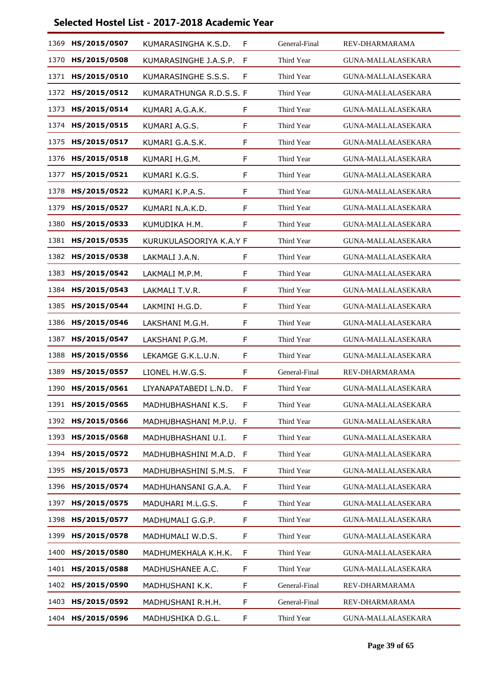|      | 1369 HS/2015/0507 | KUMARASINGHA K.S.D.     | F | General-Final | REV-DHARMARAMA            |
|------|-------------------|-------------------------|---|---------------|---------------------------|
| 1370 | HS/2015/0508      | KUMARASINGHE J.A.S.P.   | F | Third Year    | GUNA-MALLALASEKARA        |
| 1371 | HS/2015/0510      | KUMARASINGHE S.S.S.     | F | Third Year    | <b>GUNA-MALLALASEKARA</b> |
| 1372 | HS/2015/0512      | KUMARATHUNGA R.D.S.S. F |   | Third Year    | <b>GUNA-MALLALASEKARA</b> |
| 1373 | HS/2015/0514      | KUMARI A.G.A.K.         | F | Third Year    | <b>GUNA-MALLALASEKARA</b> |
| 1374 | HS/2015/0515      | KUMARI A.G.S.           | F | Third Year    | <b>GUNA-MALLALASEKARA</b> |
| 1375 | HS/2015/0517      | KUMARI G.A.S.K.         | F | Third Year    | <b>GUNA-MALLALASEKARA</b> |
| 1376 | HS/2015/0518      | KUMARI H.G.M.           | F | Third Year    | <b>GUNA-MALLALASEKARA</b> |
| 1377 | HS/2015/0521      | KUMARI K.G.S.           | F | Third Year    | <b>GUNA-MALLALASEKARA</b> |
| 1378 | HS/2015/0522      | KUMARI K.P.A.S.         | F | Third Year    | <b>GUNA-MALLALASEKARA</b> |
| 1379 | HS/2015/0527      | KUMARI N.A.K.D.         | F | Third Year    | <b>GUNA-MALLALASEKARA</b> |
| 1380 | HS/2015/0533      | KUMUDIKA H.M.           | F | Third Year    | <b>GUNA-MALLALASEKARA</b> |
| 1381 | HS/2015/0535      | KURUKULASOORIYA K.A.Y F |   | Third Year    | <b>GUNA-MALLALASEKARA</b> |
| 1382 | HS/2015/0538      | LAKMALI J.A.N.          | F | Third Year    | <b>GUNA-MALLALASEKARA</b> |
| 1383 | HS/2015/0542      | LAKMALI M.P.M.          | F | Third Year    | <b>GUNA-MALLALASEKARA</b> |
| 1384 | HS/2015/0543      | LAKMALI T.V.R.          | F | Third Year    | <b>GUNA-MALLALASEKARA</b> |
| 1385 | HS/2015/0544      | LAKMINI H.G.D.          | F | Third Year    | GUNA-MALLALASEKARA        |
| 1386 | HS/2015/0546      | LAKSHANI M.G.H.         | F | Third Year    | GUNA-MALLALASEKARA        |
| 1387 | HS/2015/0547      | LAKSHANI P.G.M.         | F | Third Year    | <b>GUNA-MALLALASEKARA</b> |
| 1388 | HS/2015/0556      | LEKAMGE G.K.L.U.N.      | F | Third Year    | GUNA-MALLALASEKARA        |
| 1389 | HS/2015/0557      | LIONEL H.W.G.S.         | F | General-Final | REV-DHARMARAMA            |
| 1390 | HS/2015/0561      | LIYANAPATABEDI L.N.D.   | F | Third Year    | <b>GUNA-MALLALASEKARA</b> |
|      | 1391 HS/2015/0565 | MADHUBHASHANI K.S.      | F | Third Year    | GUNA-MALLALASEKARA        |
|      | 1392 HS/2015/0566 | MADHUBHASHANI M.P.U.    | F | Third Year    | GUNA-MALLALASEKARA        |
| 1393 | HS/2015/0568      | MADHUBHASHANI U.I.      | F | Third Year    | <b>GUNA-MALLALASEKARA</b> |
| 1394 | HS/2015/0572      | MADHUBHASHINI M.A.D.    | F | Third Year    | <b>GUNA-MALLALASEKARA</b> |
|      | 1395 HS/2015/0573 | MADHUBHASHINI S.M.S.    | F | Third Year    | GUNA-MALLALASEKARA        |
| 1396 | HS/2015/0574      | MADHUHANSANI G.A.A.     | F | Third Year    | <b>GUNA-MALLALASEKARA</b> |
| 1397 | HS/2015/0575      | MADUHARI M.L.G.S.       | F | Third Year    | <b>GUNA-MALLALASEKARA</b> |
| 1398 | HS/2015/0577      | MADHUMALI G.G.P.        | F | Third Year    | GUNA-MALLALASEKARA        |
| 1399 | HS/2015/0578      | MADHUMALI W.D.S.        | F | Third Year    | <b>GUNA-MALLALASEKARA</b> |
| 1400 | HS/2015/0580      | MADHUMEKHALA K.H.K.     | F | Third Year    | <b>GUNA-MALLALASEKARA</b> |
| 1401 | HS/2015/0588      | MADHUSHANEE A.C.        | F | Third Year    | GUNA-MALLALASEKARA        |
| 1402 | HS/2015/0590      | MADHUSHANI K.K.         | F | General-Final | REV-DHARMARAMA            |
| 1403 | HS/2015/0592      | MADHUSHANI R.H.H.       | F | General-Final | REV-DHARMARAMA            |
| 1404 | HS/2015/0596      | MADHUSHIKA D.G.L.       | F | Third Year    | GUNA-MALLALASEKARA        |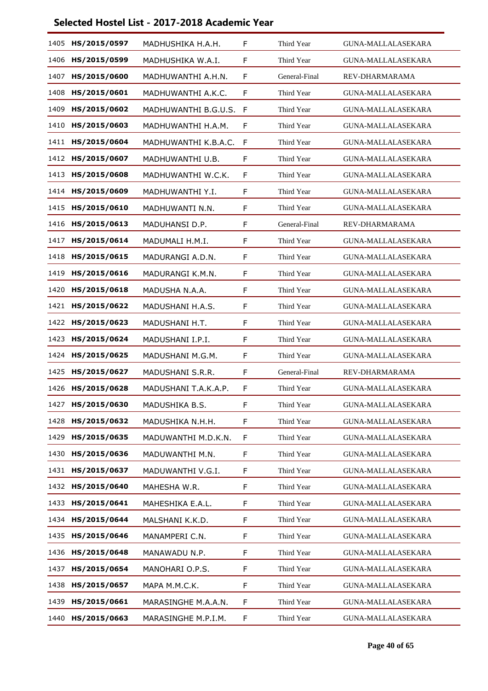| 1405 | HS/2015/0597 | MADHUSHIKA H.A.H.    | F  | Third Year    | GUNA-MALLALASEKARA        |
|------|--------------|----------------------|----|---------------|---------------------------|
| 1406 | HS/2015/0599 | MADHUSHIKA W.A.I.    | F  | Third Year    | <b>GUNA-MALLALASEKARA</b> |
| 1407 | HS/2015/0600 | MADHUWANTHI A.H.N.   | F  | General-Final | REV-DHARMARAMA            |
| 1408 | HS/2015/0601 | MADHUWANTHI A.K.C.   | F  | Third Year    | <b>GUNA-MALLALASEKARA</b> |
| 1409 | HS/2015/0602 | MADHUWANTHI B.G.U.S. | F  | Third Year    | <b>GUNA-MALLALASEKARA</b> |
| 1410 | HS/2015/0603 | MADHUWANTHI H.A.M.   | F  | Third Year    | <b>GUNA-MALLALASEKARA</b> |
| 1411 | HS/2015/0604 | MADHUWANTHI K.B.A.C. | F  | Third Year    | <b>GUNA-MALLALASEKARA</b> |
| 1412 | HS/2015/0607 | MADHUWANTHI U.B.     | F  | Third Year    | GUNA-MALLALASEKARA        |
| 1413 | HS/2015/0608 | MADHUWANTHI W.C.K.   | F  | Third Year    | <b>GUNA-MALLALASEKARA</b> |
| 1414 | HS/2015/0609 | MADHUWANTHI Y.I.     | F  | Third Year    | <b>GUNA-MALLALASEKARA</b> |
| 1415 | HS/2015/0610 | MADHUWANTI N.N.      | F  | Third Year    | <b>GUNA-MALLALASEKARA</b> |
| 1416 | HS/2015/0613 | MADUHANSI D.P.       | F  | General-Final | REV-DHARMARAMA            |
| 1417 | HS/2015/0614 | MADUMALI H.M.I.      | F  | Third Year    | <b>GUNA-MALLALASEKARA</b> |
| 1418 | HS/2015/0615 | MADURANGI A.D.N.     | F. | Third Year    | <b>GUNA-MALLALASEKARA</b> |
| 1419 | HS/2015/0616 | MADURANGI K.M.N.     | F  | Third Year    | <b>GUNA-MALLALASEKARA</b> |
| 1420 | HS/2015/0618 | MADUSHA N.A.A.       | F  | Third Year    | <b>GUNA-MALLALASEKARA</b> |
| 1421 | HS/2015/0622 | MADUSHANI H.A.S.     | F  | Third Year    | <b>GUNA-MALLALASEKARA</b> |
| 1422 | HS/2015/0623 | MADUSHANI H.T.       | F  | Third Year    | <b>GUNA-MALLALASEKARA</b> |
| 1423 | HS/2015/0624 | MADUSHANI I.P.I.     | F  | Third Year    | <b>GUNA-MALLALASEKARA</b> |
| 1424 | HS/2015/0625 | MADUSHANI M.G.M.     | F  | Third Year    | <b>GUNA-MALLALASEKARA</b> |
| 1425 | HS/2015/0627 | MADUSHANI S.R.R.     | F  | General-Final | REV-DHARMARAMA            |
| 1426 | HS/2015/0628 | MADUSHANI T.A.K.A.P. | F  | Third Year    | <b>GUNA-MALLALASEKARA</b> |
| 1427 | HS/2015/0630 | MADUSHIKA B.S.       | F  | Third Year    | <b>GUNA-MALLALASEKARA</b> |
| 1428 | HS/2015/0632 | MADUSHIKA N.H.H.     | F. | Third Year    | <b>GUNA-MALLALASEKARA</b> |
| 1429 | HS/2015/0635 | MADUWANTHI M.D.K.N.  | F  | Third Year    | <b>GUNA-MALLALASEKARA</b> |
| 1430 | HS/2015/0636 | MADUWANTHI M.N.      | F. | Third Year    | <b>GUNA-MALLALASEKARA</b> |
| 1431 | HS/2015/0637 | MADUWANTHI V.G.I.    | F  | Third Year    | GUNA-MALLALASEKARA        |
| 1432 | HS/2015/0640 | MAHESHA W.R.         | F  | Third Year    | GUNA-MALLALASEKARA        |
| 1433 | HS/2015/0641 | MAHESHIKA E.A.L.     | F. | Third Year    | <b>GUNA-MALLALASEKARA</b> |
| 1434 | HS/2015/0644 | MALSHANI K.K.D.      | F  | Third Year    | GUNA-MALLALASEKARA        |
| 1435 | HS/2015/0646 | MANAMPERI C.N.       | F  | Third Year    | GUNA-MALLALASEKARA        |
| 1436 | HS/2015/0648 | MANAWADU N.P.        | F. | Third Year    | GUNA-MALLALASEKARA        |
| 1437 | HS/2015/0654 | MANOHARI O.P.S.      | F. | Third Year    | GUNA-MALLALASEKARA        |
| 1438 | HS/2015/0657 | MAPA M.M.C.K.        | F  | Third Year    | GUNA-MALLALASEKARA        |
| 1439 | HS/2015/0661 | MARASINGHE M.A.A.N.  | F. | Third Year    | <b>GUNA-MALLALASEKARA</b> |
| 1440 | HS/2015/0663 | MARASINGHE M.P.I.M.  | F  | Third Year    | GUNA-MALLALASEKARA        |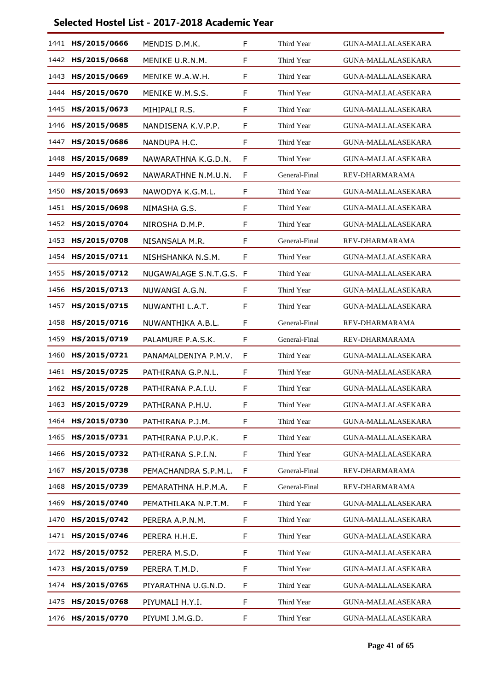| 1441 | HS/2015/0666 | MENDIS D.M.K.           | F  | Third Year    | GUNA-MALLALASEKARA        |
|------|--------------|-------------------------|----|---------------|---------------------------|
| 1442 | HS/2015/0668 | MENIKE U.R.N.M.         | F  | Third Year    | <b>GUNA-MALLALASEKARA</b> |
| 1443 | HS/2015/0669 | MENIKE W.A.W.H.         | F  | Third Year    | <b>GUNA-MALLALASEKARA</b> |
| 1444 | HS/2015/0670 | MENIKE W.M.S.S.         | F  | Third Year    | <b>GUNA-MALLALASEKARA</b> |
| 1445 | HS/2015/0673 | MIHIPALI R.S.           | F  | Third Year    | <b>GUNA-MALLALASEKARA</b> |
| 1446 | HS/2015/0685 | NANDISENA K.V.P.P.      | F  | Third Year    | <b>GUNA-MALLALASEKARA</b> |
| 1447 | HS/2015/0686 | NANDUPA H.C.            | F  | Third Year    | <b>GUNA-MALLALASEKARA</b> |
| 1448 | HS/2015/0689 | NAWARATHNA K.G.D.N.     | F  | Third Year    | <b>GUNA-MALLALASEKARA</b> |
| 1449 | HS/2015/0692 | NAWARATHNE N.M.U.N.     | F  | General-Final | REV-DHARMARAMA            |
| 1450 | HS/2015/0693 | NAWODYA K.G.M.L.        | F  | Third Year    | <b>GUNA-MALLALASEKARA</b> |
| 1451 | HS/2015/0698 | NIMASHA G.S.            | F  | Third Year    | <b>GUNA-MALLALASEKARA</b> |
| 1452 | HS/2015/0704 | NIROSHA D.M.P.          | F  | Third Year    | <b>GUNA-MALLALASEKARA</b> |
| 1453 | HS/2015/0708 | NISANSALA M.R.          | F  | General-Final | REV-DHARMARAMA            |
| 1454 | HS/2015/0711 | NISHSHANKA N.S.M.       | F  | Third Year    | <b>GUNA-MALLALASEKARA</b> |
| 1455 | HS/2015/0712 | NUGAWALAGE S.N.T.G.S. F |    | Third Year    | <b>GUNA-MALLALASEKARA</b> |
| 1456 | HS/2015/0713 | NUWANGI A.G.N.          | F  | Third Year    | <b>GUNA-MALLALASEKARA</b> |
| 1457 | HS/2015/0715 | NUWANTHI L.A.T.         | F  | Third Year    | <b>GUNA-MALLALASEKARA</b> |
| 1458 | HS/2015/0716 | NUWANTHIKA A.B.L.       | F  | General-Final | REV-DHARMARAMA            |
| 1459 | HS/2015/0719 | PALAMURE P.A.S.K.       | F  | General-Final | REV-DHARMARAMA            |
| 1460 | HS/2015/0721 | PANAMALDENIYA P.M.V.    | F  | Third Year    | <b>GUNA-MALLALASEKARA</b> |
| 1461 | HS/2015/0725 | PATHIRANA G.P.N.L.      | F  | Third Year    | <b>GUNA-MALLALASEKARA</b> |
| 1462 | HS/2015/0728 | PATHIRANA P.A.I.U.      | F  | Third Year    | <b>GUNA-MALLALASEKARA</b> |
| 1463 | HS/2015/0729 | PATHIRANA P.H.U.        | F  | Third Year    | <b>GUNA-MALLALASEKARA</b> |
| 1464 | HS/2015/0730 | PATHIRANA P.J.M.        | F  | Third Year    | GUNA-MALLALASEKARA        |
| 1465 | HS/2015/0731 | PATHIRANA P.U.P.K.      | F  | Third Year    | <b>GUNA-MALLALASEKARA</b> |
| 1466 | HS/2015/0732 | PATHIRANA S.P.I.N.      | F. | Third Year    | <b>GUNA-MALLALASEKARA</b> |
| 1467 | HS/2015/0738 | PEMACHANDRA S.P.M.L.    | F  | General-Final | REV-DHARMARAMA            |
| 1468 | HS/2015/0739 | PEMARATHNA H.P.M.A.     | F  | General-Final | REV-DHARMARAMA            |
| 1469 | HS/2015/0740 | PEMATHILAKA N.P.T.M.    | F  | Third Year    | <b>GUNA-MALLALASEKARA</b> |
| 1470 | HS/2015/0742 | PERERA A.P.N.M.         | F  | Third Year    | GUNA-MALLALASEKARA        |
| 1471 | HS/2015/0746 | PERERA H.H.E.           | F  | Third Year    | GUNA-MALLALASEKARA        |
| 1472 | HS/2015/0752 | PERERA M.S.D.           | F. | Third Year    | GUNA-MALLALASEKARA        |
| 1473 | HS/2015/0759 | PERERA T.M.D.           | F  | Third Year    | GUNA-MALLALASEKARA        |
| 1474 | HS/2015/0765 | PIYARATHNA U.G.N.D.     | F  | Third Year    | GUNA-MALLALASEKARA        |
| 1475 | HS/2015/0768 | PIYUMALI H.Y.I.         | F. | Third Year    | <b>GUNA-MALLALASEKARA</b> |
| 1476 | HS/2015/0770 | PIYUMI J.M.G.D.         | F  | Third Year    | GUNA-MALLALASEKARA        |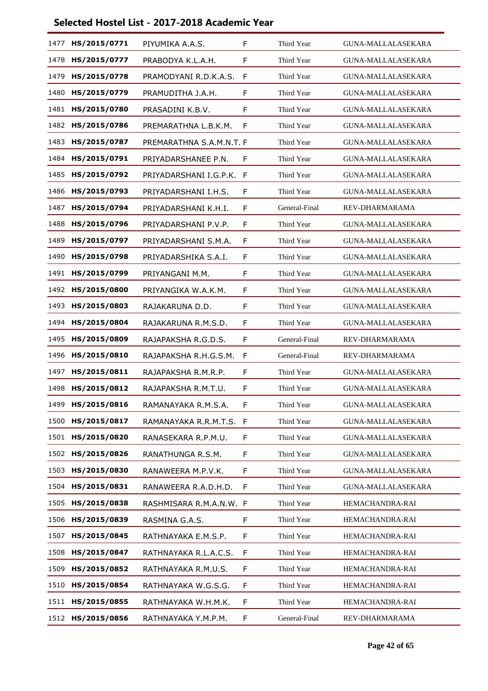| 1477 | HS/2015/0771      | PIYUMIKA A.A.S.          | F | Third Year    | GUNA-MALLALASEKARA        |
|------|-------------------|--------------------------|---|---------------|---------------------------|
| 1478 | HS/2015/0777      | PRABODYA K.L.A.H.        | F | Third Year    | GUNA-MALLALASEKARA        |
| 1479 | HS/2015/0778      | PRAMODYANI R.D.K.A.S.    | F | Third Year    | <b>GUNA-MALLALASEKARA</b> |
| 1480 | HS/2015/0779      | PRAMUDITHA J.A.H.        | F | Third Year    | <b>GUNA-MALLALASEKARA</b> |
| 1481 | HS/2015/0780      | PRASADINI K.B.V.         | F | Third Year    | <b>GUNA-MALLALASEKARA</b> |
| 1482 | HS/2015/0786      | PREMARATHNA L.B.K.M.     | F | Third Year    | <b>GUNA-MALLALASEKARA</b> |
| 1483 | HS/2015/0787      | PREMARATHNA S.A.M.N.T. F |   | Third Year    | <b>GUNA-MALLALASEKARA</b> |
| 1484 | HS/2015/0791      | PRIYADARSHANEE P.N.      | F | Third Year    | GUNA-MALLALASEKARA        |
| 1485 | HS/2015/0792      | PRIYADARSHANI I.G.P.K.   | F | Third Year    | <b>GUNA-MALLALASEKARA</b> |
| 1486 | HS/2015/0793      | PRIYADARSHANI I.H.S.     | F | Third Year    | <b>GUNA-MALLALASEKARA</b> |
| 1487 | HS/2015/0794      | PRIYADARSHANI K.H.I.     | F | General-Final | REV-DHARMARAMA            |
| 1488 | HS/2015/0796      | PRIYADARSHANI P.V.P.     | F | Third Year    | GUNA-MALLALASEKARA        |
| 1489 | HS/2015/0797      | PRIYADARSHANI S.M.A.     | F | Third Year    | <b>GUNA-MALLALASEKARA</b> |
| 1490 | HS/2015/0798      | PRIYADARSHIKA S.A.I.     | F | Third Year    | GUNA-MALLALASEKARA        |
| 1491 | HS/2015/0799      | PRIYANGANI M.M.          | F | Third Year    | GUNA-MALLALASEKARA        |
| 1492 | HS/2015/0800      | PRIYANGIKA W.A.K.M.      | F | Third Year    | GUNA-MALLALASEKARA        |
| 1493 | HS/2015/0803      | RAJAKARUNA D.D.          | F | Third Year    | GUNA-MALLALASEKARA        |
| 1494 | HS/2015/0804      | RAJAKARUNA R.M.S.D.      | F | Third Year    | GUNA-MALLALASEKARA        |
| 1495 | HS/2015/0809      | RAJAPAKSHA R.G.D.S.      | F | General-Final | REV-DHARMARAMA            |
| 1496 | HS/2015/0810      | RAJAPAKSHA R.H.G.S.M.    | F | General-Final | REV-DHARMARAMA            |
| 1497 | HS/2015/0811      | RAJAPAKSHA R.M.R.P.      | F | Third Year    | GUNA-MALLALASEKARA        |
| 1498 | HS/2015/0812      | RAJAPAKSHA R.M.T.U.      | F | Third Year    | <b>GUNA-MALLALASEKARA</b> |
| 1499 | HS/2015/0816      | RAMANAYAKA R.M.S.A.      | F | Third Year    | <b>GUNA-MALLALASEKARA</b> |
| 1500 | HS/2015/0817      | RAMANAYAKA R.R.M.T.S.    | F | Third Year    | GUNA-MALLALASEKARA        |
| 1501 | HS/2015/0820      | RANASEKARA R.P.M.U.      | F | Third Year    | GUNA-MALLALASEKARA        |
| 1502 | HS/2015/0826      | RANATHUNGA R.S.M.        | F | Third Year    | <b>GUNA-MALLALASEKARA</b> |
|      | 1503 HS/2015/0830 | RANAWEERA M.P.V.K.       | F | Third Year    | GUNA-MALLALASEKARA        |
| 1504 | HS/2015/0831      | RANAWEERA R.A.D.H.D.     | F | Third Year    | <b>GUNA-MALLALASEKARA</b> |
| 1505 | HS/2015/0838      | RASHMISARA R.M.A.N.W. F  |   | Third Year    | HEMACHANDRA-RAI           |
|      | 1506 HS/2015/0839 | RASMINA G.A.S.           | F | Third Year    | HEMACHANDRA-RAI           |
| 1507 | HS/2015/0845      | RATHNAYAKA E.M.S.P.      | F | Third Year    | HEMACHANDRA-RAI           |
| 1508 | HS/2015/0847      | RATHNAYAKA R.L.A.C.S.    | F | Third Year    | HEMACHANDRA-RAI           |
| 1509 | HS/2015/0852      | RATHNAYAKA R.M.U.S.      | F | Third Year    | HEMACHANDRA-RAI           |
| 1510 | HS/2015/0854      | RATHNAYAKA W.G.S.G.      | F | Third Year    | HEMACHANDRA-RAI           |
| 1511 | HS/2015/0855      | RATHNAYAKA W.H.M.K.      | F | Third Year    | HEMACHANDRA-RAI           |
|      | 1512 HS/2015/0856 | RATHNAYAKA Y.M.P.M.      | F | General-Final | REV-DHARMARAMA            |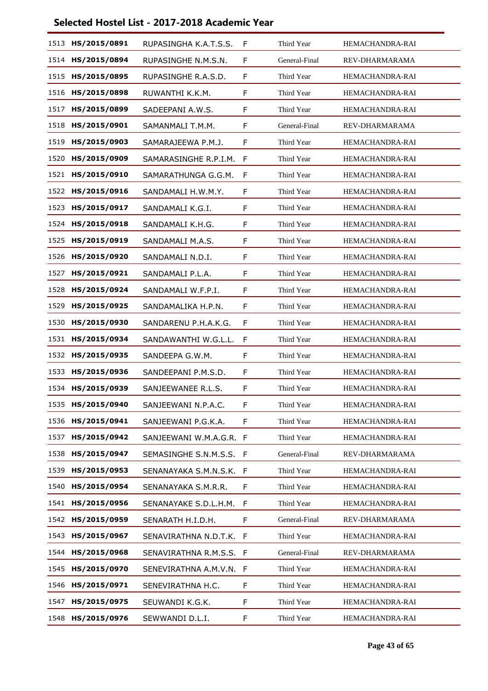|      | 1513 HS/2015/0891 | RUPASINGHA K.A.T.S.S.   | F            | Third Year    | <b>HEMACHANDRA-RAI</b> |
|------|-------------------|-------------------------|--------------|---------------|------------------------|
| 1514 | HS/2015/0894      | RUPASINGHE N.M.S.N.     | F            | General-Final | REV-DHARMARAMA         |
| 1515 | HS/2015/0895      | RUPASINGHE R.A.S.D.     | F            | Third Year    | HEMACHANDRA-RAI        |
| 1516 | HS/2015/0898      | RUWANTHI K.K.M.         | F            | Third Year    | HEMACHANDRA-RAI        |
| 1517 | HS/2015/0899      | SADEEPANI A.W.S.        | F            | Third Year    | HEMACHANDRA-RAI        |
| 1518 | HS/2015/0901      | SAMANMALI T.M.M.        | F            | General-Final | REV-DHARMARAMA         |
| 1519 | HS/2015/0903      | SAMARAJEEWA P.M.J.      | F            | Third Year    | <b>HEMACHANDRA-RAI</b> |
| 1520 | HS/2015/0909      | SAMARASINGHE R.P.I.M.   | F            | Third Year    | HEMACHANDRA-RAI        |
| 1521 | HS/2015/0910      | SAMARATHUNGA G.G.M.     | F            | Third Year    | HEMACHANDRA-RAI        |
| 1522 | HS/2015/0916      | SANDAMALI H.W.M.Y.      | F            | Third Year    | HEMACHANDRA-RAI        |
| 1523 | HS/2015/0917      | SANDAMALI K.G.I.        | F            | Third Year    | HEMACHANDRA-RAI        |
| 1524 | HS/2015/0918      | SANDAMALI K.H.G.        | F            | Third Year    | HEMACHANDRA-RAI        |
| 1525 | HS/2015/0919      | SANDAMALI M.A.S.        | F            | Third Year    | HEMACHANDRA-RAI        |
| 1526 | HS/2015/0920      | SANDAMALI N.D.I.        | F            | Third Year    | HEMACHANDRA-RAI        |
| 1527 | HS/2015/0921      | SANDAMALI P.L.A.        | F            | Third Year    | HEMACHANDRA-RAI        |
| 1528 | HS/2015/0924      | SANDAMALI W.F.P.I.      | F            | Third Year    | HEMACHANDRA-RAI        |
| 1529 | HS/2015/0925      | SANDAMALIKA H.P.N.      | F            | Third Year    | HEMACHANDRA-RAI        |
| 1530 | HS/2015/0930      | SANDARENU P.H.A.K.G.    | F            | Third Year    | HEMACHANDRA-RAI        |
| 1531 | HS/2015/0934      | SANDAWANTHI W.G.L.L.    | F            | Third Year    | HEMACHANDRA-RAI        |
| 1532 | HS/2015/0935      | SANDEEPA G.W.M.         | F            | Third Year    | HEMACHANDRA-RAI        |
| 1533 | HS/2015/0936      | SANDEEPANI P.M.S.D.     | F            | Third Year    | HEMACHANDRA-RAI        |
| 1534 | HS/2015/0939      | SANJEEWANEE R.L.S.      | F            | Third Year    | HEMACHANDRA-RAI        |
| 1535 | HS/2015/0940      | SANJEEWANI N.P.A.C.     | F            | Third Year    | HEMACHANDRA-RAI        |
| 1536 | HS/2015/0941      | SANJEEWANI P.G.K.A.     | F            | Third Year    | HEMACHANDRA-RAI        |
| 1537 | HS/2015/0942      | SANJEEWANI W.M.A.G.R. F |              | Third Year    | HEMACHANDRA-RAI        |
| 1538 | HS/2015/0947      | SEMASINGHE S.N.M.S.S.   | F            | General-Final | REV-DHARMARAMA         |
| 1539 | HS/2015/0953      | SENANAYAKA S.M.N.S.K.   | F            | Third Year    | HEMACHANDRA-RAI        |
| 1540 | HS/2015/0954      | SENANAYAKA S.M.R.R.     | F            | Third Year    | HEMACHANDRA-RAI        |
| 1541 | HS/2015/0956      | SENANAYAKE S.D.L.H.M.   | F            | Third Year    | HEMACHANDRA-RAI        |
|      | 1542 HS/2015/0959 | SENARATH H.I.D.H.       | F            | General-Final | REV-DHARMARAMA         |
| 1543 | HS/2015/0967      | SENAVIRATHNA N.D.T.K. F |              | Third Year    | HEMACHANDRA-RAI        |
| 1544 | HS/2015/0968      | SENAVIRATHNA R.M.S.S.   | $\mathsf{F}$ | General-Final | REV-DHARMARAMA         |
|      | 1545 HS/2015/0970 | SENEVIRATHNA A.M.V.N.   | F            | Third Year    | HEMACHANDRA-RAI        |
| 1546 | HS/2015/0971      | SENEVIRATHNA H.C.       | F            | Third Year    | HEMACHANDRA-RAI        |
| 1547 | HS/2015/0975      | SEUWANDI K.G.K.         | F            | Third Year    | HEMACHANDRA-RAI        |
|      | 1548 HS/2015/0976 | SEWWANDI D.L.I.         | F            | Third Year    | HEMACHANDRA-RAI        |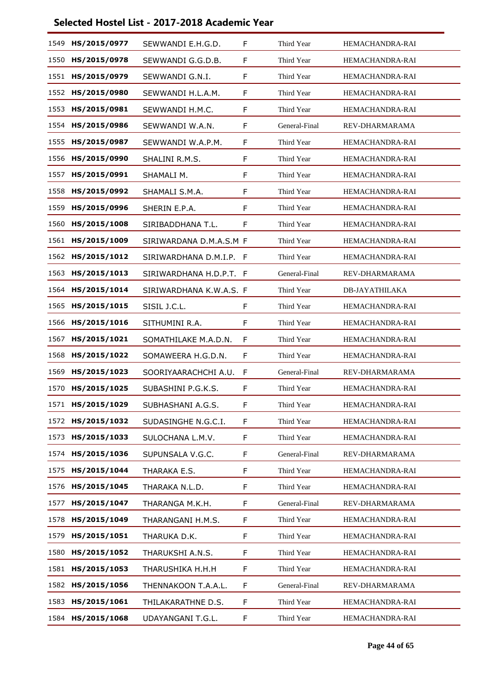| 1549 | HS/2015/0977 | SEWWANDI E.H.G.D.       | F  | Third Year    | <b>HEMACHANDRA-RAI</b> |
|------|--------------|-------------------------|----|---------------|------------------------|
| 1550 | HS/2015/0978 | SEWWANDI G.G.D.B.       | F  | Third Year    | HEMACHANDRA-RAI        |
| 1551 | HS/2015/0979 | SEWWANDI G.N.I.         | F  | Third Year    | HEMACHANDRA-RAI        |
| 1552 | HS/2015/0980 | SEWWANDI H.L.A.M.       | F  | Third Year    | HEMACHANDRA-RAI        |
| 1553 | HS/2015/0981 | SEWWANDI H.M.C.         | F  | Third Year    | HEMACHANDRA-RAI        |
| 1554 | HS/2015/0986 | SEWWANDI W.A.N.         | F  | General-Final | REV-DHARMARAMA         |
| 1555 | HS/2015/0987 | SEWWANDI W.A.P.M.       | F  | Third Year    | HEMACHANDRA-RAI        |
| 1556 | HS/2015/0990 | SHALINI R.M.S.          | F  | Third Year    | HEMACHANDRA-RAI        |
| 1557 | HS/2015/0991 | SHAMALI M.              | F  | Third Year    | HEMACHANDRA-RAI        |
| 1558 | HS/2015/0992 | SHAMALI S.M.A.          | F  | Third Year    | HEMACHANDRA-RAI        |
| 1559 | HS/2015/0996 | SHERIN E.P.A.           | F  | Third Year    | HEMACHANDRA-RAI        |
| 1560 | HS/2015/1008 | SIRIBADDHANA T.L.       | F  | Third Year    | HEMACHANDRA-RAI        |
| 1561 | HS/2015/1009 | SIRIWARDANA D.M.A.S.M F |    | Third Year    | HEMACHANDRA-RAI        |
| 1562 | HS/2015/1012 | SIRIWARDHANA D.M.I.P.   | -F | Third Year    | HEMACHANDRA-RAI        |
| 1563 | HS/2015/1013 | SIRIWARDHANA H.D.P.T. F |    | General-Final | REV-DHARMARAMA         |
| 1564 | HS/2015/1014 | SIRIWARDHANA K.W.A.S. F |    | Third Year    | <b>DB-JAYATHILAKA</b>  |
| 1565 | HS/2015/1015 | SISIL J.C.L.            | F  | Third Year    | HEMACHANDRA-RAI        |
| 1566 | HS/2015/1016 | SITHUMINI R.A.          | F  | Third Year    | <b>HEMACHANDRA-RAI</b> |
| 1567 | HS/2015/1021 | SOMATHILAKE M.A.D.N.    | F  | Third Year    | HEMACHANDRA-RAI        |
| 1568 | HS/2015/1022 | SOMAWEERA H.G.D.N.      | F  | Third Year    | HEMACHANDRA-RAI        |
| 1569 | HS/2015/1023 | SOORIYAARACHCHI A.U.    | F  | General-Final | REV-DHARMARAMA         |
| 1570 | HS/2015/1025 | SUBASHINI P.G.K.S.      | F  | Third Year    | HEMACHANDRA-RAI        |
| 1571 | HS/2015/1029 | SUBHASHANI A.G.S.       | F  | Third Year    | HEMACHANDRA-RAI        |
| 1572 | HS/2015/1032 | SUDASINGHE N.G.C.I.     | F  | Third Year    | HEMACHANDRA-RAI        |
| 1573 | HS/2015/1033 | SULOCHANA L.M.V.        | F  | Third Year    | HEMACHANDRA-RAI        |
| 1574 | HS/2015/1036 | SUPUNSALA V.G.C.        | F  | General-Final | REV-DHARMARAMA         |
| 1575 | HS/2015/1044 | THARAKA E.S.            | F  | Third Year    | HEMACHANDRA-RAI        |
| 1576 | HS/2015/1045 | THARAKA N.L.D.          | F  | Third Year    | HEMACHANDRA-RAI        |
| 1577 | HS/2015/1047 | THARANGA M.K.H.         | F  | General-Final | REV-DHARMARAMA         |
| 1578 | HS/2015/1049 | THARANGANI H.M.S.       | F  | Third Year    | HEMACHANDRA-RAI        |
| 1579 | HS/2015/1051 | THARUKA D.K.            | F. | Third Year    | HEMACHANDRA-RAI        |
| 1580 | HS/2015/1052 | THARUKSHI A.N.S.        | F  | Third Year    | <b>HEMACHANDRA-RAI</b> |
| 1581 | HS/2015/1053 | THARUSHIKA H.H.H        | F  | Third Year    | HEMACHANDRA-RAI        |
| 1582 | HS/2015/1056 | THENNAKOON T.A.A.L.     | F. | General-Final | REV-DHARMARAMA         |
| 1583 | HS/2015/1061 | THILAKARATHNE D.S.      | F. | Third Year    | HEMACHANDRA-RAI        |
| 1584 | HS/2015/1068 | UDAYANGANI T.G.L.       | F  | Third Year    | HEMACHANDRA-RAI        |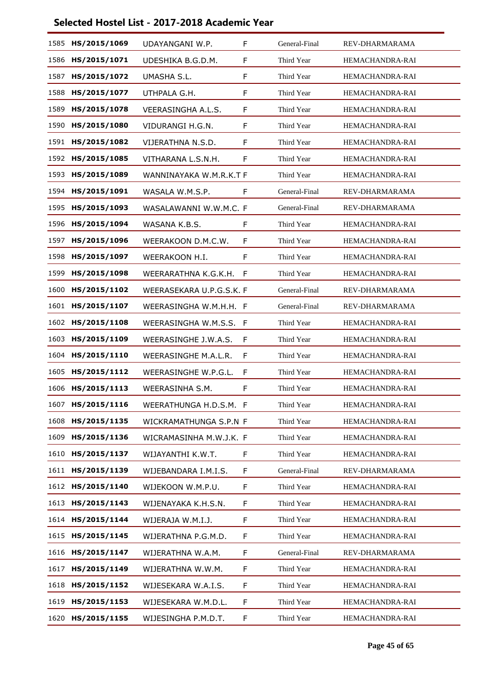| 1585 | HS/2015/1069 | UDAYANGANI W.P.          | F  | General-Final | REV-DHARMARAMA         |
|------|--------------|--------------------------|----|---------------|------------------------|
| 1586 | HS/2015/1071 | UDESHIKA B.G.D.M.        | F  | Third Year    | HEMACHANDRA-RAI        |
| 1587 | HS/2015/1072 | UMASHA S.L.              | F  | Third Year    | HEMACHANDRA-RAI        |
| 1588 | HS/2015/1077 | UTHPALA G.H.             | F  | Third Year    | HEMACHANDRA-RAI        |
| 1589 | HS/2015/1078 | VEERASINGHA A.L.S.       | F  | Third Year    | HEMACHANDRA-RAI        |
| 1590 | HS/2015/1080 | VIDURANGI H.G.N.         | F  | Third Year    | HEMACHANDRA-RAI        |
| 1591 | HS/2015/1082 | VIJERATHNA N.S.D.        | F  | Third Year    | HEMACHANDRA-RAI        |
| 1592 | HS/2015/1085 | VITHARANA L.S.N.H.       | F  | Third Year    | HEMACHANDRA-RAI        |
| 1593 | HS/2015/1089 | WANNINAYAKA W.M.R.K.T F  |    | Third Year    | <b>HEMACHANDRA-RAI</b> |
| 1594 | HS/2015/1091 | WASALA W.M.S.P.          | F  | General-Final | REV-DHARMARAMA         |
| 1595 | HS/2015/1093 | WASALAWANNI W.W.M.C. F   |    | General-Final | REV-DHARMARAMA         |
| 1596 | HS/2015/1094 | WASANA K.B.S.            | F  | Third Year    | HEMACHANDRA-RAI        |
| 1597 | HS/2015/1096 | WEERAKOON D.M.C.W.       | F  | Third Year    | HEMACHANDRA-RAI        |
| 1598 | HS/2015/1097 | WEERAKOON H.I.           | F  | Third Year    | HEMACHANDRA-RAI        |
| 1599 | HS/2015/1098 | WEERARATHNA K.G.K.H.     | F  | Third Year    | HEMACHANDRA-RAI        |
| 1600 | HS/2015/1102 | WEERASEKARA U.P.G.S.K. F |    | General-Final | REV-DHARMARAMA         |
| 1601 | HS/2015/1107 | WEERASINGHA W.M.H.H. F   |    | General-Final | REV-DHARMARAMA         |
| 1602 | HS/2015/1108 | WEERASINGHA W.M.S.S.     | -F | Third Year    | HEMACHANDRA-RAI        |
| 1603 | HS/2015/1109 | WEERASINGHE J.W.A.S.     | F  | Third Year    | HEMACHANDRA-RAI        |
| 1604 | HS/2015/1110 | WEERASINGHE M.A.L.R.     | F  | Third Year    | HEMACHANDRA-RAI        |
| 1605 | HS/2015/1112 | WEERASINGHE W.P.G.L.     | F  | Third Year    | HEMACHANDRA-RAI        |
| 1606 | HS/2015/1113 | WEERASINHA S.M.          | F  | Third Year    | HEMACHANDRA-RAI        |
| 1607 | HS/2015/1116 | WEERATHUNGA H.D.S.M. F   |    | Third Year    | HEMACHANDRA-RAI        |
| 1608 | HS/2015/1135 | WICKRAMATHUNGA S.P.N F   |    | Third Year    | HEMACHANDRA-RAI        |
| 1609 | HS/2015/1136 | WICRAMASINHA M.W.J.K. F  |    | Third Year    | HEMACHANDRA-RAI        |
| 1610 | HS/2015/1137 | WIJAYANTHI K.W.T.        | F  | Third Year    | HEMACHANDRA-RAI        |
| 1611 | HS/2015/1139 | WIJEBANDARA I.M.I.S.     | F  | General-Final | REV-DHARMARAMA         |
| 1612 | HS/2015/1140 | WIJEKOON W.M.P.U.        | F  | Third Year    | HEMACHANDRA-RAI        |
| 1613 | HS/2015/1143 | WIJENAYAKA K.H.S.N.      | F  | Third Year    | HEMACHANDRA-RAI        |
| 1614 | HS/2015/1144 | WIJERAJA W.M.I.J.        | F  | Third Year    | HEMACHANDRA-RAI        |
| 1615 | HS/2015/1145 | WIJERATHNA P.G.M.D.      | F  | Third Year    | HEMACHANDRA-RAI        |
| 1616 | HS/2015/1147 | WIJERATHNA W.A.M.        | F  | General-Final | REV-DHARMARAMA         |
| 1617 | HS/2015/1149 | WIJERATHNA W.W.M.        | F  | Third Year    | HEMACHANDRA-RAI        |
| 1618 | HS/2015/1152 | WIJESEKARA W.A.I.S.      | F  | Third Year    | HEMACHANDRA-RAI        |
| 1619 | HS/2015/1153 | WIJESEKARA W.M.D.L.      | F  | Third Year    | HEMACHANDRA-RAI        |
| 1620 | HS/2015/1155 | WIJESINGHA P.M.D.T.      | F  | Third Year    | HEMACHANDRA-RAI        |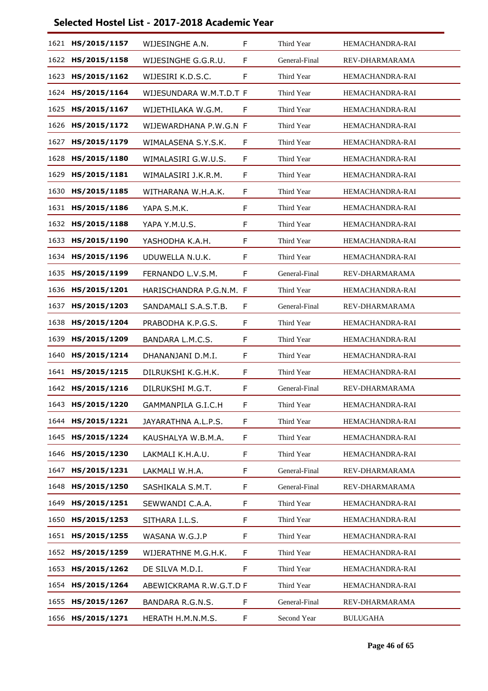| 1621 | HS/2015/1157 | WIJESINGHE A.N.         | F  | Third Year    | <b>HEMACHANDRA-RAI</b> |
|------|--------------|-------------------------|----|---------------|------------------------|
| 1622 | HS/2015/1158 | WIJESINGHE G.G.R.U.     | F  | General-Final | REV-DHARMARAMA         |
| 1623 | HS/2015/1162 | WIJESIRI K.D.S.C.       | F  | Third Year    | HEMACHANDRA-RAI        |
| 1624 | HS/2015/1164 | WIJESUNDARA W.M.T.D.T F |    | Third Year    | HEMACHANDRA-RAI        |
| 1625 | HS/2015/1167 | WIJETHILAKA W.G.M.      | F  | Third Year    | HEMACHANDRA-RAI        |
| 1626 | HS/2015/1172 | WIJEWARDHANA P.W.G.N F  |    | Third Year    | HEMACHANDRA-RAI        |
| 1627 | HS/2015/1179 | WIMALASENA S.Y.S.K.     | F  | Third Year    | HEMACHANDRA-RAI        |
| 1628 | HS/2015/1180 | WIMALASIRI G.W.U.S.     | F  | Third Year    | HEMACHANDRA-RAI        |
| 1629 | HS/2015/1181 | WIMALASIRI J.K.R.M.     | F  | Third Year    | HEMACHANDRA-RAI        |
| 1630 | HS/2015/1185 | WITHARANA W.H.A.K.      | F  | Third Year    | HEMACHANDRA-RAI        |
| 1631 | HS/2015/1186 | YAPA S.M.K.             | F  | Third Year    | HEMACHANDRA-RAI        |
| 1632 | HS/2015/1188 | YAPA Y.M.U.S.           | F  | Third Year    | HEMACHANDRA-RAI        |
| 1633 | HS/2015/1190 | YASHODHA K.A.H.         | F  | Third Year    | HEMACHANDRA-RAI        |
| 1634 | HS/2015/1196 | UDUWELLA N.U.K.         | F  | Third Year    | HEMACHANDRA-RAI        |
| 1635 | HS/2015/1199 | FERNANDO L.V.S.M.       | F  | General-Final | REV-DHARMARAMA         |
| 1636 | HS/2015/1201 | HARISCHANDRA P.G.N.M. F |    | Third Year    | <b>HEMACHANDRA-RAI</b> |
| 1637 | HS/2015/1203 | SANDAMALI S.A.S.T.B.    | F  | General-Final | REV-DHARMARAMA         |
| 1638 | HS/2015/1204 | PRABODHA K.P.G.S.       | F  | Third Year    | HEMACHANDRA-RAI        |
| 1639 | HS/2015/1209 | BANDARA L.M.C.S.        | F  | Third Year    | HEMACHANDRA-RAI        |
| 1640 | HS/2015/1214 | DHANANJANI D.M.I.       | F  | Third Year    | HEMACHANDRA-RAI        |
| 1641 | HS/2015/1215 | DILRUKSHI K.G.H.K.      | F  | Third Year    | HEMACHANDRA-RAI        |
| 1642 | HS/2015/1216 | DILRUKSHI M.G.T.        | F  | General-Final | REV-DHARMARAMA         |
| 1643 | HS/2015/1220 | GAMMANPILA G.I.C.H      | F  | Third Year    | HEMACHANDRA-RAI        |
| 1644 | HS/2015/1221 | JAYARATHNA A.L.P.S.     | F  | Third Year    | HEMACHANDRA-RAI        |
| 1645 | HS/2015/1224 | KAUSHALYA W.B.M.A.      | F  | Third Year    | HEMACHANDRA-RAI        |
| 1646 | HS/2015/1230 | LAKMALI K.H.A.U.        | F  | Third Year    | HEMACHANDRA-RAI        |
| 1647 | HS/2015/1231 | LAKMALI W.H.A.          | F  | General-Final | REV-DHARMARAMA         |
| 1648 | HS/2015/1250 | SASHIKALA S.M.T.        | F  | General-Final | REV-DHARMARAMA         |
| 1649 | HS/2015/1251 | SEWWANDI C.A.A.         | F  | Third Year    | HEMACHANDRA-RAI        |
| 1650 | HS/2015/1253 | SITHARA I.L.S.          | F  | Third Year    | HEMACHANDRA-RAI        |
| 1651 | HS/2015/1255 | WASANA W.G.J.P          | F  | Third Year    | HEMACHANDRA-RAI        |
| 1652 | HS/2015/1259 | WIJERATHNE M.G.H.K.     | F  | Third Year    | HEMACHANDRA-RAI        |
| 1653 | HS/2015/1262 | DE SILVA M.D.I.         | F  | Third Year    | HEMACHANDRA-RAI        |
| 1654 | HS/2015/1264 | ABEWICKRAMA R.W.G.T.D F |    | Third Year    | HEMACHANDRA-RAI        |
| 1655 | HS/2015/1267 | BANDARA R.G.N.S.        | F. | General-Final | REV-DHARMARAMA         |
| 1656 | HS/2015/1271 | HERATH H.M.N.M.S.       | F  | Second Year   | <b>BULUGAHA</b>        |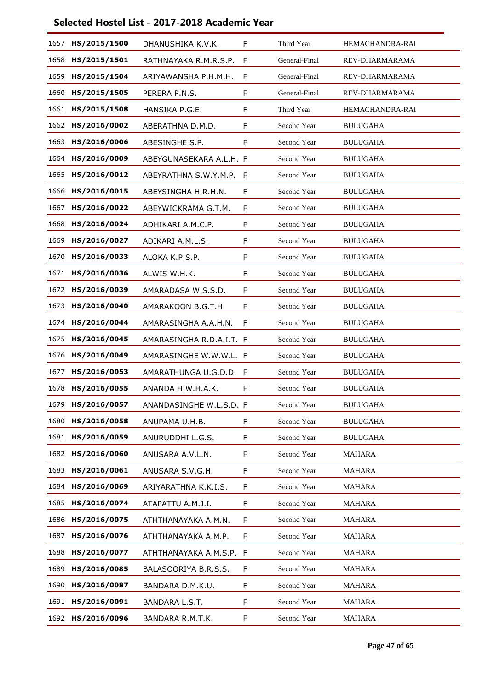| 1657 | HS/2015/1500      | DHANUSHIKA K.V.K.        | F | Third Year    | HEMACHANDRA-RAI |
|------|-------------------|--------------------------|---|---------------|-----------------|
| 1658 | HS/2015/1501      | RATHNAYAKA R.M.R.S.P.    | F | General-Final | REV-DHARMARAMA  |
| 1659 | HS/2015/1504      | ARIYAWANSHA P.H.M.H.     | F | General-Final | REV-DHARMARAMA  |
| 1660 | HS/2015/1505      | PERERA P.N.S.            | F | General-Final | REV-DHARMARAMA  |
| 1661 | HS/2015/1508      | HANSIKA P.G.E.           | F | Third Year    | HEMACHANDRA-RAI |
| 1662 | HS/2016/0002      | ABERATHNA D.M.D.         | F | Second Year   | <b>BULUGAHA</b> |
| 1663 | HS/2016/0006      | ABESINGHE S.P.           | F | Second Year   | <b>BULUGAHA</b> |
| 1664 | HS/2016/0009      | ABEYGUNASEKARA A.L.H. F  |   | Second Year   | <b>BULUGAHA</b> |
| 1665 | HS/2016/0012      | ABEYRATHNA S.W.Y.M.P.    | F | Second Year   | <b>BULUGAHA</b> |
| 1666 | HS/2016/0015      | ABEYSINGHA H.R.H.N.      | F | Second Year   | <b>BULUGAHA</b> |
| 1667 | HS/2016/0022      | ABEYWICKRAMA G.T.M.      | F | Second Year   | <b>BULUGAHA</b> |
| 1668 | HS/2016/0024      | ADHIKARI A.M.C.P.        | F | Second Year   | <b>BULUGAHA</b> |
| 1669 | HS/2016/0027      | ADIKARI A.M.L.S.         | F | Second Year   | <b>BULUGAHA</b> |
| 1670 | HS/2016/0033      | ALOKA K.P.S.P.           | F | Second Year   | <b>BULUGAHA</b> |
| 1671 | HS/2016/0036      | ALWIS W.H.K.             | F | Second Year   | <b>BULUGAHA</b> |
| 1672 | HS/2016/0039      | AMARADASA W.S.S.D.       | F | Second Year   | <b>BULUGAHA</b> |
| 1673 | HS/2016/0040      | AMARAKOON B.G.T.H.       | F | Second Year   | <b>BULUGAHA</b> |
| 1674 | HS/2016/0044      | AMARASINGHA A.A.H.N.     | F | Second Year   | <b>BULUGAHA</b> |
| 1675 | HS/2016/0045      | AMARASINGHA R.D.A.I.T. F |   | Second Year   | <b>BULUGAHA</b> |
| 1676 | HS/2016/0049      | AMARASINGHE W.W.W.L. F   |   | Second Year   | <b>BULUGAHA</b> |
| 1677 | HS/2016/0053      | AMARATHUNGA U.G.D.D. F   |   | Second Year   | <b>BULUGAHA</b> |
| 1678 | HS/2016/0055      | ANANDA H.W.H.A.K.        | F | Second Year   | <b>BULUGAHA</b> |
| 1679 | HS/2016/0057      | ANANDASINGHE W.L.S.D. F  |   | Second Year   | <b>BULUGAHA</b> |
| 1680 | HS/2016/0058      | ANUPAMA U.H.B.           | F | Second Year   | <b>BULUGAHA</b> |
| 1681 | HS/2016/0059      | ANURUDDHI L.G.S.         | F | Second Year   | <b>BULUGAHA</b> |
| 1682 | HS/2016/0060      | ANUSARA A.V.L.N.         | F | Second Year   | <b>MAHARA</b>   |
| 1683 | HS/2016/0061      | ANUSARA S.V.G.H.         | F | Second Year   | <b>MAHARA</b>   |
| 1684 | HS/2016/0069      | ARIYARATHNA K.K.I.S.     | F | Second Year   | MAHARA          |
| 1685 | HS/2016/0074      | ATAPATTU A.M.J.I.        | F | Second Year   | <b>MAHARA</b>   |
| 1686 | HS/2016/0075      | ATHTHANAYAKA A.M.N.      | F | Second Year   | <b>MAHARA</b>   |
| 1687 | HS/2016/0076      | ATHTHANAYAKA A.M.P.      | F | Second Year   | MAHARA          |
| 1688 | HS/2016/0077      | ATHTHANAYAKA A.M.S.P. F  |   | Second Year   | <b>MAHARA</b>   |
| 1689 | HS/2016/0085      | BALASOORIYA B.R.S.S.     | F | Second Year   | MAHARA          |
| 1690 | HS/2016/0087      | BANDARA D.M.K.U.         | F | Second Year   | MAHARA          |
| 1691 | HS/2016/0091      | BANDARA L.S.T.           | F | Second Year   | <b>MAHARA</b>   |
|      | 1692 HS/2016/0096 | BANDARA R.M.T.K.         | F | Second Year   | MAHARA          |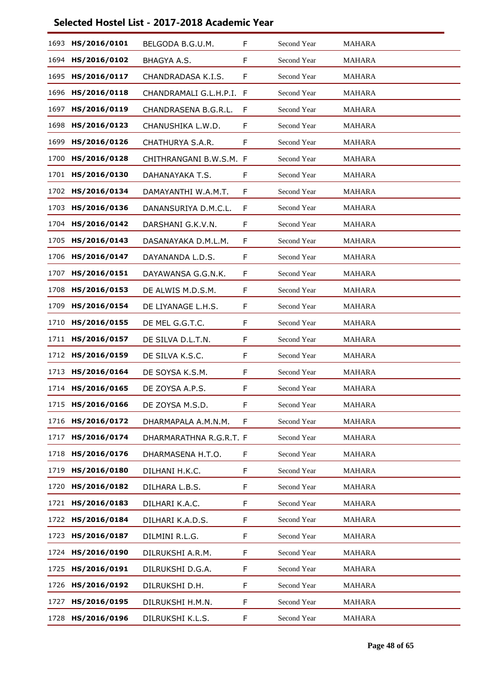| 1693 | HS/2016/0101 | BELGODA B.G.U.M.        | F  | Second Year | <b>MAHARA</b> |
|------|--------------|-------------------------|----|-------------|---------------|
| 1694 | HS/2016/0102 | BHAGYA A.S.             | F  | Second Year | <b>MAHARA</b> |
| 1695 | HS/2016/0117 | CHANDRADASA K.I.S.      | F  | Second Year | MAHARA        |
| 1696 | HS/2016/0118 | CHANDRAMALI G.L.H.P.I.  | F  | Second Year | <b>MAHARA</b> |
| 1697 | HS/2016/0119 | CHANDRASENA B.G.R.L.    | F  | Second Year | <b>MAHARA</b> |
| 1698 | HS/2016/0123 | CHANUSHIKA L.W.D.       | F  | Second Year | MAHARA        |
| 1699 | HS/2016/0126 | CHATHURYA S.A.R.        | F  | Second Year | <b>MAHARA</b> |
| 1700 | HS/2016/0128 | CHITHRANGANI B.W.S.M. F |    | Second Year | <b>MAHARA</b> |
| 1701 | HS/2016/0130 | DAHANAYAKA T.S.         | F  | Second Year | MAHARA        |
| 1702 | HS/2016/0134 | DAMAYANTHI W.A.M.T.     | F  | Second Year | <b>MAHARA</b> |
| 1703 | HS/2016/0136 | DANANSURIYA D.M.C.L.    | F  | Second Year | <b>MAHARA</b> |
| 1704 | HS/2016/0142 | DARSHANI G.K.V.N.       | F  | Second Year | <b>MAHARA</b> |
| 1705 | HS/2016/0143 | DASANAYAKA D.M.L.M.     | F  | Second Year | <b>MAHARA</b> |
| 1706 | HS/2016/0147 | DAYANANDA L.D.S.        | F  | Second Year | <b>MAHARA</b> |
| 1707 | HS/2016/0151 | DAYAWANSA G.G.N.K.      | F  | Second Year | <b>MAHARA</b> |
| 1708 | HS/2016/0153 | DE ALWIS M.D.S.M.       | F  | Second Year | <b>MAHARA</b> |
| 1709 | HS/2016/0154 | DE LIYANAGE L.H.S.      | F  | Second Year | <b>MAHARA</b> |
| 1710 | HS/2016/0155 | DE MEL G.G.T.C.         | F  | Second Year | <b>MAHARA</b> |
| 1711 | HS/2016/0157 | DE SILVA D.L.T.N.       | F  | Second Year | <b>MAHARA</b> |
| 1712 | HS/2016/0159 | DE SILVA K.S.C.         | F  | Second Year | <b>MAHARA</b> |
| 1713 | HS/2016/0164 | DE SOYSA K.S.M.         | F  | Second Year | <b>MAHARA</b> |
| 1714 | HS/2016/0165 | DE ZOYSA A.P.S.         | F  | Second Year | <b>MAHARA</b> |
| 1715 | HS/2016/0166 | DE ZOYSA M.S.D.         | F  | Second Year | <b>MAHARA</b> |
| 1716 | HS/2016/0172 | DHARMAPALA A.M.N.M.     | F  | Second Year | <b>MAHARA</b> |
| 1717 | HS/2016/0174 | DHARMARATHNA R.G.R.T. F |    | Second Year | <b>MAHARA</b> |
| 1718 | HS/2016/0176 | DHARMASENA H.T.O.       | F. | Second Year | MAHARA        |
| 1719 | HS/2016/0180 | DILHANI H.K.C.          | F  | Second Year | <b>MAHARA</b> |
| 1720 | HS/2016/0182 | DILHARA L.B.S.          | F  | Second Year | MAHARA        |
| 1721 | HS/2016/0183 | DILHARI K.A.C.          | F  | Second Year | MAHARA        |
| 1722 | HS/2016/0184 | DILHARI K.A.D.S.        | F  | Second Year | <b>MAHARA</b> |
| 1723 | HS/2016/0187 | DILMINI R.L.G.          | F  | Second Year | MAHARA        |
| 1724 | HS/2016/0190 | DILRUKSHI A.R.M.        | F  | Second Year | MAHARA        |
| 1725 | HS/2016/0191 | DILRUKSHI D.G.A.        | F  | Second Year | MAHARA        |
| 1726 | HS/2016/0192 | DILRUKSHI D.H.          | F  | Second Year | MAHARA        |
| 1727 | HS/2016/0195 | DILRUKSHI H.M.N.        | F  | Second Year | <b>MAHARA</b> |
| 1728 | HS/2016/0196 | DILRUKSHI K.L.S.        | F  | Second Year | MAHARA        |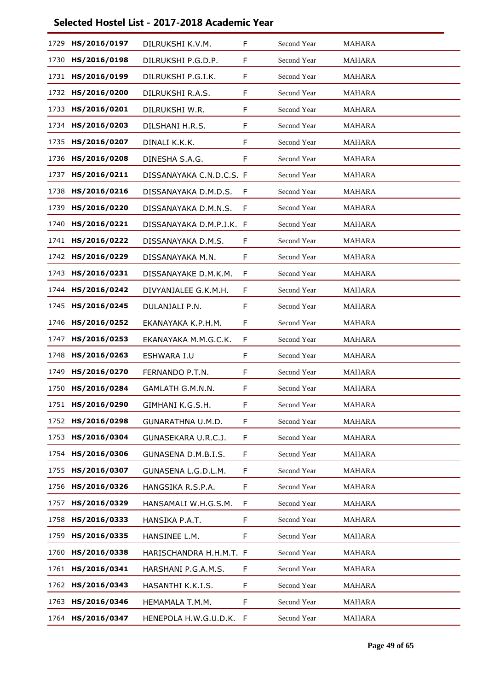| 1729 | HS/2016/0197 | DILRUKSHI K.V.M.         | F  | Second Year | <b>MAHARA</b> |
|------|--------------|--------------------------|----|-------------|---------------|
| 1730 | HS/2016/0198 | DILRUKSHI P.G.D.P.       | F  | Second Year | MAHARA        |
| 1731 | HS/2016/0199 | DILRUKSHI P.G.I.K.       | F  | Second Year | MAHARA        |
| 1732 | HS/2016/0200 | DILRUKSHI R.A.S.         | F  | Second Year | <b>MAHARA</b> |
| 1733 | HS/2016/0201 | DILRUKSHI W.R.           | F  | Second Year | <b>MAHARA</b> |
| 1734 | HS/2016/0203 | DILSHANI H.R.S.          | F  | Second Year | <b>MAHARA</b> |
| 1735 | HS/2016/0207 | DINALI K.K.K.            | F  | Second Year | <b>MAHARA</b> |
| 1736 | HS/2016/0208 | DINESHA S.A.G.           | F  | Second Year | <b>MAHARA</b> |
| 1737 | HS/2016/0211 | DISSANAYAKA C.N.D.C.S. F |    | Second Year | MAHARA        |
| 1738 | HS/2016/0216 | DISSANAYAKA D.M.D.S.     | F  | Second Year | <b>MAHARA</b> |
| 1739 | HS/2016/0220 | DISSANAYAKA D.M.N.S.     | F  | Second Year | MAHARA        |
| 1740 | HS/2016/0221 | DISSANAYAKA D.M.P.J.K. F |    | Second Year | <b>MAHARA</b> |
| 1741 | HS/2016/0222 | DISSANAYAKA D.M.S.       | F  | Second Year | <b>MAHARA</b> |
| 1742 | HS/2016/0229 | DISSANAYAKA M.N.         | F  | Second Year | <b>MAHARA</b> |
| 1743 | HS/2016/0231 | DISSANAYAKE D.M.K.M.     | F  | Second Year | <b>MAHARA</b> |
| 1744 | HS/2016/0242 | DIVYANJALEE G.K.M.H.     | F  | Second Year | <b>MAHARA</b> |
| 1745 | HS/2016/0245 | DULANJALI P.N.           | F  | Second Year | <b>MAHARA</b> |
| 1746 | HS/2016/0252 | EKANAYAKA K.P.H.M.       | F  | Second Year | <b>MAHARA</b> |
| 1747 | HS/2016/0253 | EKANAYAKA M.M.G.C.K.     | F  | Second Year | <b>MAHARA</b> |
| 1748 | HS/2016/0263 | ESHWARA I.U              | F  | Second Year | <b>MAHARA</b> |
| 1749 | HS/2016/0270 | FERNANDO P.T.N.          | F  | Second Year | <b>MAHARA</b> |
| 1750 | HS/2016/0284 | GAMLATH G.M.N.N.         | F  | Second Year | <b>MAHARA</b> |
| 1751 | HS/2016/0290 | GIMHANI K.G.S.H.         | F. | Second Year | <b>MAHARA</b> |
| 1752 | HS/2016/0298 | GUNARATHNA U.M.D.        | F  | Second Year | <b>MAHARA</b> |
| 1753 | HS/2016/0304 | GUNASEKARA U.R.C.J.      | F  | Second Year | <b>MAHARA</b> |
| 1754 | HS/2016/0306 | GUNASENA D.M.B.I.S.      | F  | Second Year | MAHARA        |
| 1755 | HS/2016/0307 | GUNASENA L.G.D.L.M.      | F  | Second Year | MAHARA        |
| 1756 | HS/2016/0326 | HANGSIKA R.S.P.A.        | F  | Second Year | <b>MAHARA</b> |
| 1757 | HS/2016/0329 | HANSAMALI W.H.G.S.M.     | F  | Second Year | MAHARA        |
| 1758 | HS/2016/0333 | HANSIKA P.A.T.           | F  | Second Year | MAHARA        |
| 1759 | HS/2016/0335 | HANSINEE L.M.            | F. | Second Year | <b>MAHARA</b> |
| 1760 | HS/2016/0338 | HARISCHANDRA H.H.M.T. F  |    | Second Year | MAHARA        |
| 1761 | HS/2016/0341 | HARSHANI P.G.A.M.S.      | F. | Second Year | MAHARA        |
| 1762 | HS/2016/0343 | HASANTHI K.K.I.S.        | F  | Second Year | <b>MAHARA</b> |
| 1763 | HS/2016/0346 | HEMAMALA T.M.M.          | F  | Second Year | <b>MAHARA</b> |
| 1764 | HS/2016/0347 | HENEPOLA H.W.G.U.D.K.    | F  | Second Year | MAHARA        |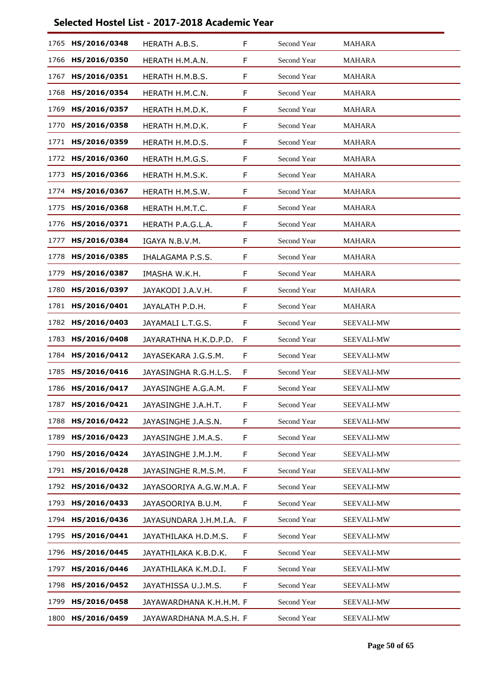| 1765 | HS/2016/0348      | HERATH A.B.S.            | F | Second Year | <b>MAHARA</b>     |
|------|-------------------|--------------------------|---|-------------|-------------------|
| 1766 | HS/2016/0350      | HERATH H.M.A.N.          | F | Second Year | <b>MAHARA</b>     |
| 1767 | HS/2016/0351      | HERATH H.M.B.S.          | F | Second Year | MAHARA            |
| 1768 | HS/2016/0354      | HERATH H.M.C.N.          | F | Second Year | <b>MAHARA</b>     |
| 1769 | HS/2016/0357      | HERATH H.M.D.K.          | F | Second Year | <b>MAHARA</b>     |
| 1770 | HS/2016/0358      | HERATH H.M.D.K.          | F | Second Year | MAHARA            |
| 1771 | HS/2016/0359      | HERATH H.M.D.S.          | F | Second Year | <b>MAHARA</b>     |
| 1772 | HS/2016/0360      | HERATH H.M.G.S.          | F | Second Year | <b>MAHARA</b>     |
| 1773 | HS/2016/0366      | HERATH H.M.S.K.          | F | Second Year | MAHARA            |
| 1774 | HS/2016/0367      | HERATH H.M.S.W.          | F | Second Year | <b>MAHARA</b>     |
| 1775 | HS/2016/0368      | HERATH H.M.T.C.          | F | Second Year | <b>MAHARA</b>     |
| 1776 | HS/2016/0371      | HERATH P.A.G.L.A.        | F | Second Year | <b>MAHARA</b>     |
| 1777 | HS/2016/0384      | IGAYA N.B.V.M.           | F | Second Year | <b>MAHARA</b>     |
| 1778 | HS/2016/0385      | <b>IHALAGAMA P.S.S.</b>  | F | Second Year | <b>MAHARA</b>     |
| 1779 | HS/2016/0387      | IMASHA W.K.H.            | F | Second Year | MAHARA            |
| 1780 | HS/2016/0397      | JAYAKODI J.A.V.H.        | F | Second Year | MAHARA            |
| 1781 | HS/2016/0401      | JAYALATH P.D.H.          | F | Second Year | <b>MAHARA</b>     |
|      | 1782 HS/2016/0403 | JAYAMALI L.T.G.S.        | F | Second Year | SEEVALI-MW        |
| 1783 | HS/2016/0408      | JAYARATHNA H.K.D.P.D.    | F | Second Year | <b>SEEVALI-MW</b> |
| 1784 | HS/2016/0412      | JAYASEKARA J.G.S.M.      | F | Second Year | <b>SEEVALI-MW</b> |
| 1785 | HS/2016/0416      | JAYASINGHA R.G.H.L.S.    | F | Second Year | SEEVALI-MW        |
| 1786 | HS/2016/0417      | JAYASINGHE A.G.A.M.      | F | Second Year | <b>SEEVALI-MW</b> |
| 1787 | HS/2016/0421      | JAYASINGHE J.A.H.T.      | F | Second Year | SEEVALI-MW        |
| 1788 | HS/2016/0422      | JAYASINGHE J.A.S.N.      | F | Second Year | SEEVALI-MW        |
| 1789 | HS/2016/0423      | JAYASINGHE J.M.A.S.      | F | Second Year | SEEVALI-MW        |
| 1790 | HS/2016/0424      | JAYASINGHE J.M.J.M.      | F | Second Year | SEEVALI-MW        |
| 1791 | HS/2016/0428      | JAYASINGHE R.M.S.M.      | F | Second Year | SEEVALI-MW        |
| 1792 | HS/2016/0432      | JAYASOORIYA A.G.W.M.A. F |   | Second Year | SEEVALI-MW        |
| 1793 | HS/2016/0433      | JAYASOORIYA B.U.M.       | F | Second Year | SEEVALI-MW        |
| 1794 | HS/2016/0436      | JAYASUNDARA J.H.M.I.A.   | F | Second Year | SEEVALI-MW        |
| 1795 | HS/2016/0441      | JAYATHILAKA H.D.M.S.     | F | Second Year | SEEVALI-MW        |
| 1796 | HS/2016/0445      | JAYATHILAKA K.B.D.K.     | F | Second Year | SEEVALI-MW        |
| 1797 | HS/2016/0446      | JAYATHILAKA K.M.D.I.     | F | Second Year | SEEVALI-MW        |
| 1798 | HS/2016/0452      | JAYATHISSA U.J.M.S.      | F | Second Year | SEEVALI-MW        |
| 1799 | HS/2016/0458      | JAYAWARDHANA K.H.H.M. F  |   | Second Year | SEEVALI-MW        |
| 1800 | HS/2016/0459      | JAYAWARDHANA M.A.S.H. F  |   | Second Year | SEEVALI-MW        |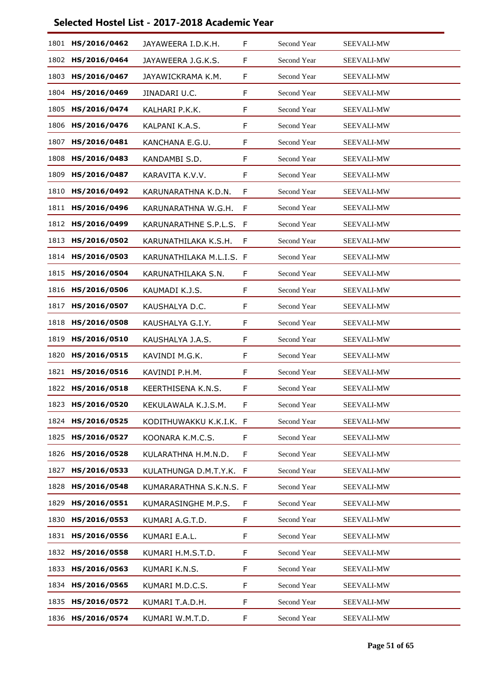| 1801 | HS/2016/0462      | JAYAWEERA I.D.K.H.       | F | Second Year        | SEEVALI-MW        |
|------|-------------------|--------------------------|---|--------------------|-------------------|
|      | 1802 HS/2016/0464 | JAYAWEERA J.G.K.S.       | F | Second Year        | SEEVALI-MW        |
| 1803 | HS/2016/0467      | JAYAWICKRAMA K.M.        | F | Second Year        | SEEVALI-MW        |
| 1804 | HS/2016/0469      | JINADARI U.C.            | F | Second Year        | <b>SEEVALI-MW</b> |
| 1805 | HS/2016/0474      | KALHARI P.K.K.           | F | Second Year        | SEEVALI-MW        |
| 1806 | HS/2016/0476      | KALPANI K.A.S.           | F | Second Year        | SEEVALI-MW        |
| 1807 | HS/2016/0481      | KANCHANA E.G.U.          | F | Second Year        | <b>SEEVALI-MW</b> |
| 1808 | HS/2016/0483      | KANDAMBI S.D.            | F | Second Year        | SEEVALI-MW        |
| 1809 | HS/2016/0487      | KARAVITA K.V.V.          | F | Second Year        | <b>SEEVALI-MW</b> |
| 1810 | HS/2016/0492      | KARUNARATHNA K.D.N.      | F | Second Year        | <b>SEEVALI-MW</b> |
| 1811 | HS/2016/0496      | KARUNARATHNA W.G.H.      | F | Second Year        | SEEVALI-MW        |
| 1812 | HS/2016/0499      | KARUNARATHNE S.P.L.S. F  |   | Second Year        | <b>SEEVALI-MW</b> |
| 1813 | HS/2016/0502      | KARUNATHILAKA K.S.H.     | F | Second Year        | <b>SEEVALI-MW</b> |
| 1814 | HS/2016/0503      | KARUNATHILAKA M.L.I.S. F |   | Second Year        | SEEVALI-MW        |
| 1815 | HS/2016/0504      | KARUNATHILAKA S.N.       | F | Second Year        | SEEVALI-MW        |
| 1816 | HS/2016/0506      | KAUMADI K.J.S.           | F | Second Year        | SEEVALI-MW        |
| 1817 | HS/2016/0507      | KAUSHALYA D.C.           | F | Second Year        | SEEVALI-MW        |
| 1818 | HS/2016/0508      | KAUSHALYA G.I.Y.         | F | Second Year        | SEEVALI-MW        |
| 1819 | HS/2016/0510      | KAUSHALYA J.A.S.         | F | Second Year        | <b>SEEVALI-MW</b> |
| 1820 | HS/2016/0515      | KAVINDI M.G.K.           | F | Second Year        | SEEVALI-MW        |
| 1821 | HS/2016/0516      | KAVINDI P.H.M.           | F | Second Year        | SEEVALI-MW        |
| 1822 | HS/2016/0518      | KEERTHISENA K.N.S.       | F | Second Year        | SEEVALI-MW        |
| 1823 | HS/2016/0520      | KEKULAWALA K.J.S.M.      | F | Second Year        | SEEVALI-MW        |
| 1824 | HS/2016/0525      | KODITHUWAKKU K.K.I.K. F  |   | Second Year        | <b>SEEVALI-MW</b> |
| 1825 | HS/2016/0527      | KOONARA K.M.C.S.         | F | Second Year        | SEEVALI-MW        |
| 1826 | HS/2016/0528      | KULARATHNA H.M.N.D.      | F | Second Year        | SEEVALI-MW        |
| 1827 | HS/2016/0533      | KULATHUNGA D.M.T.Y.K. F  |   | Second Year        | <b>SEEVALI-MW</b> |
| 1828 | HS/2016/0548      | KUMARARATHNA S.K.N.S. F  |   | <b>Second Year</b> | SEEVALI-MW        |
| 1829 | HS/2016/0551      | KUMARASINGHE M.P.S.      | F | Second Year        | SEEVALI-MW        |
| 1830 | HS/2016/0553      | KUMARI A.G.T.D.          | F | Second Year        | <b>SEEVALI-MW</b> |
| 1831 | HS/2016/0556      | KUMARI E.A.L.            | F | Second Year        | SEEVALI-MW        |
| 1832 | HS/2016/0558      | KUMARI H.M.S.T.D.        | F | Second Year        | SEEVALI-MW        |
| 1833 | HS/2016/0563      | KUMARI K.N.S.            | F | Second Year        | <b>SEEVALI-MW</b> |
| 1834 | HS/2016/0565      | KUMARI M.D.C.S.          | F | Second Year        | SEEVALI-MW        |
| 1835 | HS/2016/0572      | KUMARI T.A.D.H.          | F | Second Year        | SEEVALI-MW        |
|      | 1836 HS/2016/0574 | KUMARI W.M.T.D.          | F | Second Year        | SEEVALI-MW        |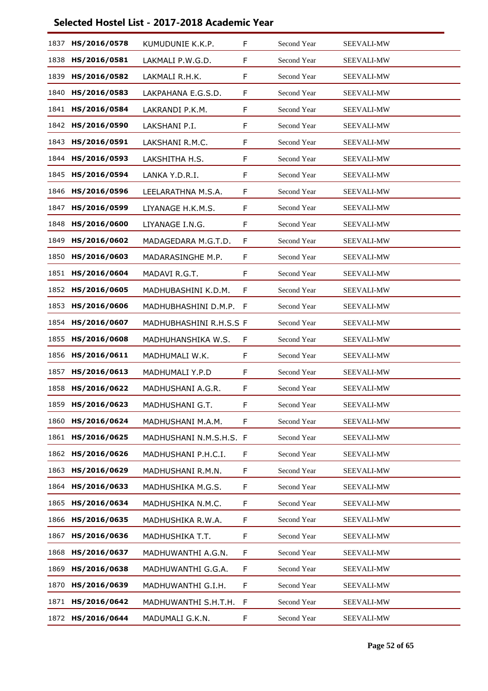| 1837 | HS/2016/0578 | KUMUDUNIE K.K.P.        | F | Second Year | <b>SEEVALI-MW</b> |
|------|--------------|-------------------------|---|-------------|-------------------|
| 1838 | HS/2016/0581 | LAKMALI P.W.G.D.        | F | Second Year | SEEVALI-MW        |
| 1839 | HS/2016/0582 | LAKMALI R.H.K.          | F | Second Year | <b>SEEVALI-MW</b> |
| 1840 | HS/2016/0583 | LAKPAHANA E.G.S.D.      | F | Second Year | <b>SEEVALI-MW</b> |
| 1841 | HS/2016/0584 | LAKRANDI P.K.M.         | F | Second Year | SEEVALI-MW        |
| 1842 | HS/2016/0590 | LAKSHANI P.I.           | F | Second Year | <b>SEEVALI-MW</b> |
| 1843 | HS/2016/0591 | LAKSHANI R.M.C.         | F | Second Year | <b>SEEVALI-MW</b> |
| 1844 | HS/2016/0593 | LAKSHITHA H.S.          | F | Second Year | SEEVALI-MW        |
| 1845 | HS/2016/0594 | LANKA Y.D.R.I.          | F | Second Year | <b>SEEVALI-MW</b> |
| 1846 | HS/2016/0596 | LEELARATHNA M.S.A.      | F | Second Year | <b>SEEVALI-MW</b> |
| 1847 | HS/2016/0599 | LIYANAGE H.K.M.S.       | F | Second Year | SEEVALI-MW        |
| 1848 | HS/2016/0600 | LIYANAGE I.N.G.         | F | Second Year | SEEVALI-MW        |
| 1849 | HS/2016/0602 | MADAGEDARA M.G.T.D.     | F | Second Year | SEEVALI-MW        |
| 1850 | HS/2016/0603 | MADARASINGHE M.P.       | F | Second Year | SEEVALI-MW        |
| 1851 | HS/2016/0604 | MADAVI R.G.T.           | F | Second Year | SEEVALI-MW        |
| 1852 | HS/2016/0605 | MADHUBASHINI K.D.M.     | F | Second Year | SEEVALI-MW        |
| 1853 | HS/2016/0606 | MADHUBHASHINI D.M.P.    | F | Second Year | SEEVALI-MW        |
| 1854 | HS/2016/0607 | MADHUBHASHINI R.H.S.S F |   | Second Year | SEEVALI-MW        |
| 1855 | HS/2016/0608 | MADHUHANSHIKA W.S.      | F | Second Year | SEEVALI-MW        |
| 1856 | HS/2016/0611 | MADHUMALI W.K.          | F | Second Year | SEEVALI-MW        |
| 1857 | HS/2016/0613 | MADHUMALI Y.P.D         | F | Second Year | SEEVALI-MW        |
| 1858 | HS/2016/0622 | MADHUSHANI A.G.R.       | F | Second Year | SEEVALI-MW        |
| 1859 | HS/2016/0623 | MADHUSHANI G.T.         | F | Second Year | <b>SEEVALI-MW</b> |
| 1860 | HS/2016/0624 | MADHUSHANI M.A.M.       | F | Second Year | SEEVALI-MW        |
| 1861 | HS/2016/0625 | MADHUSHANI N.M.S.H.S. F |   | Second Year | SEEVALI-MW        |
| 1862 | HS/2016/0626 | MADHUSHANI P.H.C.I.     | F | Second Year | SEEVALI-MW        |
| 1863 | HS/2016/0629 | MADHUSHANI R.M.N.       | F | Second Year | <b>SEEVALI-MW</b> |
| 1864 | HS/2016/0633 | MADHUSHIKA M.G.S.       | F | Second Year | SEEVALI-MW        |
| 1865 | HS/2016/0634 | MADHUSHIKA N.M.C.       | F | Second Year | SEEVALI-MW        |
| 1866 | HS/2016/0635 | MADHUSHIKA R.W.A.       | F | Second Year | SEEVALI-MW        |
| 1867 | HS/2016/0636 | MADHUSHIKA T.T.         | F | Second Year | SEEVALI-MW        |
| 1868 | HS/2016/0637 | MADHUWANTHI A.G.N.      | F | Second Year | SEEVALI-MW        |
| 1869 | HS/2016/0638 | MADHUWANTHI G.G.A.      | F | Second Year | SEEVALI-MW        |
| 1870 | HS/2016/0639 | MADHUWANTHI G.I.H.      | F | Second Year | SEEVALI-MW        |
| 1871 | HS/2016/0642 | MADHUWANTHI S.H.T.H.    | F | Second Year | SEEVALI-MW        |
| 1872 | HS/2016/0644 | MADUMALI G.K.N.         | F | Second Year | SEEVALI-MW        |
|      |              |                         |   |             |                   |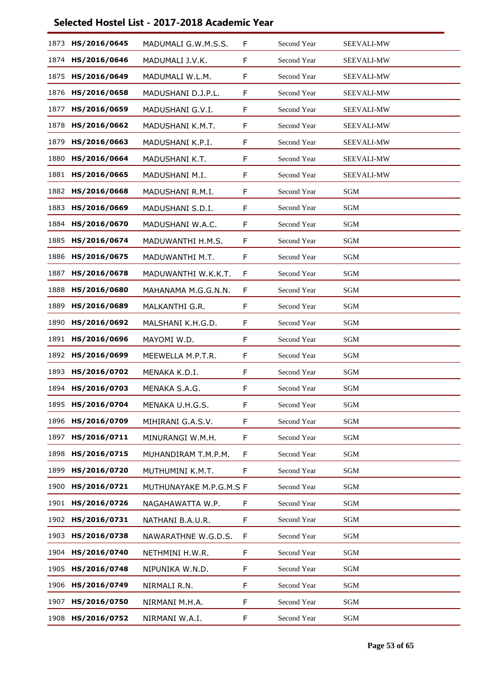| 1873 | HS/2016/0645      | MADUMALI G.W.M.S.S.     | F | Second Year | SEEVALI-MW        |
|------|-------------------|-------------------------|---|-------------|-------------------|
| 1874 | HS/2016/0646      | MADUMALI J.V.K.         | F | Second Year | SEEVALI-MW        |
| 1875 | HS/2016/0649      | MADUMALI W.L.M.         | F | Second Year | <b>SEEVALI-MW</b> |
| 1876 | HS/2016/0658      | MADUSHANI D.J.P.L.      | F | Second Year | <b>SEEVALI-MW</b> |
| 1877 | HS/2016/0659      | MADUSHANI G.V.I.        | F | Second Year | SEEVALI-MW        |
| 1878 | HS/2016/0662      | MADUSHANI K.M.T.        | F | Second Year | <b>SEEVALI-MW</b> |
| 1879 | HS/2016/0663      | MADUSHANI K.P.I.        | F | Second Year | SEEVALI-MW        |
| 1880 | HS/2016/0664      | MADUSHANI K.T.          | F | Second Year | SEEVALI-MW        |
| 1881 | HS/2016/0665      | MADUSHANI M.I.          | F | Second Year | <b>SEEVALI-MW</b> |
| 1882 | HS/2016/0668      | MADUSHANI R.M.I.        | F | Second Year | <b>SGM</b>        |
| 1883 | HS/2016/0669      | MADUSHANI S.D.I.        | F | Second Year | SGM               |
| 1884 | HS/2016/0670      | MADUSHANI W.A.C.        | F | Second Year | SGM               |
| 1885 | HS/2016/0674      | MADUWANTHI H.M.S.       | F | Second Year | SGM               |
| 1886 | HS/2016/0675      | MADUWANTHI M.T.         | F | Second Year | SGM               |
| 1887 | HS/2016/0678      | MADUWANTHI W.K.K.T.     | F | Second Year | SGM               |
| 1888 | HS/2016/0680      | MAHANAMA M.G.G.N.N.     | F | Second Year | SGM               |
| 1889 | HS/2016/0689      | MALKANTHI G.R.          | F | Second Year | SGM               |
| 1890 | HS/2016/0692      | MALSHANI K.H.G.D.       | F | Second Year | SGM               |
| 1891 | HS/2016/0696      | MAYOMI W.D.             | F | Second Year | <b>SGM</b>        |
| 1892 | HS/2016/0699      | MEEWELLA M.P.T.R.       | F | Second Year | SGM               |
| 1893 | HS/2016/0702      | MENAKA K.D.I.           | F | Second Year | SGM               |
| 1894 | HS/2016/0703      | MENAKA S.A.G.           | F | Second Year | SGM               |
|      | 1895 HS/2016/0704 | MENAKA U.H.G.S.         | F | Second Year | SGM               |
| 1896 | HS/2016/0709      | MIHIRANI G.A.S.V.       | F | Second Year | SGM               |
| 1897 | HS/2016/0711      | MINURANGI W.M.H.        | F | Second Year | SGM               |
| 1898 | HS/2016/0715      | MUHANDIRAM T.M.P.M.     | F | Second Year | SGM               |
| 1899 | HS/2016/0720      | MUTHUMINI K.M.T.        | F | Second Year | SGM               |
| 1900 | HS/2016/0721      | MUTHUNAYAKE M.P.G.M.S F |   | Second Year | SGM               |
| 1901 | HS/2016/0726      | NAGAHAWATTA W.P.        | F | Second Year | SGM               |
|      | 1902 HS/2016/0731 | NATHANI B.A.U.R.        | F | Second Year | SGM               |
| 1903 | HS/2016/0738      | NAWARATHNE W.G.D.S.     | F | Second Year | SGM               |
| 1904 | HS/2016/0740      | NETHMINI H.W.R.         | F | Second Year | SGM               |
| 1905 | HS/2016/0748      | NIPUNIKA W.N.D.         | F | Second Year | SGM               |
| 1906 | HS/2016/0749      | NIRMALI R.N.            | F | Second Year | SGM               |
| 1907 | HS/2016/0750      | NIRMANI M.H.A.          | F | Second Year | SGM               |
| 1908 | HS/2016/0752      | NIRMANI W.A.I.          | F | Second Year | SGM               |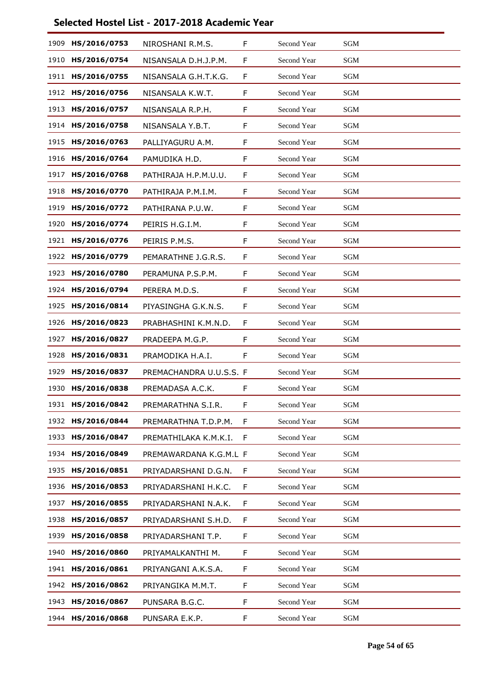| 1909 | HS/2016/0753 | NIROSHANI R.M.S.        | F | Second Year | SGM                  |
|------|--------------|-------------------------|---|-------------|----------------------|
| 1910 | HS/2016/0754 | NISANSALA D.H.J.P.M.    | F | Second Year | SGM                  |
| 1911 | HS/2016/0755 | NISANSALA G.H.T.K.G.    | F | Second Year | SGM                  |
| 1912 | HS/2016/0756 | NISANSALA K.W.T.        | F | Second Year | <b>SGM</b>           |
| 1913 | HS/2016/0757 | NISANSALA R.P.H.        | F | Second Year | <b>SGM</b>           |
| 1914 | HS/2016/0758 | NISANSALA Y.B.T.        | F | Second Year | SGM                  |
| 1915 | HS/2016/0763 | PALLIYAGURU A.M.        | F | Second Year | <b>SGM</b>           |
| 1916 | HS/2016/0764 | PAMUDIKA H.D.           | F | Second Year | <b>SGM</b>           |
| 1917 | HS/2016/0768 | PATHIRAJA H.P.M.U.U.    | F | Second Year | SGM                  |
| 1918 | HS/2016/0770 | PATHIRAJA P.M.I.M.      | F | Second Year | <b>SGM</b>           |
| 1919 | HS/2016/0772 | PATHIRANA P.U.W.        | F | Second Year | <b>SGM</b>           |
| 1920 | HS/2016/0774 | PEIRIS H.G.I.M.         | F | Second Year | <b>SGM</b>           |
| 1921 | HS/2016/0776 | PEIRIS P.M.S.           | F | Second Year | <b>SGM</b>           |
| 1922 | HS/2016/0779 | PEMARATHNE J.G.R.S.     | F | Second Year | <b>SGM</b>           |
| 1923 | HS/2016/0780 | PERAMUNA P.S.P.M.       | F | Second Year | <b>SGM</b>           |
| 1924 | HS/2016/0794 | PERERA M.D.S.           | F | Second Year | <b>SGM</b>           |
| 1925 | HS/2016/0814 | PIYASINGHA G.K.N.S.     | F | Second Year | <b>SGM</b>           |
| 1926 | HS/2016/0823 | PRABHASHINI K.M.N.D.    | F | Second Year | SGM                  |
| 1927 | HS/2016/0827 | PRADEEPA M.G.P.         | F | Second Year | <b>SGM</b>           |
| 1928 | HS/2016/0831 | PRAMODIKA H.A.I.        | F | Second Year | <b>SGM</b>           |
| 1929 | HS/2016/0837 | PREMACHANDRA U.U.S.S. F |   | Second Year | SGM                  |
| 1930 | HS/2016/0838 | PREMADASA A.C.K.        | F | Second Year | <b>SGM</b>           |
| 1931 | HS/2016/0842 | PREMARATHNA S.I.R.      | F | Second Year | $\operatorname{SGM}$ |
| 1932 | HS/2016/0844 | PREMARATHNA T.D.P.M.    | F | Second Year | $\operatorname{SGM}$ |
| 1933 | HS/2016/0847 | PREMATHILAKA K.M.K.I.   | F | Second Year | $\operatorname{SGM}$ |
| 1934 | HS/2016/0849 | PREMAWARDANA K.G.M.L F  |   | Second Year | SGM                  |
| 1935 | HS/2016/0851 | PRIYADARSHANI D.G.N.    | F | Second Year | SGM                  |
| 1936 | HS/2016/0853 | PRIYADARSHANI H.K.C.    | F | Second Year | <b>SGM</b>           |
| 1937 | HS/2016/0855 | PRIYADARSHANI N.A.K.    | F | Second Year | SGM                  |
| 1938 | HS/2016/0857 | PRIYADARSHANI S.H.D.    | F | Second Year | <b>SGM</b>           |
| 1939 | HS/2016/0858 | PRIYADARSHANI T.P.      | F | Second Year | SGM                  |
| 1940 | HS/2016/0860 | PRIYAMALKANTHI M.       | F | Second Year | <b>SGM</b>           |
| 1941 | HS/2016/0861 | PRIYANGANI A.K.S.A.     | F | Second Year | SGM                  |
| 1942 | HS/2016/0862 | PRIYANGIKA M.M.T.       | F | Second Year | SGM                  |
| 1943 | HS/2016/0867 | PUNSARA B.G.C.          | F | Second Year | SGM                  |
| 1944 | HS/2016/0868 | PUNSARA E.K.P.          | F | Second Year | SGM                  |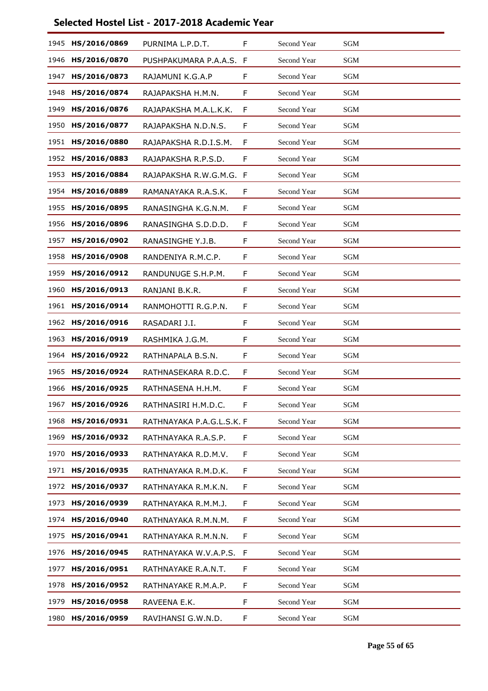| 1945 | HS/2016/0869 | PURNIMA L.P.D.T.          | F  | Second Year | <b>SGM</b>           |
|------|--------------|---------------------------|----|-------------|----------------------|
| 1946 | HS/2016/0870 | PUSHPAKUMARA P.A.A.S.     | F  | Second Year | SGM                  |
| 1947 | HS/2016/0873 | RAJAMUNI K.G.A.P          | F  | Second Year | <b>SGM</b>           |
| 1948 | HS/2016/0874 | RAJAPAKSHA H.M.N.         | F  | Second Year | <b>SGM</b>           |
| 1949 | HS/2016/0876 | RAJAPAKSHA M.A.L.K.K.     | F  | Second Year | <b>SGM</b>           |
| 1950 | HS/2016/0877 | RAJAPAKSHA N.D.N.S.       | F  | Second Year | <b>SGM</b>           |
| 1951 | HS/2016/0880 | RAJAPAKSHA R.D.I.S.M.     | F  | Second Year | <b>SGM</b>           |
| 1952 | HS/2016/0883 | RAJAPAKSHA R.P.S.D.       | F  | Second Year | <b>SGM</b>           |
| 1953 | HS/2016/0884 | RAJAPAKSHA R.W.G.M.G. F   |    | Second Year | <b>SGM</b>           |
| 1954 | HS/2016/0889 | RAMANAYAKA R.A.S.K.       | F  | Second Year | <b>SGM</b>           |
| 1955 | HS/2016/0895 | RANASINGHA K.G.N.M.       | F  | Second Year | SGM                  |
| 1956 | HS/2016/0896 | RANASINGHA S.D.D.D.       | F  | Second Year | <b>SGM</b>           |
| 1957 | HS/2016/0902 | RANASINGHE Y.J.B.         | F  | Second Year | <b>SGM</b>           |
| 1958 | HS/2016/0908 | RANDENIYA R.M.C.P.        | F  | Second Year | SGM                  |
| 1959 | HS/2016/0912 | RANDUNUGE S.H.P.M.        | F  | Second Year | <b>SGM</b>           |
| 1960 | HS/2016/0913 | RANJANI B.K.R.            | F  | Second Year | <b>SGM</b>           |
| 1961 | HS/2016/0914 | RANMOHOTTI R.G.P.N.       | F  | Second Year | <b>SGM</b>           |
| 1962 | HS/2016/0916 | RASADARI J.I.             | F  | Second Year | <b>SGM</b>           |
| 1963 | HS/2016/0919 | RASHMIKA J.G.M.           | F  | Second Year | <b>SGM</b>           |
| 1964 | HS/2016/0922 | RATHNAPALA B.S.N.         | F  | Second Year | SGM                  |
| 1965 | HS/2016/0924 | RATHNASEKARA R.D.C.       | F  | Second Year | <b>SGM</b>           |
| 1966 | HS/2016/0925 | RATHNASENA H.H.M.         | F  | Second Year | <b>SGM</b>           |
| 1967 | HS/2016/0926 | RATHNASIRI H.M.D.C.       | F  | Second Year | $\operatorname{SGM}$ |
| 1968 | HS/2016/0931 | RATHNAYAKA P.A.G.L.S.K. F |    | Second Year | $\operatorname{SGM}$ |
| 1969 | HS/2016/0932 | RATHNAYAKA R.A.S.P.       | F  | Second Year | $\operatorname{SGM}$ |
| 1970 | HS/2016/0933 | RATHNAYAKA R.D.M.V.       | F  | Second Year | SGM                  |
| 1971 | HS/2016/0935 | RATHNAYAKA R.M.D.K.       | F  | Second Year | SGM                  |
| 1972 | HS/2016/0937 | RATHNAYAKA R.M.K.N.       | F  | Second Year | SGM                  |
| 1973 | HS/2016/0939 | RATHNAYAKA R.M.M.J.       | F  | Second Year | <b>SGM</b>           |
| 1974 | HS/2016/0940 | RATHNAYAKA R.M.N.M.       | F. | Second Year | SGM                  |
| 1975 | HS/2016/0941 | RATHNAYAKA R.M.N.N.       | F  | Second Year | SGM                  |
| 1976 | HS/2016/0945 | RATHNAYAKA W.V.A.P.S.     | F  | Second Year | <b>SGM</b>           |
| 1977 | HS/2016/0951 | RATHNAYAKE R.A.N.T.       | F  | Second Year | SGM                  |
| 1978 | HS/2016/0952 | RATHNAYAKE R.M.A.P.       | F  | Second Year | SGM                  |
| 1979 | HS/2016/0958 | RAVEENA E.K.              | F  | Second Year | <b>SGM</b>           |
| 1980 | HS/2016/0959 | RAVIHANSI G.W.N.D.        | F  | Second Year | SGM                  |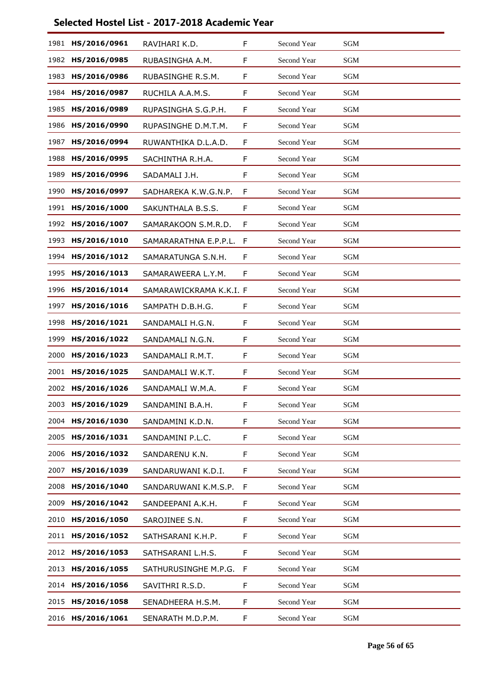| 1981 | HS/2016/0961 | RAVIHARI K.D.           | F | Second Year | SGM                  |
|------|--------------|-------------------------|---|-------------|----------------------|
| 1982 | HS/2016/0985 | RUBASINGHA A.M.         | F | Second Year | SGM                  |
| 1983 | HS/2016/0986 | RUBASINGHE R.S.M.       | F | Second Year | <b>SGM</b>           |
| 1984 | HS/2016/0987 | RUCHILA A.A.M.S.        | F | Second Year | SGM                  |
| 1985 | HS/2016/0989 | RUPASINGHA S.G.P.H.     | F | Second Year | SGM                  |
| 1986 | HS/2016/0990 | RUPASINGHE D.M.T.M.     | F | Second Year | <b>SGM</b>           |
| 1987 | HS/2016/0994 | RUWANTHIKA D.L.A.D.     | F | Second Year | <b>SGM</b>           |
| 1988 | HS/2016/0995 | SACHINTHA R.H.A.        | F | Second Year | <b>SGM</b>           |
| 1989 | HS/2016/0996 | SADAMALI J.H.           | F | Second Year | SGM                  |
| 1990 | HS/2016/0997 | SADHAREKA K.W.G.N.P.    | F | Second Year | <b>SGM</b>           |
| 1991 | HS/2016/1000 | SAKUNTHALA B.S.S.       | F | Second Year | <b>SGM</b>           |
| 1992 | HS/2016/1007 | SAMARAKOON S.M.R.D.     | F | Second Year | <b>SGM</b>           |
| 1993 | HS/2016/1010 | SAMARARATHNA E.P.P.L.   | F | Second Year | <b>SGM</b>           |
| 1994 | HS/2016/1012 | SAMARATUNGA S.N.H.      | F | Second Year | SGM                  |
| 1995 | HS/2016/1013 | SAMARAWEERA L.Y.M.      | F | Second Year | <b>SGM</b>           |
| 1996 | HS/2016/1014 | SAMARAWICKRAMA K.K.I. F |   | Second Year | <b>SGM</b>           |
| 1997 | HS/2016/1016 | SAMPATH D.B.H.G.        | F | Second Year | SGM                  |
| 1998 | HS/2016/1021 | SANDAMALI H.G.N.        | F | Second Year | SGM                  |
| 1999 | HS/2016/1022 | SANDAMALI N.G.N.        | F | Second Year | <b>SGM</b>           |
| 2000 | HS/2016/1023 | SANDAMALI R.M.T.        | F | Second Year | <b>SGM</b>           |
| 2001 | HS/2016/1025 | SANDAMALI W.K.T.        | F | Second Year | SGM                  |
| 2002 | HS/2016/1026 | SANDAMALI W.M.A.        | F | Second Year | <b>SGM</b>           |
| 2003 | HS/2016/1029 | SANDAMINI B.A.H.        | F | Second Year | $\operatorname{SGM}$ |
| 2004 | HS/2016/1030 | SANDAMINI K.D.N.        | F | Second Year | $\operatorname{SGM}$ |
| 2005 | HS/2016/1031 | SANDAMINI P.L.C.        | F | Second Year | $\operatorname{SGM}$ |
| 2006 | HS/2016/1032 | SANDARENU K.N.          | F | Second Year | SGM                  |
| 2007 | HS/2016/1039 | SANDARUWANI K.D.I.      | F | Second Year | SGM                  |
| 2008 | HS/2016/1040 | SANDARUWANI K.M.S.P.    | F | Second Year | <b>SGM</b>           |
| 2009 | HS/2016/1042 | SANDEEPANI A.K.H.       | F | Second Year | SGM                  |
| 2010 | HS/2016/1050 | SAROJINEE S.N.          | F | Second Year | <b>SGM</b>           |
| 2011 | HS/2016/1052 | SATHSARANI K.H.P.       | F | Second Year | <b>SGM</b>           |
| 2012 | HS/2016/1053 | SATHSARANI L.H.S.       | F | Second Year | SGM                  |
| 2013 | HS/2016/1055 | SATHURUSINGHE M.P.G.    | F | Second Year | SGM                  |
| 2014 | HS/2016/1056 | SAVITHRI R.S.D.         | F | Second Year | SGM                  |
| 2015 | HS/2016/1058 | SENADHEERA H.S.M.       | F | Second Year | SGM                  |
| 2016 | HS/2016/1061 | SENARATH M.D.P.M.       | F | Second Year | SGM                  |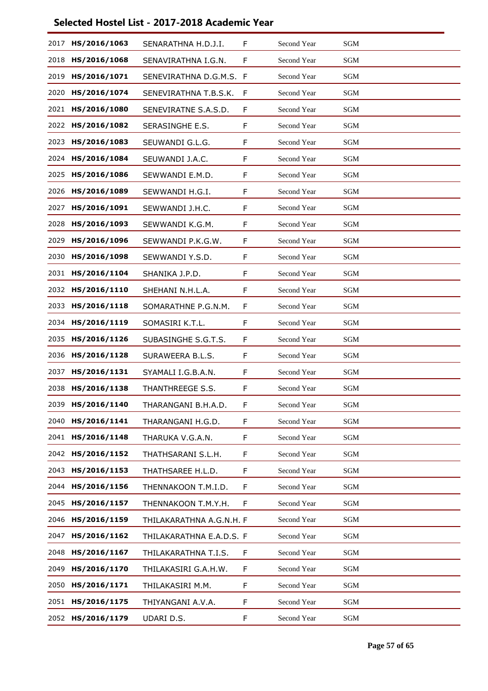| 2017 | HS/2016/1063 | SENARATHNA H.D.J.I.      | F  | Second Year | SGM                  |
|------|--------------|--------------------------|----|-------------|----------------------|
| 2018 | HS/2016/1068 | SENAVIRATHNA I.G.N.      | F  | Second Year | $\operatorname{SGM}$ |
| 2019 | HS/2016/1071 | SENEVIRATHNA D.G.M.S. F  |    | Second Year | <b>SGM</b>           |
| 2020 | HS/2016/1074 | SENEVIRATHNA T.B.S.K.    | F  | Second Year | <b>SGM</b>           |
| 2021 | HS/2016/1080 | SENEVIRATNE S.A.S.D.     | F  | Second Year | <b>SGM</b>           |
| 2022 | HS/2016/1082 | SERASINGHE E.S.          | F  | Second Year | <b>SGM</b>           |
| 2023 | HS/2016/1083 | SEUWANDI G.L.G.          | F  | Second Year | <b>SGM</b>           |
| 2024 | HS/2016/1084 | SEUWANDI J.A.C.          | F  | Second Year | $\operatorname{SGM}$ |
| 2025 | HS/2016/1086 | SEWWANDI E.M.D.          | F  | Second Year | <b>SGM</b>           |
| 2026 | HS/2016/1089 | SEWWANDI H.G.I.          | F  | Second Year | <b>SGM</b>           |
| 2027 | HS/2016/1091 | SEWWANDI J.H.C.          | F  | Second Year | <b>SGM</b>           |
| 2028 | HS/2016/1093 | SEWWANDI K.G.M.          | F  | Second Year | <b>SGM</b>           |
| 2029 | HS/2016/1096 | SEWWANDI P.K.G.W.        | F  | Second Year | <b>SGM</b>           |
| 2030 | HS/2016/1098 | SEWWANDI Y.S.D.          | F  | Second Year | <b>SGM</b>           |
| 2031 | HS/2016/1104 | SHANIKA J.P.D.           | F  | Second Year | <b>SGM</b>           |
| 2032 | HS/2016/1110 | SHEHANI N.H.L.A.         | F  | Second Year | <b>SGM</b>           |
| 2033 | HS/2016/1118 | SOMARATHNE P.G.N.M.      | F  | Second Year | $\operatorname{SGM}$ |
| 2034 | HS/2016/1119 | SOMASIRI K.T.L.          | F  | Second Year | <b>SGM</b>           |
| 2035 | HS/2016/1126 | SUBASINGHE S.G.T.S.      | F  | Second Year | <b>SGM</b>           |
| 2036 | HS/2016/1128 | SURAWEERA B.L.S.         | F  | Second Year | <b>SGM</b>           |
| 2037 | HS/2016/1131 | SYAMALI I.G.B.A.N.       | F  | Second Year | <b>SGM</b>           |
| 2038 | HS/2016/1138 | THANTHREEGE S.S.         | F  | Second Year | <b>SGM</b>           |
| 2039 | HS/2016/1140 | THARANGANI B.H.A.D.      | F  | Second Year | SGM                  |
| 2040 | HS/2016/1141 | THARANGANI H.G.D.        | F  | Second Year | SGM                  |
| 2041 | HS/2016/1148 | THARUKA V.G.A.N.         | F  | Second Year | SGM                  |
| 2042 | HS/2016/1152 | THATHSARANI S.L.H.       | F  | Second Year | SGM                  |
| 2043 | HS/2016/1153 | THATHSAREE H.L.D.        | F  | Second Year | <b>SGM</b>           |
| 2044 | HS/2016/1156 | THENNAKOON T.M.I.D.      | F  | Second Year | <b>SGM</b>           |
| 2045 | HS/2016/1157 | THENNAKOON T.M.Y.H.      | F  | Second Year | <b>SGM</b>           |
| 2046 | HS/2016/1159 | THILAKARATHNA A.G.N.H. F |    | Second Year | <b>SGM</b>           |
| 2047 | HS/2016/1162 | THILAKARATHNA E.A.D.S. F |    | Second Year | SGM                  |
| 2048 | HS/2016/1167 | THILAKARATHNA T.I.S.     | F  | Second Year | SGM                  |
| 2049 | HS/2016/1170 | THILAKASIRI G.A.H.W.     | F  | Second Year | <b>SGM</b>           |
| 2050 | HS/2016/1171 | THILAKASIRI M.M.         | F  | Second Year | <b>SGM</b>           |
| 2051 | HS/2016/1175 | THIYANGANI A.V.A.        | F  | Second Year | SGM                  |
| 2052 | HS/2016/1179 | UDARI D.S.               | F. | Second Year | SGM                  |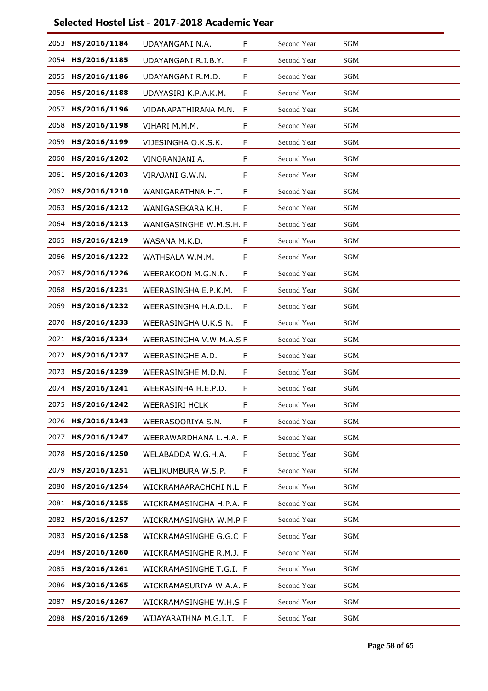| 2053 | HS/2016/1184 | UDAYANGANI N.A.         | F | Second Year | SGM                  |  |
|------|--------------|-------------------------|---|-------------|----------------------|--|
| 2054 | HS/2016/1185 | UDAYANGANI R.I.B.Y.     | F | Second Year | SGM                  |  |
| 2055 | HS/2016/1186 | UDAYANGANI R.M.D.       | F | Second Year | SGM                  |  |
| 2056 | HS/2016/1188 | UDAYASIRI K.P.A.K.M.    | F | Second Year | SGM                  |  |
| 2057 | HS/2016/1196 | VIDANAPATHIRANA M.N.    | F | Second Year | SGM                  |  |
| 2058 | HS/2016/1198 | VIHARI M.M.M.           | F | Second Year | <b>SGM</b>           |  |
| 2059 | HS/2016/1199 | VIJESINGHA O.K.S.K.     | F | Second Year | <b>SGM</b>           |  |
| 2060 | HS/2016/1202 | VINORANJANI A.          | F | Second Year | <b>SGM</b>           |  |
| 2061 | HS/2016/1203 | VIRAJANI G.W.N.         | F | Second Year | <b>SGM</b>           |  |
| 2062 | HS/2016/1210 | WANIGARATHNA H.T.       | F | Second Year | <b>SGM</b>           |  |
| 2063 | HS/2016/1212 | WANIGASEKARA K.H.       | F | Second Year | <b>SGM</b>           |  |
| 2064 | HS/2016/1213 | WANIGASINGHE W.M.S.H. F |   | Second Year | <b>SGM</b>           |  |
| 2065 | HS/2016/1219 | WASANA M.K.D.           | F | Second Year | <b>SGM</b>           |  |
| 2066 | HS/2016/1222 | WATHSALA W.M.M.         | F | Second Year | SGM                  |  |
| 2067 | HS/2016/1226 | WEERAKOON M.G.N.N.      | F | Second Year | <b>SGM</b>           |  |
| 2068 | HS/2016/1231 | WEERASINGHA E.P.K.M.    | F | Second Year | <b>SGM</b>           |  |
| 2069 | HS/2016/1232 | WEERASINGHA H.A.D.L.    | F | Second Year | SGM                  |  |
| 2070 | HS/2016/1233 | WEERASINGHA U.K.S.N.    | F | Second Year | SGM                  |  |
| 2071 | HS/2016/1234 | WEERASINGHA V.W.M.A.S F |   | Second Year | <b>SGM</b>           |  |
| 2072 | HS/2016/1237 | WEERASINGHE A.D.        | F | Second Year | <b>SGM</b>           |  |
| 2073 | HS/2016/1239 | WEERASINGHE M.D.N.      | F | Second Year | SGM                  |  |
| 2074 | HS/2016/1241 | WEERASINHA H.E.P.D.     | F | Second Year | <b>SGM</b>           |  |
| 2075 | HS/2016/1242 | <b>WEERASIRI HCLK</b>   | F | Second Year | $\operatorname{SGM}$ |  |
| 2076 | HS/2016/1243 | WEERASOORIYA S.N.       | F | Second Year | $\operatorname{SGM}$ |  |
| 2077 | HS/2016/1247 | WEERAWARDHANA L.H.A. F  |   | Second Year | <b>SGM</b>           |  |
| 2078 | HS/2016/1250 | WELABADDA W.G.H.A.      | F | Second Year | SGM                  |  |
| 2079 | HS/2016/1251 | WELIKUMBURA W.S.P.      | F | Second Year | SGM                  |  |
| 2080 | HS/2016/1254 | WICKRAMAARACHCHI N.L F  |   | Second Year | <b>SGM</b>           |  |
| 2081 | HS/2016/1255 | WICKRAMASINGHA H.P.A. F |   | Second Year | SGM                  |  |
| 2082 | HS/2016/1257 | WICKRAMASINGHA W.M.P F  |   | Second Year | <b>SGM</b>           |  |
| 2083 | HS/2016/1258 | WICKRAMASINGHE G.G.C F  |   | Second Year | <b>SGM</b>           |  |
| 2084 | HS/2016/1260 | WICKRAMASINGHE R.M.J. F |   | Second Year | SGM                  |  |
| 2085 | HS/2016/1261 | WICKRAMASINGHE T.G.I. F |   | Second Year | <b>SGM</b>           |  |
| 2086 | HS/2016/1265 | WICKRAMASURIYA W.A.A. F |   | Second Year | <b>SGM</b>           |  |
| 2087 | HS/2016/1267 | WICKRAMASINGHE W.H.S F  |   | Second Year | SGM                  |  |
| 2088 | HS/2016/1269 | WIJAYARATHNA M.G.I.T.   | F | Second Year | $\operatorname{SGM}$ |  |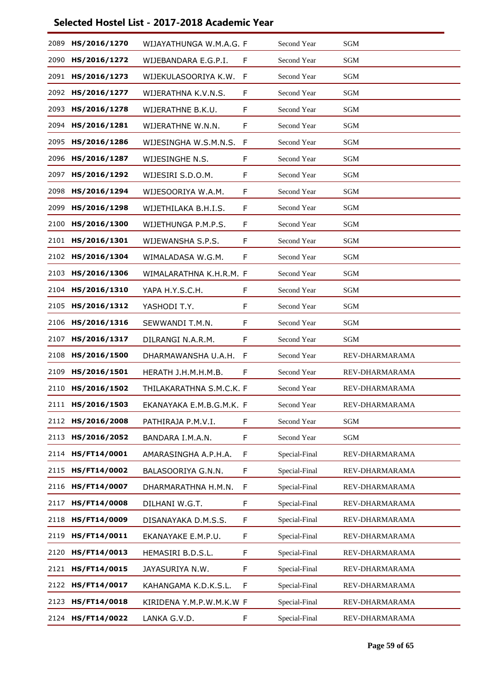| 2089 | HS/2016/1270 | WIJAYATHUNGA W.M.A.G. F  |    | Second Year   | <b>SGM</b>     |
|------|--------------|--------------------------|----|---------------|----------------|
| 2090 | HS/2016/1272 | WIJEBANDARA E.G.P.I.     | F  | Second Year   | <b>SGM</b>     |
| 2091 | HS/2016/1273 | WIJEKULASOORIYA K.W.     | F  | Second Year   | SGM            |
| 2092 | HS/2016/1277 | WIJERATHNA K.V.N.S.      | F  | Second Year   | <b>SGM</b>     |
| 2093 | HS/2016/1278 | WIJERATHNE B.K.U.        | F  | Second Year   | SGM            |
| 2094 | HS/2016/1281 | WIJERATHNE W.N.N.        | F  | Second Year   | SGM            |
| 2095 | HS/2016/1286 | WIJESINGHA W.S.M.N.S.    | F  | Second Year   | <b>SGM</b>     |
| 2096 | HS/2016/1287 | WIJESINGHE N.S.          | F  | Second Year   | SGM            |
| 2097 | HS/2016/1292 | WIJESIRI S.D.O.M.        | F  | Second Year   | SGM            |
| 2098 | HS/2016/1294 | WIJESOORIYA W.A.M.       | F  | Second Year   | <b>SGM</b>     |
| 2099 | HS/2016/1298 | WIJETHILAKA B.H.I.S.     | F  | Second Year   | SGM            |
| 2100 | HS/2016/1300 | WIJETHUNGA P.M.P.S.      | F  | Second Year   | <b>SGM</b>     |
| 2101 | HS/2016/1301 | WIJEWANSHA S.P.S.        | F  | Second Year   | SGM            |
| 2102 | HS/2016/1304 | WIMALADASA W.G.M.        | F  | Second Year   | SGM            |
| 2103 | HS/2016/1306 | WIMALARATHNA K.H.R.M. F  |    | Second Year   | SGM            |
| 2104 | HS/2016/1310 | YAPA H.Y.S.C.H.          | F  | Second Year   | SGM            |
| 2105 | HS/2016/1312 | YASHODI T.Y.             | F  | Second Year   | SGM            |
| 2106 | HS/2016/1316 | SEWWANDI T.M.N.          | F  | Second Year   | SGM            |
| 2107 | HS/2016/1317 | DILRANGI N.A.R.M.        | F  | Second Year   | <b>SGM</b>     |
| 2108 | HS/2016/1500 | DHARMAWANSHA U.A.H.      | F  | Second Year   | REV-DHARMARAMA |
| 2109 | HS/2016/1501 | HERATH J.H.M.H.M.B.      | F  | Second Year   | REV-DHARMARAMA |
| 2110 | HS/2016/1502 | THILAKARATHNA S.M.C.K. F |    | Second Year   | REV-DHARMARAMA |
| 2111 | HS/2016/1503 | EKANAYAKA E.M.B.G.M.K. F |    | Second Year   | REV-DHARMARAMA |
| 2112 | HS/2016/2008 | PATHIRAJA P.M.V.I.       | F. | Second Year   | SGM            |
| 2113 | HS/2016/2052 | BANDARA I.M.A.N.         | F  | Second Year   | SGM            |
| 2114 | HS/FT14/0001 | AMARASINGHA A.P.H.A.     | F  | Special-Final | REV-DHARMARAMA |
| 2115 | HS/FT14/0002 | BALASOORIYA G.N.N.       | F  | Special-Final | REV-DHARMARAMA |
| 2116 | HS/FT14/0007 | DHARMARATHNA H.M.N.      | F  | Special-Final | REV-DHARMARAMA |
| 2117 | HS/FT14/0008 | DILHANI W.G.T.           | F  | Special-Final | REV-DHARMARAMA |
| 2118 | HS/FT14/0009 | DISANAYAKA D.M.S.S.      | F  | Special-Final | REV-DHARMARAMA |
| 2119 | HS/FT14/0011 | EKANAYAKE E.M.P.U.       | F  | Special-Final | REV-DHARMARAMA |
| 2120 | HS/FT14/0013 | HEMASIRI B.D.S.L.        | F  | Special-Final | REV-DHARMARAMA |
| 2121 | HS/FT14/0015 | JAYASURIYA N.W.          | F  | Special-Final | REV-DHARMARAMA |
| 2122 | HS/FT14/0017 | KAHANGAMA K.D.K.S.L.     | F  | Special-Final | REV-DHARMARAMA |
| 2123 | HS/FT14/0018 | KIRIDENA Y.M.P.W.M.K.W F |    | Special-Final | REV-DHARMARAMA |
| 2124 | HS/FT14/0022 | LANKA G.V.D.             | F  | Special-Final | REV-DHARMARAMA |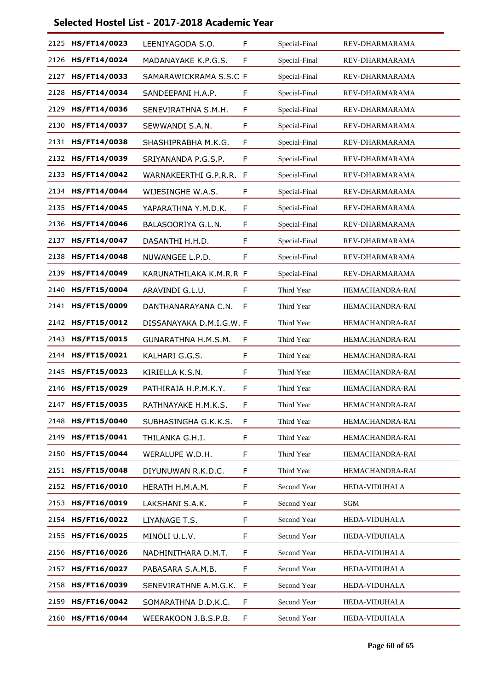| 2125 | HS/FT14/0023 | LEENIYAGODA S.O.         | F  | Special-Final | REV-DHARMARAMA  |
|------|--------------|--------------------------|----|---------------|-----------------|
| 2126 | HS/FT14/0024 | MADANAYAKE K.P.G.S.      | F  | Special-Final | REV-DHARMARAMA  |
| 2127 | HS/FT14/0033 | SAMARAWICKRAMA S.S.C F   |    | Special-Final | REV-DHARMARAMA  |
| 2128 | HS/FT14/0034 | SANDEEPANI H.A.P.        | F  | Special-Final | REV-DHARMARAMA  |
| 2129 | HS/FT14/0036 | SENEVIRATHNA S.M.H.      | F  | Special-Final | REV-DHARMARAMA  |
| 2130 | HS/FT14/0037 | SEWWANDI S.A.N.          | F  | Special-Final | REV-DHARMARAMA  |
| 2131 | HS/FT14/0038 | SHASHIPRABHA M.K.G.      | F  | Special-Final | REV-DHARMARAMA  |
| 2132 | HS/FT14/0039 | SRIYANANDA P.G.S.P.      | F  | Special-Final | REV-DHARMARAMA  |
| 2133 | HS/FT14/0042 | WARNAKEERTHI G.P.R.R.    | F  | Special-Final | REV-DHARMARAMA  |
| 2134 | HS/FT14/0044 | WIJESINGHE W.A.S.        | F  | Special-Final | REV-DHARMARAMA  |
| 2135 | HS/FT14/0045 | YAPARATHNA Y.M.D.K.      | F  | Special-Final | REV-DHARMARAMA  |
| 2136 | HS/FT14/0046 | BALASOORIYA G.L.N.       | F  | Special-Final | REV-DHARMARAMA  |
| 2137 | HS/FT14/0047 | DASANTHI H.H.D.          | F  | Special-Final | REV-DHARMARAMA  |
| 2138 | HS/FT14/0048 | NUWANGEE L.P.D.          | F  | Special-Final | REV-DHARMARAMA  |
| 2139 | HS/FT14/0049 | KARUNATHILAKA K.M.R.R F  |    | Special-Final | REV-DHARMARAMA  |
| 2140 | HS/FT15/0004 | ARAVINDI G.L.U.          | F  | Third Year    | HEMACHANDRA-RAI |
| 2141 | HS/FT15/0009 | DANTHANARAYANA C.N.      | F  | Third Year    | HEMACHANDRA-RAI |
| 2142 | HS/FT15/0012 | DISSANAYAKA D.M.I.G.W. F |    | Third Year    | HEMACHANDRA-RAI |
| 2143 | HS/FT15/0015 | GUNARATHNA H.M.S.M.      | F  | Third Year    | HEMACHANDRA-RAI |
| 2144 | HS/FT15/0021 | KALHARI G.G.S.           | F  | Third Year    | HEMACHANDRA-RAI |
| 2145 | HS/FT15/0023 | KIRIELLA K.S.N.          | F  | Third Year    | HEMACHANDRA-RAI |
| 2146 | HS/FT15/0029 | PATHIRAJA H.P.M.K.Y.     | F  | Third Year    | HEMACHANDRA-RAI |
| 2147 | HS/FT15/0035 | RATHNAYAKE H.M.K.S.      | F  | Third Year    | HEMACHANDRA-RAI |
| 2148 | HS/FT15/0040 | SUBHASINGHA G.K.K.S.     | F  | Third Year    | HEMACHANDRA-RAI |
| 2149 | HS/FT15/0041 | THILANKA G.H.I.          | F  | Third Year    | HEMACHANDRA-RAI |
| 2150 | HS/FT15/0044 | WERALUPE W.D.H.          | F  | Third Year    | HEMACHANDRA-RAI |
| 2151 | HS/FT15/0048 | DIYUNUWAN R.K.D.C.       | F  | Third Year    | HEMACHANDRA-RAI |
| 2152 | HS/FT16/0010 | HERATH H.M.A.M.          | F  | Second Year   | HEDA-VIDUHALA   |
| 2153 | HS/FT16/0019 | LAKSHANI S.A.K.          | F  | Second Year   | SGM             |
| 2154 | HS/FT16/0022 | LIYANAGE T.S.            | F  | Second Year   | HEDA-VIDUHALA   |
| 2155 | HS/FT16/0025 | MINOLI U.L.V.            | F  | Second Year   | HEDA-VIDUHALA   |
| 2156 | HS/FT16/0026 | NADHINITHARA D.M.T.      | F  | Second Year   | HEDA-VIDUHALA   |
| 2157 | HS/FT16/0027 | PABASARA S.A.M.B.        | F  | Second Year   | HEDA-VIDUHALA   |
| 2158 | HS/FT16/0039 | SENEVIRATHNE A.M.G.K.    | -F | Second Year   | HEDA-VIDUHALA   |
| 2159 | HS/FT16/0042 | SOMARATHNA D.D.K.C.      | F  | Second Year   | HEDA-VIDUHALA   |
| 2160 | HS/FT16/0044 | WEERAKOON J.B.S.P.B.     | F  | Second Year   | HEDA-VIDUHALA   |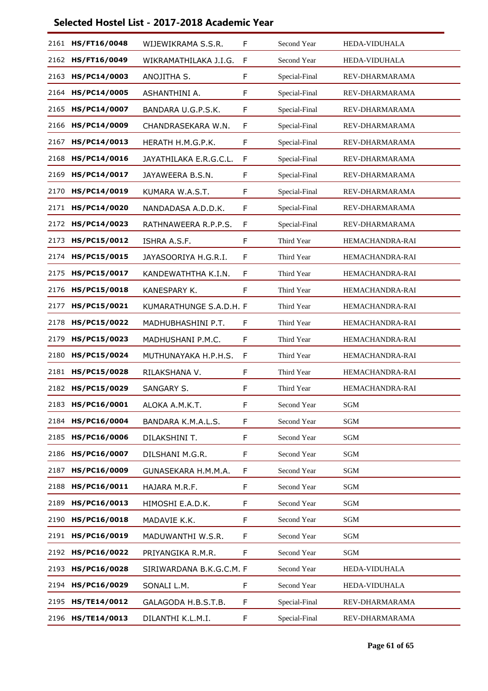| 2161 | HS/FT16/0048      | WIJEWIKRAMA S.S.R.       | F | Second Year   | HEDA-VIDUHALA          |
|------|-------------------|--------------------------|---|---------------|------------------------|
| 2162 | HS/FT16/0049      | WIKRAMATHILAKA J.I.G.    | F | Second Year   | HEDA-VIDUHALA          |
| 2163 | HS/PC14/0003      | ANOJITHA S.              | F | Special-Final | REV-DHARMARAMA         |
| 2164 | HS/PC14/0005      | ASHANTHINI A.            | F | Special-Final | REV-DHARMARAMA         |
| 2165 | HS/PC14/0007      | BANDARA U.G.P.S.K.       | F | Special-Final | REV-DHARMARAMA         |
| 2166 | HS/PC14/0009      | CHANDRASEKARA W.N.       | F | Special-Final | REV-DHARMARAMA         |
| 2167 | HS/PC14/0013      | HERATH H.M.G.P.K.        | F | Special-Final | REV-DHARMARAMA         |
| 2168 | HS/PC14/0016      | JAYATHILAKA E.R.G.C.L.   | F | Special-Final | REV-DHARMARAMA         |
| 2169 | HS/PC14/0017      | JAYAWEERA B.S.N.         | F | Special-Final | REV-DHARMARAMA         |
| 2170 | HS/PC14/0019      | KUMARA W.A.S.T.          | F | Special-Final | REV-DHARMARAMA         |
| 2171 | HS/PC14/0020      | NANDADASA A.D.D.K.       | F | Special-Final | REV-DHARMARAMA         |
|      | 2172 HS/PC14/0023 | RATHNAWEERA R.P.P.S.     | F | Special-Final | REV-DHARMARAMA         |
| 2173 | HS/PC15/0012      | ISHRA A.S.F.             | F | Third Year    | HEMACHANDRA-RAI        |
| 2174 | HS/PC15/0015      | JAYASOORIYA H.G.R.I.     | F | Third Year    | HEMACHANDRA-RAI        |
| 2175 | HS/PC15/0017      | KANDEWATHTHA K.I.N.      | F | Third Year    | HEMACHANDRA-RAI        |
| 2176 | HS/PC15/0018      | KANESPARY K.             | F | Third Year    | <b>HEMACHANDRA-RAI</b> |
| 2177 | HS/PC15/0021      | KUMARATHUNGE S.A.D.H. F  |   | Third Year    | HEMACHANDRA-RAI        |
| 2178 | HS/PC15/0022      | MADHUBHASHINI P.T.       | F | Third Year    | HEMACHANDRA-RAI        |
| 2179 | HS/PC15/0023      | MADHUSHANI P.M.C.        | F | Third Year    | HEMACHANDRA-RAI        |
| 2180 | HS/PC15/0024      | MUTHUNAYAKA H.P.H.S.     | F | Third Year    | HEMACHANDRA-RAI        |
| 2181 | HS/PC15/0028      | RILAKSHANA V.            | F | Third Year    | HEMACHANDRA-RAI        |
| 2182 | HS/PC15/0029      | <b>SANGARY S.</b>        | F | Third Year    | HEMACHANDRA-RAI        |
| 2183 | HS/PC16/0001      | ALOKA A.M.K.T.           | F | Second Year   | $\operatorname{SGM}$   |
| 2184 | HS/PC16/0004      | BANDARA K.M.A.L.S.       | F | Second Year   | <b>SGM</b>             |
| 2185 | HS/PC16/0006      | DILAKSHINI T.            | F | Second Year   | SGM                    |
| 2186 | HS/PC16/0007      | DILSHANI M.G.R.          | F | Second Year   | <b>SGM</b>             |
| 2187 | HS/PC16/0009      | GUNASEKARA H.M.M.A.      | F | Second Year   | SGM                    |
| 2188 | HS/PC16/0011      | HAJARA M.R.F.            | F | Second Year   | SGM                    |
| 2189 | HS/PC16/0013      | HIMOSHI E.A.D.K.         | F | Second Year   | <b>SGM</b>             |
| 2190 | HS/PC16/0018      | MADAVIE K.K.             | F | Second Year   | SGM                    |
| 2191 | HS/PC16/0019      | MADUWANTHI W.S.R.        | F | Second Year   | SGM                    |
| 2192 | HS/PC16/0022      | PRIYANGIKA R.M.R.        | F | Second Year   | SGM                    |
| 2193 | HS/PC16/0028      | SIRIWARDANA B.K.G.C.M. F |   | Second Year   | HEDA-VIDUHALA          |
| 2194 | HS/PC16/0029      | SONALI L.M.              | F | Second Year   | HEDA-VIDUHALA          |
| 2195 | HS/TE14/0012      | GALAGODA H.B.S.T.B.      | F | Special-Final | REV-DHARMARAMA         |
|      | 2196 HS/TE14/0013 | DILANTHI K.L.M.I.        | F | Special-Final | REV-DHARMARAMA         |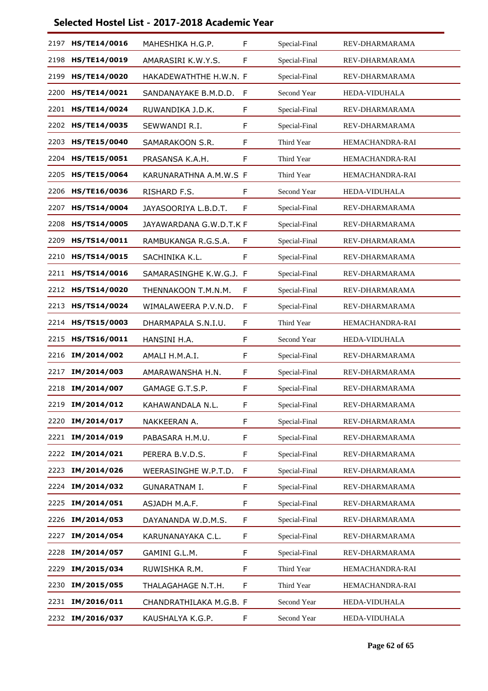| 2197 | HS/TE14/0016        | MAHESHIKA H.G.P.        | F           | Special-Final | REV-DHARMARAMA  |
|------|---------------------|-------------------------|-------------|---------------|-----------------|
| 2198 | HS/TE14/0019        | AMARASIRI K.W.Y.S.      | F           | Special-Final | REV-DHARMARAMA  |
| 2199 | HS/TE14/0020        | HAKADEWATHTHE H.W.N. F  |             | Special-Final | REV-DHARMARAMA  |
| 2200 | HS/TE14/0021        | SANDANAYAKE B.M.D.D.    | F           | Second Year   | HEDA-VIDUHALA   |
| 2201 | HS/TE14/0024        | RUWANDIKA J.D.K.        | F           | Special-Final | REV-DHARMARAMA  |
| 2202 | <b>HS/TE14/0035</b> | SEWWANDI R.I.           | F           | Special-Final | REV-DHARMARAMA  |
| 2203 | HS/TE15/0040        | SAMARAKOON S.R.         | $\mathsf F$ | Third Year    | HEMACHANDRA-RAI |
| 2204 | HS/TE15/0051        | PRASANSA K.A.H.         | F           | Third Year    | HEMACHANDRA-RAI |
| 2205 | <b>HS/TE15/0064</b> | KARUNARATHNA A.M.W.S F  |             | Third Year    | HEMACHANDRA-RAI |
| 2206 | HS/TE16/0036        | RISHARD F.S.            | F           | Second Year   | HEDA-VIDUHALA   |
| 2207 | HS/TS14/0004        | JAYASOORIYA L.B.D.T.    | F           | Special-Final | REV-DHARMARAMA  |
| 2208 | <b>HS/TS14/0005</b> | JAYAWARDANA G.W.D.T.K F |             | Special-Final | REV-DHARMARAMA  |
| 2209 | HS/TS14/0011        | RAMBUKANGA R.G.S.A.     | F           | Special-Final | REV-DHARMARAMA  |
| 2210 | HS/TS14/0015        | SACHINIKA K.L.          | F           | Special-Final | REV-DHARMARAMA  |
| 2211 | HS/TS14/0016        | SAMARASINGHE K.W.G.J. F |             | Special-Final | REV-DHARMARAMA  |
| 2212 | HS/TS14/0020        | THENNAKOON T.M.N.M.     | F           | Special-Final | REV-DHARMARAMA  |
| 2213 | HS/TS14/0024        | WIMALAWEERA P.V.N.D.    | F           | Special-Final | REV-DHARMARAMA  |
| 2214 | HS/TS15/0003        | DHARMAPALA S.N.I.U.     | F           | Third Year    | HEMACHANDRA-RAI |
| 2215 | HS/TS16/0011        | HANSINI H.A.            | F           | Second Year   | HEDA-VIDUHALA   |
| 2216 | IM/2014/002         | AMALI H.M.A.I.          | F           | Special-Final | REV-DHARMARAMA  |
| 2217 | IM/2014/003         | AMARAWANSHA H.N.        | F           | Special-Final | REV-DHARMARAMA  |
| 2218 | IM/2014/007         | GAMAGE G.T.S.P.         | F           | Special-Final | REV-DHARMARAMA  |
| 2219 | IM/2014/012         | KAHAWANDALA N.L.        | F           | Special-Final | REV-DHARMARAMA  |
| 2220 | IM/2014/017         | NAKKEERAN A.            | F           | Special-Final | REV-DHARMARAMA  |
|      | 2221 IM/2014/019    | PABASARA H.M.U.         | F           | Special-Final | REV-DHARMARAMA  |
| 2222 | IM/2014/021         | PERERA B.V.D.S.         | $\mathsf F$ | Special-Final | REV-DHARMARAMA  |
| 2223 | IM/2014/026         | WEERASINGHE W.P.T.D.    | F           | Special-Final | REV-DHARMARAMA  |
| 2224 | IM/2014/032         | <b>GUNARATNAM I.</b>    | F           | Special-Final | REV-DHARMARAMA  |
| 2225 | IM/2014/051         | ASJADH M.A.F.           | $\mathsf F$ | Special-Final | REV-DHARMARAMA  |
| 2226 | IM/2014/053         | DAYANANDA W.D.M.S.      | F           | Special-Final | REV-DHARMARAMA  |
| 2227 | IM/2014/054         | KARUNANAYAKA C.L.       | F           | Special-Final | REV-DHARMARAMA  |
| 2228 | IM/2014/057         | GAMINI G.L.M.           | $\mathsf F$ | Special-Final | REV-DHARMARAMA  |
| 2229 | IM/2015/034         | RUWISHKA R.M.           | F           | Third Year    | HEMACHANDRA-RAI |
| 2230 | IM/2015/055         | THALAGAHAGE N.T.H.      | F           | Third Year    | HEMACHANDRA-RAI |
| 2231 | IM/2016/011         | CHANDRATHILAKA M.G.B. F |             | Second Year   | HEDA-VIDUHALA   |
| 2232 | IM/2016/037         | KAUSHALYA K.G.P.        | F           | Second Year   | HEDA-VIDUHALA   |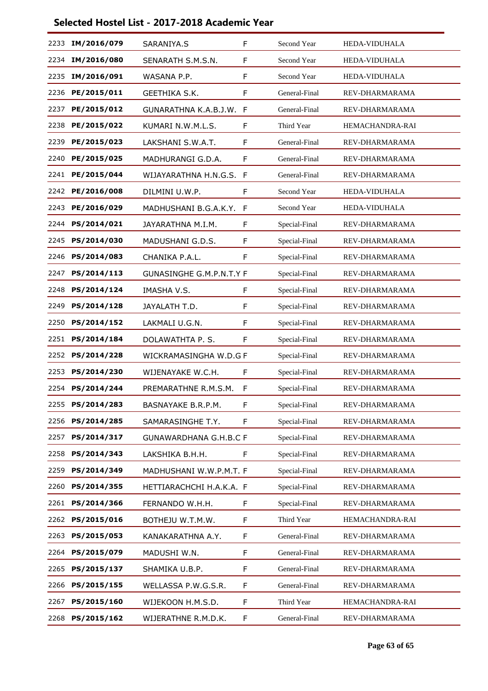|      | 2233 IM/2016/079 | SARANIYA.S                      | F  | Second Year   | HEDA-VIDUHALA   |
|------|------------------|---------------------------------|----|---------------|-----------------|
| 2234 | IM/2016/080      | SENARATH S.M.S.N.               | F  | Second Year   | HEDA-VIDUHALA   |
| 2235 | IM/2016/091      | WASANA P.P.                     | F  | Second Year   | HEDA-VIDUHALA   |
| 2236 | PE/2015/011      | GEETHIKA S.K.                   | F  | General-Final | REV-DHARMARAMA  |
| 2237 | PE/2015/012      | GUNARATHNA K.A.B.J.W.           | F  | General-Final | REV-DHARMARAMA  |
| 2238 | PE/2015/022      | KUMARI N.W.M.L.S.               | F  | Third Year    | HEMACHANDRA-RAI |
| 2239 | PE/2015/023      | LAKSHANI S.W.A.T.               | F  | General-Final | REV-DHARMARAMA  |
| 2240 | PE/2015/025      | MADHURANGI G.D.A.               | F  | General-Final | REV-DHARMARAMA  |
| 2241 | PE/2015/044      | WIJAYARATHNA H.N.G.S.           | F  | General-Final | REV-DHARMARAMA  |
| 2242 | PE/2016/008      | DILMINI U.W.P.                  | F  | Second Year   | HEDA-VIDUHALA   |
| 2243 | PE/2016/029      | MADHUSHANI B.G.A.K.Y.           | F  | Second Year   | HEDA-VIDUHALA   |
| 2244 | PS/2014/021      | JAYARATHNA M.I.M.               | F  | Special-Final | REV-DHARMARAMA  |
| 2245 | PS/2014/030      | MADUSHANI G.D.S.                | F  | Special-Final | REV-DHARMARAMA  |
| 2246 | PS/2014/083      | CHANIKA P.A.L.                  | F  | Special-Final | REV-DHARMARAMA  |
| 2247 | PS/2014/113      | <b>GUNASINGHE G.M.P.N.T.Y F</b> |    | Special-Final | REV-DHARMARAMA  |
| 2248 | PS/2014/124      | IMASHA V.S.                     | F  | Special-Final | REV-DHARMARAMA  |
| 2249 | PS/2014/128      | JAYALATH T.D.                   | F  | Special-Final | REV-DHARMARAMA  |
| 2250 | PS/2014/152      | LAKMALI U.G.N.                  | F  | Special-Final | REV-DHARMARAMA  |
| 2251 | PS/2014/184      | DOLAWATHTA P.S.                 | F  | Special-Final | REV-DHARMARAMA  |
| 2252 | PS/2014/228      | WICKRAMASINGHA W.D.G F          |    | Special-Final | REV-DHARMARAMA  |
| 2253 | PS/2014/230      | WIJENAYAKE W.C.H.               | F  | Special-Final | REV-DHARMARAMA  |
| 2254 | PS/2014/244      | PREMARATHNE R.M.S.M.            | F  | Special-Final | REV-DHARMARAMA  |
| 2255 | PS/2014/283      | BASNAYAKE B.R.P.M.              | F  | Special-Final | REV-DHARMARAMA  |
| 2256 | PS/2014/285      | SAMARASINGHE T.Y.               | F  | Special-Final | REV-DHARMARAMA  |
| 2257 | PS/2014/317      | <b>GUNAWARDHANA G.H.B.C F</b>   |    | Special-Final | REV-DHARMARAMA  |
| 2258 | PS/2014/343      | LAKSHIKA B.H.H.                 | F  | Special-Final | REV-DHARMARAMA  |
| 2259 | PS/2014/349      | MADHUSHANI W.W.P.M.T. F         |    | Special-Final | REV-DHARMARAMA  |
| 2260 | PS/2014/355      | HETTIARACHCHI H.A.K.A. F        |    | Special-Final | REV-DHARMARAMA  |
| 2261 | PS/2014/366      | FERNANDO W.H.H.                 | F. | Special-Final | REV-DHARMARAMA  |
| 2262 | PS/2015/016      | BOTHEJU W.T.M.W.                | F  | Third Year    | HEMACHANDRA-RAI |
| 2263 | PS/2015/053      | KANAKARATHNA A.Y.               | F  | General-Final | REV-DHARMARAMA  |
| 2264 | PS/2015/079      | MADUSHI W.N.                    | F  | General-Final | REV-DHARMARAMA  |
| 2265 | PS/2015/137      | SHAMIKA U.B.P.                  | F  | General-Final | REV-DHARMARAMA  |
| 2266 | PS/2015/155      | WELLASSA P.W.G.S.R.             | F  | General-Final | REV-DHARMARAMA  |
| 2267 | PS/2015/160      | WIJEKOON H.M.S.D.               | F  | Third Year    | HEMACHANDRA-RAI |
| 2268 | PS/2015/162      | WIJERATHNE R.M.D.K.             | F  | General-Final | REV-DHARMARAMA  |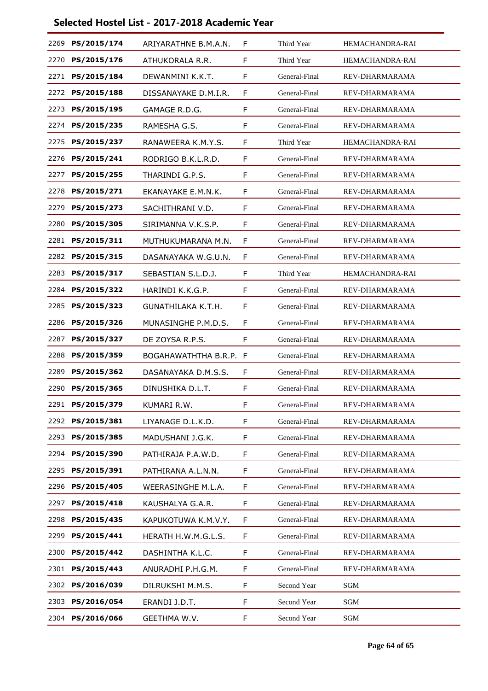| 2269 | PS/2015/174      | ARIYARATHNE B.M.A.N. | F | Third Year    | <b>HEMACHANDRA-RAI</b> |
|------|------------------|----------------------|---|---------------|------------------------|
| 2270 | PS/2015/176      | ATHUKORALA R.R.      | F | Third Year    | HEMACHANDRA-RAI        |
| 2271 | PS/2015/184      | DEWANMINI K.K.T.     | F | General-Final | REV-DHARMARAMA         |
| 2272 | PS/2015/188      | DISSANAYAKE D.M.I.R. | F | General-Final | REV-DHARMARAMA         |
| 2273 | PS/2015/195      | GAMAGE R.D.G.        | F | General-Final | REV-DHARMARAMA         |
|      | 2274 PS/2015/235 | RAMESHA G.S.         | F | General-Final | REV-DHARMARAMA         |
| 2275 | PS/2015/237      | RANAWEERA K.M.Y.S.   | F | Third Year    | <b>HEMACHANDRA-RAI</b> |
| 2276 | PS/2015/241      | RODRIGO B.K.L.R.D.   | F | General-Final | REV-DHARMARAMA         |
| 2277 | PS/2015/255      | THARINDI G.P.S.      | F | General-Final | REV-DHARMARAMA         |
| 2278 | PS/2015/271      | EKANAYAKE E.M.N.K.   | F | General-Final | REV-DHARMARAMA         |
| 2279 | PS/2015/273      | SACHITHRANI V.D.     | F | General-Final | REV-DHARMARAMA         |
|      | 2280 PS/2015/305 | SIRIMANNA V.K.S.P.   | F | General-Final | REV-DHARMARAMA         |
| 2281 | PS/2015/311      | MUTHUKUMARANA M.N.   | F | General-Final | REV-DHARMARAMA         |
| 2282 | PS/2015/315      | DASANAYAKA W.G.U.N.  | F | General-Final | REV-DHARMARAMA         |
|      | 2283 PS/2015/317 | SEBASTIAN S.L.D.J.   | F | Third Year    | HEMACHANDRA-RAI        |
| 2284 | PS/2015/322      | HARINDI K.K.G.P.     | F | General-Final | REV-DHARMARAMA         |
| 2285 | PS/2015/323      | GUNATHILAKA K.T.H.   | F | General-Final | REV-DHARMARAMA         |
|      | 2286 PS/2015/326 | MUNASINGHE P.M.D.S.  | F | General-Final | REV-DHARMARAMA         |
| 2287 | PS/2015/327      | DE ZOYSA R.P.S.      | F | General-Final | REV-DHARMARAMA         |
| 2288 | PS/2015/359      | BOGAHAWATHTHA B.R.P. | F | General-Final | REV-DHARMARAMA         |
| 2289 | PS/2015/362      | DASANAYAKA D.M.S.S.  | F | General-Final | REV-DHARMARAMA         |
| 2290 | PS/2015/365      | DINUSHIKA D.L.T.     | F | General-Final | REV-DHARMARAMA         |
| 2291 | PS/2015/379      | KUMARI R.W.          | F | General-Final | REV-DHARMARAMA         |
|      | 2292 PS/2015/381 | LIYANAGE D.L.K.D.    | F | General-Final | REV-DHARMARAMA         |
| 2293 | PS/2015/385      | MADUSHANI J.G.K.     | F | General-Final | REV-DHARMARAMA         |
| 2294 | PS/2015/390      | PATHIRAJA P.A.W.D.   | F | General-Final | REV-DHARMARAMA         |
| 2295 | PS/2015/391      | PATHIRANA A.L.N.N.   | F | General-Final | REV-DHARMARAMA         |
| 2296 | PS/2015/405      | WEERASINGHE M.L.A.   | F | General-Final | REV-DHARMARAMA         |
| 2297 | PS/2015/418      | KAUSHALYA G.A.R.     | F | General-Final | REV-DHARMARAMA         |
| 2298 | PS/2015/435      | KAPUKOTUWA K.M.V.Y.  | F | General-Final | REV-DHARMARAMA         |
| 2299 | PS/2015/441      | HERATH H.W.M.G.L.S.  | F | General-Final | REV-DHARMARAMA         |
| 2300 | PS/2015/442      | DASHINTHA K.L.C.     | F | General-Final | REV-DHARMARAMA         |
| 2301 | PS/2015/443      | ANURADHI P.H.G.M.    | F | General-Final | REV-DHARMARAMA         |
|      | 2302 PS/2016/039 | DILRUKSHI M.M.S.     | F | Second Year   | SGM                    |
| 2303 | PS/2016/054      | ERANDI J.D.T.        | F | Second Year   | SGM                    |
|      | 2304 PS/2016/066 | GEETHMA W.V.         | F | Second Year   | SGM                    |